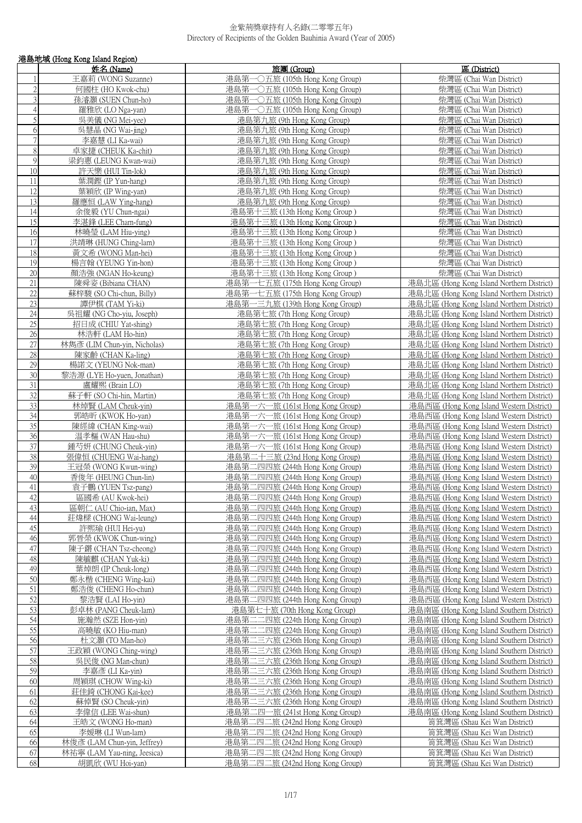|                | 港島地域 (Hong Kong Island Region)                     |                                                                    |                                                                                        |  |
|----------------|----------------------------------------------------|--------------------------------------------------------------------|----------------------------------------------------------------------------------------|--|
|                | 姓名 (Name)                                          | 旅團 (Group)                                                         | 區 (District)                                                                           |  |
| $\mathbf{1}$   | 王嘉莉 (WONG Suzanne)                                 | 港島第一〇五旅 (105th Hong Kong Group)                                    | 柴灣區 (Chai Wan District)                                                                |  |
| $\overline{2}$ | 何國柱 (HO Kwok-chu)                                  | 港島第一○五旅 (105th Hong Kong Group)                                    | 柴灣區 (Chai Wan District)                                                                |  |
| $\overline{3}$ | 孫濬灝 (SUEN Chun-ho)                                 | 港島第一〇五旅 (105th Hong Kong Group)                                    | 柴灣區 (Chai Wan District)                                                                |  |
| $\overline{4}$ | 羅雅欣 (LO Nga-yan)                                   | 港島第一〇五旅 (105th Hong Kong Group)                                    | 柴灣區 (Chai Wan District)                                                                |  |
| 5              | 吳美儀 (NG Mei-yee)                                   | 港島第九旅 (9th Hong Kong Group)                                        | 柴灣區 (Chai Wan District)                                                                |  |
| $\sqrt{6}$     | 吳慧晶 (NG Wai-jing)                                  | 港島第九旅 (9th Hong Kong Group)                                        | 柴灣區 (Chai Wan District)                                                                |  |
| $\overline{7}$ | 李嘉慧 (LI Ka-wai)                                    | 港島第九旅 (9th Hong Kong Group)                                        | 柴灣區 (Chai Wan District)                                                                |  |
| 8              | 卓家捷 (CHEUK Ka-chit)                                | 港島第九旅 (9th Hong Kong Group)                                        | 柴灣區 (Chai Wan District)                                                                |  |
| $\mathfrak{g}$ | 梁鈞惠 (LEUNG Kwan-wai)                               | 港島第九旅 (9th Hong Kong Group)                                        | 柴灣區 (Chai Wan District)                                                                |  |
| 10             | 許天樂 (HUI Tin-lok)                                  | 港島第九旅 (9th Hong Kong Group)                                        | 柴灣區 (Chai Wan District)                                                                |  |
| $11\,$         | 葉潤鏗 (IP Yun-hang)                                  | 港島第九旅 (9th Hong Kong Group)                                        | 柴灣區 (Chai Wan District)                                                                |  |
| 12             | 葉穎欣 (IP Wing-yan)                                  | 港島第九旅 (9th Hong Kong Group)                                        | 柴灣區 (Chai Wan District)                                                                |  |
| 13             | 羅應恒 (LAW Ying-hang)                                | 港島第九旅 (9th Hong Kong Group)                                        | 柴灣區 (Chai Wan District)                                                                |  |
| 14             | 余俊毅 (YU Chun-ngai)                                 | 港島第十三旅 (13th Hong Kong Group)                                      | 柴灣區 (Chai Wan District)                                                                |  |
| 15             | 李湛鋒 (LEE Cham-fung)                                | 港島第十三旅 (13th Hong Kong Group)                                      | 柴灣區 (Chai Wan District)                                                                |  |
| 16             | 林曉瑩 (LAM Hiu-ying)                                 | 港島第十三旅 (13th Hong Kong Group)                                      | 柴灣區 (Chai Wan District)                                                                |  |
| 17             | 洪靖琳 (HUNG Ching-lam)                               | 港島第十三旅 (13th Hong Kong Group)                                      | 柴灣區 (Chai Wan District)                                                                |  |
| 18             | 黃文希 (WONG Man-hei)                                 | 港島第十三旅 (13th Hong Kong Group)                                      | 柴灣區 (Chai Wan District)                                                                |  |
| 19             | 楊言翰 (YEUNG Yin-hon)                                | 港島第十三旅 (13th Hong Kong Group)                                      | 柴灣區 (Chai Wan District)                                                                |  |
| 20             | 顏浩強 (NGAN Ho-keung)                                | 港島第十三旅 (13th Hong Kong Group)                                      | 柴灣區 (Chai Wan District)                                                                |  |
| 21             | 陳舜姿 (Bibiana CHAN)                                 | 港島第一七五旅 (175th Hong Kong Group)                                    | 港島北區 (Hong Kong Island Northern District)                                              |  |
| 22             | 蘇梓駿 (SO Chi-chun, Billy)                           | 港島第一七五旅 (175th Hong Kong Group)                                    | 港島北區 (Hong Kong Island Northern District)                                              |  |
| 23             | 譚伊棋 (TAM Yi-ki)                                    | 港島第一三九旅 (139th Hong Kong Group)                                    | 港島北區 (Hong Kong Island Northern District)                                              |  |
| 24             | 吳祖耀 (NG Cho-yiu, Joseph)                           | 港島第七旅 (7th Hong Kong Group)                                        | 港島北區 (Hong Kong Island Northern District)                                              |  |
| 25<br>26       | 招日成 (CHIU Yat-shing)                               | 港島第七旅 (7th Hong Kong Group)                                        | 港島北區 (Hong Kong Island Northern District)                                              |  |
| 27             | 林浩軒 (LAM Ho-hin)                                   | 港島第七旅 (7th Hong Kong Group)                                        | 港島北區 (Hong Kong Island Northern District)                                              |  |
| 28             | 林雋彥 (LIM Chun-yin, Nicholas)<br>陳家齡 (CHAN Ka-ling) | 港島第七旅 (7th Hong Kong Group)<br>港島第七旅 (7th Hong Kong Group)         | 港島北區 (Hong Kong Island Northern District)                                              |  |
| 29             | 楊諾文 (YEUNG Nok-man)                                | 港島第七旅 (7th Hong Kong Group)                                        | 港島北區 (Hong Kong Island Northern District)<br>港島北區 (Hong Kong Island Northern District) |  |
| 30             | 黎浩源 (LYE Ho-yuen, Jonathan)                        | 港島第七旅 (7th Hong Kong Group)                                        | 港島北區 (Hong Kong Island Northern District)                                              |  |
| 31             | 盧耀熙 (Brain LO)                                     | 港島第七旅 (7th Hong Kong Group)                                        | 港島北區 (Hong Kong Island Northern District)                                              |  |
| 32             | 蘇子軒 (SO Chi-hin, Martin)                           | 港島第七旅 (7th Hong Kong Group)                                        | 港島北區 (Hong Kong Island Northern District)                                              |  |
| 33             | 林焯賢 (LAM Cheuk-yin)                                | 港島第一六一旅 (161st Hong Kong Group)                                    | 港島西區 (Hong Kong Island Western District)                                               |  |
| 34             | 郭皓昕 (KWOK Ho-yan)                                  | 港島第一六一旅 (161st Hong Kong Group)                                    | 港島西區 (Hong Kong Island Western District)                                               |  |
| 35             | 陳經緯 (CHAN King-wai)                                | 港島第一六一旅 (161st Hong Kong Group)                                    | 港島西區 (Hong Kong Island Western District)                                               |  |
| 36             | 温孝樞 (WAN Hau-shu)                                  | 港島第一六一旅 (161st Hong Kong Group)                                    | 港島西區 (Hong Kong Island Western District)                                               |  |
| 37             | 鍾芍妍 (CHUNG Cheuk-vin)                              | 港島第一六一旅 (161st Hong Kong Group)                                    | 港島西區 (Hong Kong Island Western District)                                               |  |
| 38             | 張偉恒 (CHUENG Wai-hang)                              | 港島第二十三旅 (23nd Hong Kong Group)                                     | 港島西區 (Hong Kong Island Western District)                                               |  |
| 39             | 王冠榮 (WONG Kwun-wing)                               | 港島第二四四旅 (244th Hong Kong Group)                                    | 港島西區 (Hong Kong Island Western District)                                               |  |
| 40<br>41       | 香俊年 (HEUNG Chun-lin)<br>袁子鵬 (YUEN Tsz-pang)        | 港島第二四四旅 (244th Hong Kong Group)<br>港島第二四四旅 (244th Hong Kong Group) | 港島西區 (Hong Kong Island Western District)<br>港島西區 (Hong Kong Island Western District)   |  |
| 42             | 區國希 (AU Kwok-hei)                                  | 港島第二四四旅 (244th Hong Kong Group)                                    | 港島西區 (Hong Kong Island Western District)                                               |  |
| 43             | 區朝仁 (AU Chio-ian, Max)                             | 港島第二四四旅 (244th Hong Kong Group)                                    | 港島西區 (Hong Kong Island Western District)                                               |  |
| 44             | 莊煒樑 (CHONG Wai-leung)                              | 港島第二四四旅 (244th Hong Kong Group)                                    | 港島西區 (Hong Kong Island Western District)                                               |  |
| 45             | 許熙瑜 (HUI Hei-yu)                                   | 港島第二四四旅 (244th Hong Kong Group)                                    | 港島西區 (Hong Kong Island Western District)                                               |  |
| 46             | 郭晉榮 (KWOK Chun-wing)                               | 港島第二四四旅 (244th Hong Kong Group)                                    | 港島西區 (Hong Kong Island Western District)                                               |  |
| 47             | 陳子鏘 (CHAN Tsz-cheong)                              | 港島第二四四旅 (244th Hong Kong Group)                                    | 港島西區 (Hong Kong Island Western District)                                               |  |
| 48             | 陳毓麒 (CHAN Yuk-ki)                                  | 港島第二四四旅 (244th Hong Kong Group)                                    | 港島西區 (Hong Kong Island Western District)                                               |  |
| 49             | 葉焯朗 (IP Cheuk-long)                                | 港島第二四四旅 (244th Hong Kong Group)                                    | 港島西區 (Hong Kong Island Western District)                                               |  |
| 50             | 鄭永楷 (CHENG Wing-kai)                               | 港島第二四四旅 (244th Hong Kong Group)                                    | 港島西區 (Hong Kong Island Western District)                                               |  |
| 51             | 鄭浩俊 (CHENG Ho-chun)                                | 港島第二四四旅 (244th Hong Kong Group)                                    | 港島西區 (Hong Kong Island Western District)                                               |  |
| 52             | 黎浩賢 (LAI Ho-yin)                                   | 港島第二四四旅 (244th Hong Kong Group)                                    | 港島西區 (Hong Kong Island Western District)                                               |  |
| 53<br>54       | 彭卓林 (PANG Cheuk-lam)                               | 港島第七十旅 (70th Hong Kong Group)<br>港島第二二四旅 (224th Hong Kong Group)   | 港島南區 (Hong Kong Island Southern District)                                              |  |
| 55             | 施瀚然 (SZE Hon-yin)<br>高曉敏 (KO Hiu-man)              | 港島第二二四旅 (224th Hong Kong Group)                                    | 港島南區 (Hong Kong Island Southern District)<br>港島南區 (Hong Kong Island Southern District) |  |
| 56             | 杜文灝 (TO Man-ho)                                    | 港島第二三六旅 (236th Hong Kong Group)                                    | 港島南區 (Hong Kong Island Southern District)                                              |  |
| 57             | 王政穎 (WONG Ching-wing)                              | 港島第二三六旅 (236th Hong Kong Group)                                    | 港島南區 (Hong Kong Island Southern District)                                              |  |
| 58             | 吳民俊 (NG Man-chun)                                  | 港島第二三六旅 (236th Hong Kong Group)                                    | 港島南區 (Hong Kong Island Southern District)                                              |  |
| 59             | 李嘉彥 (LI Ka-yin)                                    | 港島第二三六旅 (236th Hong Kong Group)                                    | 港島南區 (Hong Kong Island Southern District)                                              |  |
| 60             | 周穎琪 (CHOW Wing-ki)                                 | 港島第二三六旅 (236th Hong Kong Group)                                    | 港島南區 (Hong Kong Island Southern District)                                              |  |
| 61             | 莊佳錡 (CHONG Kai-kee)                                | 港島第二三六旅 (236th Hong Kong Group)                                    | 港島南區 (Hong Kong Island Southern District)                                              |  |
| 62             | 蘇倬賢 (SO Cheuk-yin)                                 | 港島第二三六旅 (236th Hong Kong Group)                                    | 港島南區 (Hong Kong Island Southern District)                                              |  |
| 63             | 李偉信 (LEE Wai-shun)                                 | 港島第二四一旅 (241st Hong Kong Group)                                    | 港島南區 (Hong Kong Island Southern District)                                              |  |
| 64             | 王皓文 (WONG Ho-man)                                  | 港島第二四二旅 (242nd Hong Kong Group)                                    | 筲箕灣區 (Shau Kei Wan District)                                                           |  |
| 65             | 李媛琳 (LI Wun-lam)                                   | 港島第二四二旅 (242nd Hong Kong Group)                                    | 筲箕灣區 (Shau Kei Wan District)                                                           |  |
| 66             | 林俊彥 (LAM Chun-yin, Jeffrey)                        | 港島第二四二旅 (242nd Hong Kong Group)                                    | 筲箕灣區 (Shau Kei Wan District)                                                           |  |
| 67             | 林祐寧 (LAM Yau-ning, Jeesica)                        | 港島第二四二旅 (242nd Hong Kong Group)                                    | 筲箕灣區 (Shau Kei Wan District)                                                           |  |
| 68             | 胡凱欣 (WU Hoi-yan)                                   | 港島第二四二旅 (242nd Hong Kong Group)                                    | 筲箕灣區 (Shau Kei Wan District)                                                           |  |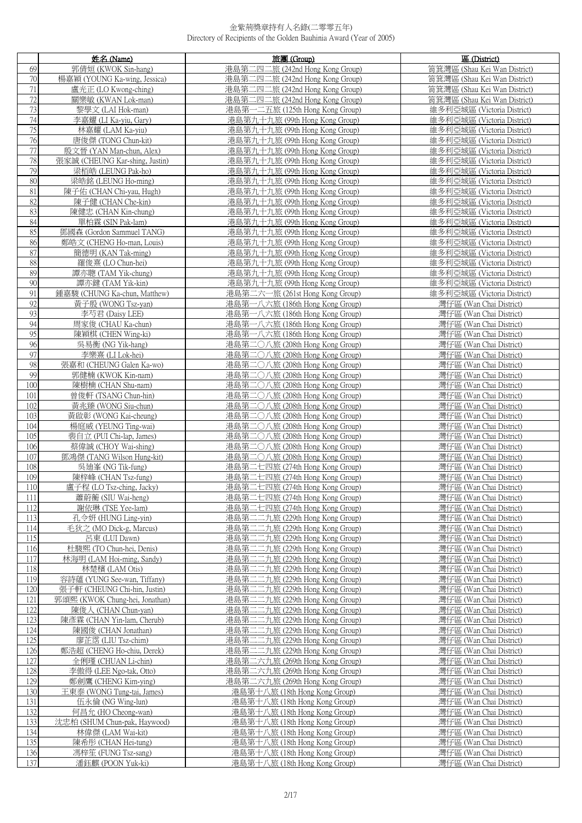|            | 姓名 (Name)                                      | 旅團 (Group)                                                         | 區 (District)                                       |
|------------|------------------------------------------------|--------------------------------------------------------------------|----------------------------------------------------|
| 69         | 郭倩姮 (KWOK Sin-hang)                            | 港島第二四二旅 (242nd Hong Kong Group)                                    | 筲箕灣區 (Shau Kei Wan District)                       |
| 70         | 楊嘉穎 (YOUNG Ka-wing, Jessica)                   | 港島第二四二旅 (242nd Hong Kong Group)                                    | 筲箕灣區 (Shau Kei Wan District)                       |
| 71         | 盧光正 (LO Kwong-ching)                           | 港島第二四二旅 (242nd Hong Kong Group)                                    | 筲箕灣區 (Shau Kei Wan District)                       |
| 72         | 關樂敏 (KWAN Lok-man)                             | 港島第二四二旅 (242nd Hong Kong Group)                                    | 筲箕灣區 (Shau Kei Wan District)                       |
| 73         | 黎學文 (LAI Hok-man)                              | 港島第一二五旅 (125th Hong Kong Group)                                    | 維多利亞城區 (Victoria District)                         |
| 74         | 李嘉耀 (LI Ka-yiu, Gary)                          | 港島第九十九旅 (99th Hong Kong Group)                                     | 維多利亞城區 (Victoria District)                         |
| 75         | 林嘉耀 (LAM Ka-yiu)                               | 港島第九十九旅 (99th Hong Kong Group)                                     | 維多利亞城區 (Victoria District)                         |
| 76         | 唐俊傑 (TONG Chun-kit)                            | 港島第九十九旅 (99th Hong Kong Group)                                     | 維多利亞城區 (Victoria District)                         |
| 77         | 殷文晉 (YAN Man-chun, Alex)                       | 港島第九十九旅 (99th Hong Kong Group)                                     | 維多利亞城區 (Victoria District)                         |
| 78         | 張家誠 (CHEUNG Kar-shing, Justin)                 | 港島第九十九旅 (99th Hong Kong Group)                                     | 維多利亞城區 (Victoria District)                         |
| 79         | 梁栢皓 (LEUNG Pak-ho)                             | 港島第九十九旅 (99th Hong Kong Group)                                     | 維多利亞城區 (Victoria District)                         |
| 80         | 梁皓銘 (LEUNG Ho-ming)                            | 港島第九十九旅 (99th Hong Kong Group)                                     | 維多利亞城區 (Victoria District)                         |
| 81         | 陳子佑 (CHAN Chi-yau, Hugh)                       | 港島第九十九旅 (99th Hong Kong Group)                                     | 維多利亞城區 (Victoria District)                         |
| 82         | 陳子健 (CHAN Che-kin)                             | 港島第九十九旅 (99th Hong Kong Group)                                     | 維多利亞城區 (Victoria District)                         |
| 83         | 陳健忠 (CHAN Kin-chung)                           | 港島第九十九旅 (99th Hong Kong Group)                                     | 維多利亞城區 (Victoria District)                         |
| 84         | 單柏霖 (SIN Pak-lam)                              | 港島第九十九旅 (99th Hong Kong Group)                                     | 維多利亞城區 (Victoria District)                         |
| 85         | 鄧國森 (Gordon Sammuel TANG)                      | 港島第九十九旅 (99th Hong Kong Group)                                     | 維多利亞城區 (Victoria District)                         |
| 86         | 鄭皓文 (CHENG Ho-man, Louis)                      | 港島第九十九旅 (99th Hong Kong Group)                                     | 維多利亞城區 (Victoria District)                         |
| 87         | 簡德明 (KAN Tak-ming)                             | 港島第九十九旅 (99th Hong Kong Group)                                     | 維多利亞城區 (Victoria District)                         |
| 88         | 羅俊熹 (LO Chun-hei)                              | 港島第九十九旅 (99th Hong Kong Group)                                     | 維多利亞城區 (Victoria District)                         |
| 89         | 譚亦聰 (TAM Yik-chung)                            | 港島第九十九旅 (99th Hong Kong Group)                                     | 維多利亞城區 (Victoria District)                         |
| 90         | 譚亦鍵 (TAM Yik-kin)                              | 港島第九十九旅 (99th Hong Kong Group)                                     | 維多利亞城區 (Victoria District)                         |
| 91         | 鍾嘉駿 (CHUNG Ka-chun, Matthew)                   | 港島第二六一旅 (261st Hong Kong Group)                                    | 維多利亞城區 (Victoria District)                         |
| 92         | 黃子殷 (WONG Tsz-yan)                             | 港島第一八六旅 (186th Hong Kong Group)                                    | 灣仔區 (Wan Chai District)                            |
| 93         | 李芍君 (Daisy LEE)                                | 港島第一八六旅 (186th Hong Kong Group)                                    | 灣仔區 (Wan Chai District)                            |
| 94         | 周家俊 (CHAU Ka-chun)                             | 港島第一八六旅 (186th Hong Kong Group)                                    | 灣仔區 (Wan Chai District)                            |
| 95         | 陳穎棋 (CHEN Wing-ki)                             | 港島第一八六旅 (186th Hong Kong Group)                                    | 灣仔區 (Wan Chai District)                            |
| 96<br>97   | 吳易衡 (NG Yik-hang)                              | 港島第二○八旅 (208th Hong Kong Group)                                    | 灣仔區 (Wan Chai District)                            |
| 98         | 李樂熹 (LI Lok-hei)<br>張嘉和 (CHEUNG Galen Ka-wo)   | 港島第二〇八旅 (208th Hong Kong Group)<br>港島第二〇八旅 (208th Hong Kong Group) | 灣仔區 (Wan Chai District)<br>灣仔區 (Wan Chai District) |
| 99         | 郭健楠 (KWOK Kin-nam)                             | 港島第二〇八旅 (208th Hong Kong Group)                                    | 灣仔區 (Wan Chai District)                            |
| 100        | 陳樹楠 (CHAN Shu-nam)                             | 港島第二○八旅 (208th Hong Kong Group)                                    | 灣仔區 (Wan Chai District)                            |
| 101        | 曾俊軒 (TSANG Chun-hin)                           | 港島第二〇八旅 (208th Hong Kong Group)                                    | 灣仔區 (Wan Chai District)                            |
| 102        | 黃兆臻 (WONG Siu-chun)                            | 港島第二○八旅 (208th Hong Kong Group)                                    | 灣仔區 (Wan Chai District)                            |
| 103        | 黃啟彰 (WONG Kai-cheung)                          | 港島第二〇八旅 (208th Hong Kong Group)                                    | 灣仔區 (Wan Chai District)                            |
| 104        | 楊庭威 (YEUNG Ting-wai)                           | 港島第二〇八旅 (208th Hong Kong Group)                                    | 灣仔區 (Wan Chai District)                            |
| 105        | 裴自立 (PUI Chi-lap, James)                       | 港島第二〇八旅 (208th Hong Kong Group)                                    | 灣仔區 (Wan Chai District)                            |
| 106        | 蔡偉誠 (CHOY Wai-shing)                           | 港島第二〇八旅 (208th Hong Kong Group)                                    | 灣仔區 (Wan Chai District)                            |
| 107        | 鄧鴻傑 (TANG Wilson Hung-kit)                     | 港島第二○八旅 (208th Hong Kong Group)                                    | 灣仔區 (Wan Chai District)                            |
| 108        | 吳迪峯 (NG Tik-fung)                              | 港島第二七四旅 (274th Hong Kong Group)                                    | 灣仔區 (Wan Chai District)                            |
| 109        | 陳梓峰 (CHAN Tsz-fung)                            | 港島第二七四旅 (274th Hong Kong Group)                                    | 灣仔區 (Wan Chai District)                            |
| 110        | 盧子程 (LO Tsz-ching, Jacky)                      | 港島第二七四旅 (274th Hong Kong Group)                                    | 灣仔區 (Wan Chai District)                            |
| 111        | 蕭蔚蘅 (SIU Wai-heng)                             | 港島第二七四旅 (274th Hong Kong Group)                                    | 灣仔區 (Wan Chai District)                            |
| 112        | 謝依琳 (TSE Yee-lam)                              | 港島第二七四旅 (274th Hong Kong Group)<br>港島第二二九旅 (229th Hong Kong Group) | 灣仔區 (Wan Chai District)                            |
| 113<br>114 | 孔令妍 (HUNG Ling-yin)<br>毛狄之 (MO Dick-g, Marcus) | 港島第二二九旅 (229th Hong Kong Group)                                    | 灣仔區 (Wan Chai District)<br>灣仔區 (Wan Chai District) |
| 115        | 呂東 (LUI Dawn)                                  | 港島第二二九旅 (229th Hong Kong Group)                                    | 灣仔區 (Wan Chai District)                            |
| 116        | 杜駿熙 (TO Chun-hei, Denis)                       | 港島第二二九旅 (229th Hong Kong Group)                                    | 灣仔區 (Wan Chai District)                            |
| 117        | 林海明 (LAM Hoi-ming, Sandy)                      | 港島第二二九旅 (229th Hong Kong Group)                                    | 灣仔區 (Wan Chai District)                            |
| 118        | 林楚檳 (LAM Otis)                                 | 港島第二二九旅 (229th Hong Kong Group)                                    | 灣仔區 (Wan Chai District)                            |
| 119        | 容詩蘊 (YUNG See-wan, Tiffany)                    | 港島第二二九旅 (229th Hong Kong Group)                                    | 灣仔區 (Wan Chai District)                            |
| 120        | 張子軒 (CHEUNG Chi-hin, Justin)                   | 港島第二二九旅 (229th Hong Kong Group)                                    | 灣仔區 (Wan Chai District)                            |
| 121        | 郭頌熙 (KWOK Chung-hei, Jonathan)                 | 港島第二二九旅 (229th Hong Kong Group)                                    | 灣仔區 (Wan Chai District)                            |
| 122        | 陳俊人 (CHAN Chun-yan)                            | 港島第二二九旅 (229th Hong Kong Group)                                    | 灣仔區 (Wan Chai District)                            |
| 123        | 陳彥霖 (CHAN Yin-lam, Cherub)                     | 港島第二二九旅 (229th Hong Kong Group)                                    | 灣仔區 (Wan Chai District)                            |
| 124        | 陳國俊 (CHAN Jonathan)                            | 港島第二二九旅 (229th Hong Kong Group)                                    | 灣仔區 (Wan Chai District)                            |
| 125        | 廖芷霑 (LIU Tsz-chim)                             | 港島第二二九旅 (229th Hong Kong Group)                                    | 灣仔區 (Wan Chai District)                            |
| 126        | 鄭浩超 (CHENG Ho-chiu, Derek)                     | 港島第二二九旅 (229th Hong Kong Group)                                    | 灣仔區 (Wan Chai District)                            |
| 127        | 全俐瑾 (CHUAN Li-chin)                            | 港島第二六九旅 (269th Hong Kong Group)                                    | 灣仔區 (Wan Chai District)                            |
| 128        | 李傲得 (LEE Ngo-tak, Otto)                        | 港島第二六九旅 (269th Hong Kong Group)                                    | 灣仔區 (Wan Chai District)                            |
| 129        | 鄭劍鷹 (CHENG Kim-ying)                           | 港島第二六九旅 (269th Hong Kong Group)                                    | 灣仔區 (Wan Chai District)                            |
| 130        | 王東泰 (WONG Tung-tai, James)                     | 港島第十八旅 (18th Hong Kong Group)                                      | 灣仔區 (Wan Chai District)                            |
| 131<br>132 | 伍永倫 (NG Wing-lun)<br>何昌允 (HO Cheong-wan)       | 港島第十八旅 (18th Hong Kong Group)<br>港島第十八旅 (18th Hong Kong Group)     | 灣仔區 (Wan Chai District)<br>灣仔區 (Wan Chai District) |
| 133        | 沈忠柏 (SHUM Chun-pak, Haywood)                   | 港島第十八旅 (18th Hong Kong Group)                                      | 灣仔區 (Wan Chai District)                            |
| 134        | 林偉傑 (LAM Wai-kit)                              | 港島第十八旅 (18th Hong Kong Group)                                      | 灣仔區 (Wan Chai District)                            |
| 135        | 陳希彤 (CHAN Hei-tung)                            | 港島第十八旅 (18th Hong Kong Group)                                      | 灣仔區 (Wan Chai District)                            |
| 136        | 馮梓笙 (FUNG Tsz-sang)                            | 港島第十八旅 (18th Hong Kong Group)                                      | 灣仔區 (Wan Chai District)                            |
| 137        | 潘鈺麒 (POON Yuk-ki)                              | 港島第十八旅 (18th Hong Kong Group)                                      | 灣仔區 (Wan Chai District)                            |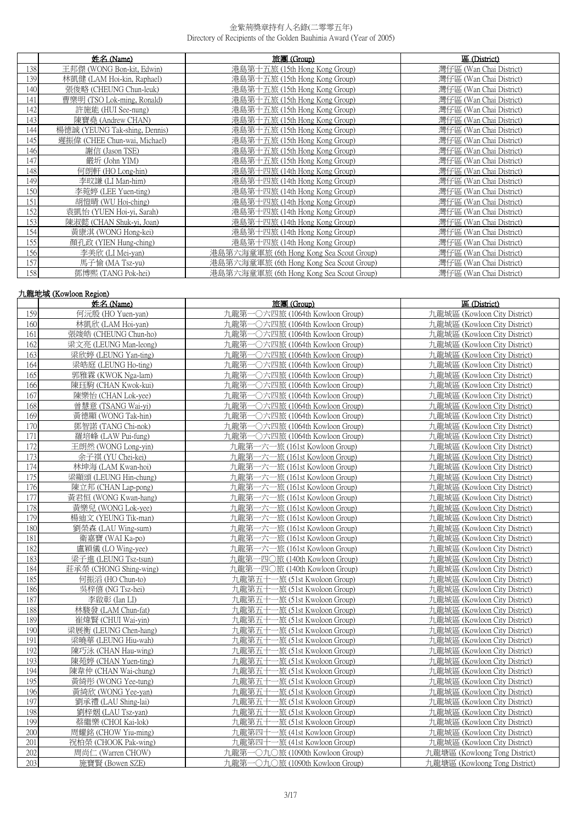|     | 姓名 (Name)                     | 旅團 (Group)                               | 區 (District)            |
|-----|-------------------------------|------------------------------------------|-------------------------|
| 138 | 王邦傑 (WONG Bon-kit, Edwin)     | 港島第十五旅 (15th Hong Kong Group)            | 灣仔區 (Wan Chai District) |
| 139 | 林凱健 (LAM Hoi-kin, Raphael)    | 港島第十五旅 (15th Hong Kong Group)            | 灣仔區 (Wan Chai District) |
| 140 | 張俊略 (CHEUNG Chun-leuk)        | 港島第十五旅 (15th Hong Kong Group)            | 灣仔區 (Wan Chai District) |
| 141 | 曹樂明 (TSO Lok-ming, Ronald)    | 港島第十五旅 (15th Hong Kong Group)            | 灣仔區 (Wan Chai District) |
| 142 | 許施能 (HUI See-nung)            | 港島第十五旅 (15th Hong Kong Group)            | 灣仔區 (Wan Chai District) |
| 143 | 陳寶堯 (Andrew CHAN)             | 港島第十五旅 (15th Hong Kong Group)            | 灣仔區 (Wan Chai District) |
| 144 | 楊德誠 (YEUNG Tak-shing, Dennis) | 港島第十五旅 (15th Hong Kong Group)            | 灣仔區 (Wan Chai District) |
| 145 | 遲振偉 (CHEE Chun-wai, Michael)  | 港島第十五旅 (15th Hong Kong Group)            | 灣仔區 (Wan Chai District) |
| 146 | 謝信 (Jason TSE)                | 港島第十五旅 (15th Hong Kong Group)            | 灣仔區 (Wan Chai District) |
| 147 | 嚴圻 (John YIM)                 | 港島第十五旅 (15th Hong Kong Group)            | 灣仔區 (Wan Chai District) |
| 148 | 何朗軒 (HO Long-hin)             | 港島第十四旅 (14th Hong Kong Group)            | 灣仔區 (Wan Chai District) |
| 149 | 李旼謙 (LI Man-him)              | 港島第十四旅 (14th Hong Kong Group)            | 灣仔區 (Wan Chai District) |
| 150 | 李菀婷 (LEE Yuen-ting)           | 港島第十四旅 (14th Hong Kong Group)            | 灣仔區 (Wan Chai District) |
| 151 | 胡愷晴 (WU Hoi-ching)            | 港島第十四旅 (14th Hong Kong Group)            | 灣仔區 (Wan Chai District) |
| 152 | 袁凱怡 (YUEN Hoi-yi, Sarah)      | 港島第十四旅 (14th Hong Kong Group)            | 灣仔區 (Wan Chai District) |
| 153 | 陳淑懿 (CHAN Shuk-yi, Joan)      | 港島第十四旅 (14th Hong Kong Group)            | 灣仔區 (Wan Chai District) |
| 154 | 黃康淇 (WONG Hong-kei)           | 港島第十四旅 (14th Hong Kong Group)            | 灣仔區 (Wan Chai District) |
| 155 | 顏孔政 (YIEN Hung-ching)         | 港島第十四旅 (14th Hong Kong Group)            | 灣仔區 (Wan Chai District) |
| 156 | 李美欣 (LI Mei-yan)              | 港島第六海童軍旅 (6th Hong Kong Sea Scout Group) | 灣仔區 (Wan Chai District) |
| 157 | 馬子愉 (MA Tsz-yu)               | 港島第六海童軍旅 (6th Hong Kong Sea Scout Group) | 灣仔區 (Wan Chai District) |
| 158 | 鄧博熙 (TANG Pok-hei)            | 港島第六海童軍旅 (6th Hong Kong Sea Scout Group) | 灣仔區 (Wan Chai District) |

## 九龍地域 (Kowloon Region)

|     | 姓名(Name)               | 旅團 (Group)                      | 區 (District)                  |
|-----|------------------------|---------------------------------|-------------------------------|
| 159 | 何沅殷 (HO Yuen-yan)      | 九龍第一〇六四旅 (1064th Kowloon Group) | 九龍城區 (Kowloon City District)  |
| 160 | 林凱欣 (LAM Hoi-yan)      | 九龍第一〇六四旅 (1064th Kowloon Group) | 九龍城區 (Kowloon City District)  |
| 161 | 張竣皓 (CHEUNG Chun-ho)   | 九龍第一〇六四旅 (1064th Kowloon Group) | 九龍城區 (Kowloon City District)  |
| 162 | 梁文亮 (LEUNG Man-leong)  | 九龍第一〇六四旅 (1064th Kowloon Group) | 九龍城區 (Kowloon City District)  |
| 163 | 梁欣婷 (LEUNG Yan-ting)   | 九龍第一〇六四旅 (1064th Kowloon Group) | 九龍城區 (Kowloon City District)  |
| 164 | 梁皓庭 (LEUNG Ho-ting)    | 九龍第一〇六四旅 (1064th Kowloon Group) | 九龍城區 (Kowloon City District)  |
| 165 | 郭雅霖 (KWOK Nga-lam)     | 九龍第一〇六四旅 (1064th Kowloon Group) | 九龍城區 (Kowloon City District)  |
| 166 | 陳珏駒 (CHAN Kwok-kui)    | 九龍第一〇六四旅 (1064th Kowloon Group) | 九龍城區 (Kowloon City District)  |
| 167 | 陳樂怡 (CHAN Lok-yee)     | 九龍第一〇六四旅 (1064th Kowloon Group) | 九龍城區 (Kowloon City District)  |
| 168 | 曾慧意 (TSANG Wai-yi)     | 九龍第一〇六四旅 (1064th Kowloon Group) | 九龍城區 (Kowloon City District)  |
| 169 | 黃德顯 (WONG Tak-hin)     | 九龍第一〇六四旅 (1064th Kowloon Group) | 九龍城區 (Kowloon City District)  |
| 170 | 鄧智諾 (TANG Chi-nok)     | 九龍第一〇六四旅 (1064th Kowloon Group) | 九龍城區 (Kowloon City District)  |
| 171 | 羅培峰 (LAW Pui-fung)     | 九龍第一〇六四旅 (1064th Kowloon Group) | 九龍城區 (Kowloon City District)  |
| 172 | 王朗然 (WONG Long-yin)    | 九龍第一六一旅 (161st Kowloon Group)   | 九龍城區 (Kowloon City District)  |
| 173 | 余子祺 (YU Chei-kei)      | 九龍第一六一旅 (161st Kowloon Group)   | 九龍城區 (Kowloon City District)  |
| 174 | 林坤海 (LAM Kwan-hoi)     | 九龍第一六一旅 (161st Kowloon Group)   | 九龍城區 (Kowloon City District)  |
| 175 | 梁顯頌 (LEUNG Hin-chung)  | 九龍第一六一旅 (161st Kowloon Group)   | 九龍城區 (Kowloon City District)  |
| 176 | 陳立邦 (CHAN Lap-pong)    | 九龍第一六一旅 (161st Kowloon Group)   | 九龍城區 (Kowloon City District)  |
| 177 | 黃君恒 (WONG Kwan-hang)   | 九龍第一六一旅 (161st Kowloon Group)   | 九龍城區 (Kowloon City District)  |
| 178 | 黃樂兒 (WONG Lok-yee)     | 九龍第一六一旅 (161st Kowloon Group)   | 九龍城區 (Kowloon City District)  |
| 179 | 楊迪文 (YEUNG Tik-man)    | 九龍第一六一旅 (161st Kowloon Group)   | 九龍城區 (Kowloon City District)  |
| 180 | 劉榮森 (LAU Wing-sum)     | 九龍第一六一旅 (161st Kowloon Group)   | 九龍城區 (Kowloon City District)  |
| 181 | 衛嘉寶 (WAI Ka-po)        | 九龍第一六一旅 (161st Kowloon Group)   | 九龍城區 (Kowloon City District)  |
| 182 | 盧穎儀 (LO Wing-yee)      | 九龍第一六一旅 (161st Kowloon Group)   | 九龍城區 (Kowloon City District)  |
| 183 | 梁子進 (LEUNG Tsz-tsun)   | 九龍第一四〇旅 (140th Kowloon Group)   | 九龍城區 (Kowloon City District)  |
| 184 | 莊承榮 (CHONG Shing-wing) | 九龍第一四〇旅 (140th Kowloon Group)   | 九龍城區 (Kowloon City District)  |
| 185 | 何振滔 (HO Chun-to)       | 九龍第五十一旅 (51st Kwoloon Group)    | 九龍城區 (Kowloon City District)  |
| 186 | 吳梓僖 (NG Tsz-hei)       | 九龍第五十一旅 (51st Kwoloon Group)    | 九龍城區 (Kowloon City District)  |
| 187 | 李啟彰 (Ian LI)           | 九龍第五十一旅 (51st Kwoloon Group)    | 九龍城區 (Kowloon City District)  |
| 188 | 林駿發 (LAM Chun-fat)     | 九龍第五十一旅 (51st Kwoloon Group)    | 九龍城區 (Kowloon City District)  |
| 189 | 崔煒賢 (CHUI Wai-yin)     | 九龍第五十一旅 (51st Kwoloon Group)    | 九龍城區 (Kowloon City District)  |
| 190 | 梁展衡 (LEUNG Chen-hang)  | 九龍第五十一旅 (51st Kwoloon Group)    | 九龍城區 (Kowloon City District)  |
| 191 | 梁曉華 (LEUNG Hiu-wah)    | 九龍第五十一旅 (51st Kwoloon Group)    | 九龍城區 (Kowloon City District)  |
| 192 | 陳巧泳 (CHAN Hau-wing)    | 九龍第五十一旅 (51st Kwoloon Group)    | 九龍城區 (Kowloon City District)  |
| 193 | 陳苑婷 (CHAN Yuen-ting)   | 九龍第五十一旅 (51st Kwoloon Group)    | 九龍城區 (Kowloon City District)  |
| 194 | 陳韋仲 (CHAN Wai-chung)   | 九龍第五十一旅 (51st Kwoloon Group)    | 九龍城區 (Kowloon City District)  |
| 195 | 黃綺彤 (WONG Yee-tung)    | 九龍第五十一旅 (51st Kwoloon Group)    | 九龍城區 (Kowloon City District)  |
| 196 | 黃綺欣 (WONG Yee-yan)     | 九龍第五十一旅 (51st Kwoloon Group)    | 九龍城區 (Kowloon City District)  |
| 197 | 劉承禮 (LAU Shing-lai)    | 九龍第五十一旅 (51st Kwoloon Group)    | 九龍城區 (Kowloon City District)  |
| 198 | 劉梓姻 (LAU Tsz-yan)      | 九龍第五十一旅 (51st Kwoloon Group)    | 九龍城區 (Kowloon City District)  |
| 199 | 蔡繼樂 (CHOI Kai-lok)     | 九龍第五十一旅 (51st Kwoloon Group)    | 九龍城區 (Kowloon City District)  |
| 200 | 周耀銘 (CHOW Yiu-ming)    | 九龍第四十一旅 (41st Kowloon Group)    | 九龍城區 (Kowloon City District)  |
| 201 | 祝柏榮 (CHOOK Pak-wing)   | 九龍第四十一旅 (41st Kowloon Group)    | 九龍城區 (Kowloon City District)  |
| 202 | 周尚仁 (Warren CHOW)      | 九龍第一〇九〇旅 (1090th Kowloon Group) | 九龍塘區 (Kowloong Tong District) |
| 203 | 施寶賢 (Bowen SZE)        | 九龍第一〇九〇旅 (1090th Kowloon Group) | 九龍塘區 (Kowloong Tong District) |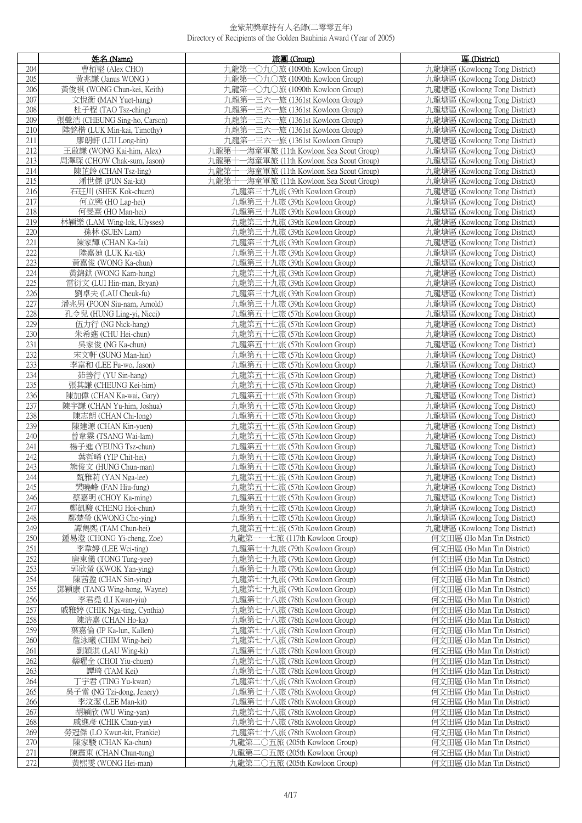|            | 姓名 (Name)                                               | 旅團 (Group)                                                     | 區 (District)                                                   |
|------------|---------------------------------------------------------|----------------------------------------------------------------|----------------------------------------------------------------|
| 204        | 曹栢堅 (Alex CHO)                                          | −○九○旅 (1090th Kowloon Group)<br>九龍第一                           | 九龍塘區 (Kowloong Tong District)                                  |
| 205        | 黃兆謙 (Janus WONG)                                        | 九龍第一〇九〇旅 (1090th Kowloon Group)                                | 九龍塘區 (Kowloong Tong District)                                  |
| 206        | 黃俊祺 (WONG Chun-kei, Keith)                              | 九龍第一〇九〇旅 (1090th Kowloon Group)                                | 九龍塘區 (Kowloong Tong District)                                  |
| 207        | 文悅衡 (MAN Yuet-hang)                                     | 九龍第<br>-三六一旅 (1361st Kowloon Group)                            | 九龍塘區 (Kowloong Tong District)                                  |
| 208        | 杜子程 (TAO Tsz-ching)                                     | 九龍第一三六一旅 (1361st Kowloon Group)                                | 九龍塘區 (Kowloong Tong District)                                  |
| 209        | 張聲浩 (CHEUNG Sing-ho, Carson)                            | 九龍第一三六一旅 (1361st Kowloon Group)                                | 九龍塘區 (Kowloong Tong District)                                  |
| 210        | 陸銘楷 (LUK Min-kai, Timothy)                              | 九龍第一三六一旅 (1361st Kowloon Group)                                | 九龍塘區 (Kowloong Tong District)                                  |
| 211        | 廖朗軒 (LIU Long-hin)                                      | 九龍第一三六一旅 (1361st Kowloon Group)                                | 九龍塘區 (Kowloong Tong District)                                  |
| 212        | 王啟謙 (WONG Kai-him, Alex)                                | 九龍第十一海童軍旅 (11th Kowloon Sea Scout Group)                       | 九龍塘區 (Kowloong Tong District)                                  |
| 213        | 周澤琛 (CHOW Chak-sum, Jason)                              | 九龍第十一海童軍旅 (11th Kowloon Sea Scout Group)                       | 九龍塘區 (Kowloong Tong District)                                  |
| 214        | 陳芷鈴 (CHAN Tsz-ling)                                     | 九龍第十一海童軍旅 (11th Kowloon Sea Scout Group)                       | 九龍塘區 (Kowloong Tong District)                                  |
| 215        | 潘世傑 (PUN Sai-kit)                                       | 九龍第十一海童軍旅 (11th Kowloon Sea Scout Group)                       | 九龍塘區 (Kowloong Tong District)                                  |
| 216        | 石玨川 (SHEK Kok-chuen)                                    | 九龍第三十九旅 (39th Kowloon Group)                                   | 九龍塘區 (Kowloong Tong District)                                  |
| 217        | 何立熙 (HO Lap-hei)                                        | 九龍第三十九旅 (39th Kowloon Group)                                   | 九龍塘區 (Kowloong Tong District)                                  |
| 218        | 何旻熹 (HO Man-hei)                                        | 九龍第三十九旅 (39th Kowloon Group)                                   | 九龍塘區 (Kowloong Tong District)                                  |
| 219        | 林穎樂 (LAM Wing-lok, Ulysses)                             | 九龍第三十九旅 (39th Kowloon Group)                                   | 九龍塘區 (Kowloong Tong District)                                  |
| 220        | 孫林 (SUEN Lam)                                           | 九龍第三十九旅 (39th Kowloon Group)                                   | 九龍塘區 (Kowloong Tong District)                                  |
| 221        | 陳家輝 (CHAN Ka-fai)                                       | 九龍第三十九旅 (39th Kowloon Group)                                   | 九龍塘區 (Kowloong Tong District)                                  |
| 222        | 陸嘉廸 (LUK Ka-tik)                                        | 九龍第三十九旅 (39th Kowloon Group)                                   | 九龍塘區 (Kowloong Tong District)                                  |
| 223        | 黃嘉俊 (WONG Ka-chun)                                      | 九龍第三十九旅 (39th Kowloon Group)                                   | 九龍塘區 (Kowloong Tong District)                                  |
| 224        | 黃錦鉷 (WONG Kam-hung)                                     | 九龍第三十九旅 (39th Kowloon Group)                                   | 九龍塘區 (Kowloong Tong District)                                  |
| 225        | 雷衍文 (LUI Hin-man, Bryan)                                | 九龍第三十九旅 (39th Kowloon Group)                                   | 九龍塘區 (Kowloong Tong District)                                  |
| 226        | 劉卓夫 (LAU Cheuk-fu)                                      | 九龍第三十九旅 (39th Kowloon Group)                                   | 九龍塘區 (Kowloong Tong District)                                  |
| 227<br>228 | 潘兆男 (POON Siu-nam, Arnold)<br>孔令兒 (HUNG Ling-yi, Nicci) | 九龍第三十九旅 (39th Kowloon Group)                                   | 九龍塘區 (Kowloong Tong District)                                  |
| 229        | 伍力行 (NG Nick-hang)                                      | 九龍第五十七旅 (57th Kowloon Group)<br>九龍第五十七旅 (57th Kowloon Group)   | 九龍塘區 (Kowloong Tong District)<br>九龍塘區 (Kowloong Tong District) |
| 230        | 朱希進 (CHU Hei-chun)                                      | 九龍第五十七旅 (57th Kowloon Group)                                   | 九龍塘區 (Kowloong Tong District)                                  |
| 231        | 吳家俊 (NG Ka-chun)                                        | 九龍第五十七旅 (57th Kowloon Group)                                   | 九龍塘區 (Kowloong Tong District)                                  |
| 232        | 宋文軒 (SUNG Man-hin)                                      | 九龍第五十七旅 (57th Kowloon Group)                                   | 九龍塘區 (Kowloong Tong District)                                  |
| 233        | 李富和 (LEE Fu-wo, Jason)                                  | 九龍第五十七旅 (57th Kowloon Group)                                   | 九龍塘區 (Kowloong Tong District)                                  |
| 234        | 茹善行 (YU Sin-hang)                                       | 九龍第五十七旅 (57th Kowloon Group)                                   | 九龍塘區 (Kowloong Tong District)                                  |
| 235        | 張其謙 (CHEUNG Kei-him)                                    | 九龍第五十七旅 (57th Kowloon Group)                                   | 九龍塘區 (Kowloong Tong District)                                  |
| 236        | 陳加偉 (CHAN Ka-wai, Gary)                                 | 九龍第五十七旅 (57th Kowloon Group)                                   | 九龍塘區 (Kowloong Tong District)                                  |
| 237        | 陳宇謙 (CHAN Yu-him, Joshua)                               | 九龍第五十七旅 (57th Kowloon Group)                                   | 九龍塘區 (Kowloong Tong District)                                  |
| 238        | 陳志朗 (CHAN Chi-long)                                     | 九龍第五十七旅 (57th Kowloon Group)                                   | 九龍塘區 (Kowloong Tong District)                                  |
| 239        | 陳建源 (CHAN Kin-yuen)                                     | 九龍第五十七旅 (57th Kowloon Group)                                   | 九龍塘區 (Kowloong Tong District)                                  |
| 240        | 曾韋霖 (TSANG Wai-lam)                                     | 九龍第五十七旅 (57th Kowloon Group)                                   | 九龍塘區 (Kowloong Tong District)                                  |
| 241        | 楊子進 (YEUNG Tsz-chun)                                    | 九龍第五十七旅 (57th Kowloon Group)                                   | 九龍塘區 (Kowloong Tong District)                                  |
| 242<br>243 | 葉哲晞 (YIP Chit-hei)<br>熊俊文 (HUNG Chun-man)               | 九龍第五十七旅 (57th Kowloon Group)<br>九龍第五十七旅 (57th Kowloon Group)   | 九龍塘區 (Kowloong Tong District)<br>九龍塘區 (Kowloong Tong District) |
| 244        | 甄雅莉 (YAN Nga-lee)                                       | 九龍第五十七旅 (57th Kowloon Group)                                   | 九龍塘區 (Kowloong Tong District)                                  |
| 245        | 樊曉峰 (FAN Hiu-fung)                                      | 九龍第五十七旅 (57th Kowloon Group)                                   | 九龍塘區 (Kowloong Tong District)                                  |
| 246        | 蔡嘉明 (CHOY Ka-ming)                                      | 九龍第五十七旅 (57th Kowloon Group)                                   | 九龍塘區 (Kowloong Tong District)                                  |
| 247        | 鄭凱駿 (CHENG Hoi-chun)                                    | 九龍第五十七旅 (57th Kowloon Group)                                   | 力龍塘區 (Kowloong Tong District)                                  |
| 248        | 鄺楚瑩 (KWONG Cho-ving)                                    | 九龍第五十七旅 (57th Kowloon Group)                                   | 九龍塘區 (Kowloong Tong District)                                  |
| 249        | 譚雋熙 (TAM Chun-hei)                                      | 九龍第五十七旅 (57th Kowloon Group)                                   | 九龍塘區 (Kowloong Tong District)                                  |
| 250        | 鍾易澄 (CHONG Yi-cheng, Zoe)                               | 九龍第一一七旅 (117th Kowloon Group)                                  | 何文田區 (Ho Man Tin District)                                     |
| 251        | 李韋婷 (LEE Wei-ting)                                      | 九龍第七十九旅 (79th Kowloon Group)                                   | 何文田區 (Ho Man Tin District)                                     |
| 252        | 唐東儀 (TONG Tung-yee)                                     | 九龍第七十九旅 (79th Kowloon Group)                                   | 何文田區 (Ho Man Tin District)                                     |
| 253        | 郭欣螢 (KWOK Yan-ying)                                     | 九龍第七十九旅 (79th Kowloon Group)                                   | 何文田區 (Ho Man Tin District)                                     |
| 254        | 陳茜盈 (CHAN Sin-ying)                                     | 九龍第七十九旅 (79th Kowloon Group)                                   | 何文田區 (Ho Man Tin District)                                     |
| 255<br>256 | 鄧穎康 (TANG Wing-hong, Wayne)<br>李君堯 (LI Kwan-yiu)        | 九龍第七十九旅 (79th Kowloon Group)<br>九龍第七十八旅 (78th Kowloon Group)   | 何文田區 (Ho Man Tin District)<br>何文田區 (Ho Man Tin District)       |
| 257        | 戚雅婷 (CHIK Nga-ting, Cynthia)                            | 九龍第七十八旅 (78th Kowloon Group)                                   | 何文田區 (Ho Man Tin District)                                     |
| 258        | 陳浩嘉 (CHAN Ho-ka)                                        | 九龍第七十八旅 (78th Kowloon Group)                                   | 何文田區 (Ho Man Tin District)                                     |
| 259        | 葉嘉倫 (IP Ka-lun, Kallen)                                 | 九龍第七十八旅 (78th Kowloon Group)                                   | 何文田區 (Ho Man Tin District)                                     |
| 260        | 詹泳曦 (CHIM Wing-hei)                                     | 九龍第七十八旅 (78th Kowloon Group)                                   | 何文田區 (Ho Man Tin District)                                     |
| 261        | 劉穎淇 (LAU Wing-ki)                                       | 九龍第七十八旅 (78th Kowloon Group)                                   | 何文田區 (Ho Man Tin District)                                     |
| 262        | 蔡曜全 (CHOI Yiu-chuen)                                    | 九龍第七十八旅 (78th Kowloon Group)                                   | 何文田區 (Ho Man Tin District)                                     |
| 263        | 譚琦 (TAM Kei)                                            | 九龍第七十八旅 (78th Kowloon Group)                                   | 何文田區 (Ho Man Tin District)                                     |
| 264        | 丁宇君 (TING Yu-kwan)                                      | 九龍第七十八旅 (78th Kwoloon Group)                                   | 何文田區 (Ho Man Tin District)                                     |
| 265        | 吳子當 (NG Tzi-dong, Jenery)                               | 九龍第七十八旅 (78th Kwoloon Group)                                   | 何文田區 (Ho Man Tin District)                                     |
| 266        | 李汶潔 (LEE Man-kit)                                       | 九龍第七十八旅 (78th Kwoloon Group)                                   | 何文田區 (Ho Man Tin District)                                     |
| 267        | 胡穎欣 (WU Wing-yan)                                       | 九龍第七十八旅 (78th Kwoloon Group)                                   | 何文田區 (Ho Man Tin District)                                     |
| 268        | 戚進彥 (CHIK Chun-yin)                                     | 九龍第七十八旅 (78th Kwoloon Group)                                   | 何文田區 (Ho Man Tin District)                                     |
| 269        | 勞冠傑 (LO Kwun-kit, Frankie)                              | 九龍第七十八旅 (78th Kwoloon Group)                                   | 何文田區 (Ho Man Tin District)                                     |
| 270<br>271 | 陳家駿 (CHAN Ka-chun)                                      | 九龍第二〇五旅 (205th Kowloon Group)                                  | 何文田區 (Ho Man Tin District)                                     |
| 272        | 陳震東 (CHAN Chun-tung)<br>黃熙雯 (WONG Hei-man)              | 九龍第二〇五旅 (205th Kowloon Group)<br>九龍第二〇五旅 (205th Kowloon Group) | 何文田區 (Ho Man Tin District)<br>何文田區 (Ho Man Tin District)       |
|            |                                                         |                                                                |                                                                |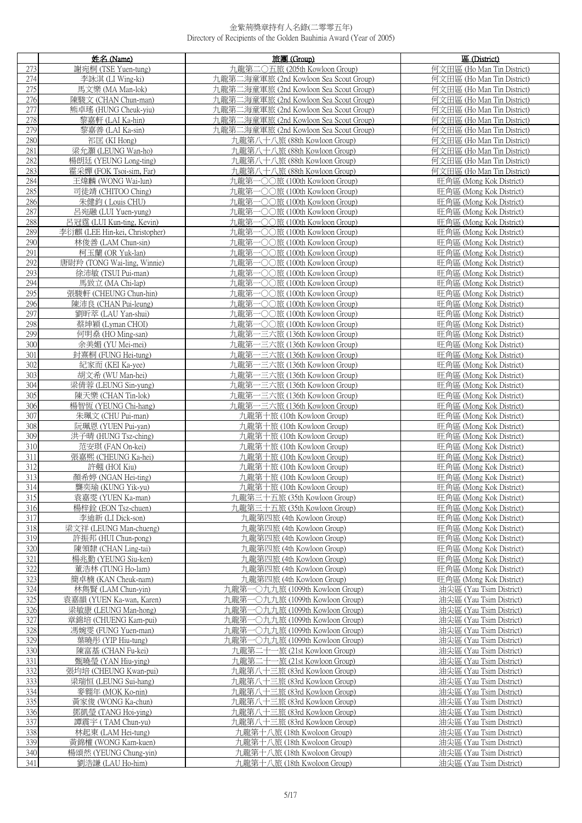|            | 姓名 (Name)                                   | 旅團 (Group)                                             | 區 (District)                                       |
|------------|---------------------------------------------|--------------------------------------------------------|----------------------------------------------------|
| 273        | 謝宛桐 (TSE Yuen-tung)                         | 九龍第二〇五旅 (205th Kowloon Group)                          | 何文田區 (Ho Man Tin District)                         |
| 274        | 李詠淇 (LI Wing-ki)                            | 九龍第二海童軍旅 (2nd Kowloon Sea Scout Group)                 | 何文田區 (Ho Man Tin District)                         |
| 275        | 馬文樂 (MA Man-lok)                            | 九龍第二海童軍旅 (2nd Kowloon Sea Scout Group)                 | 何文田區 (Ho Man Tin District)                         |
| 276        | 陳駿文 (CHAN Chun-man)                         | 九龍第二海童軍旅 (2nd Kowloon Sea Scout Group)                 | 何文田區 (Ho Man Tin District)                         |
| 277        | 熊卓瑤 (HUNG Cheuk-viu)                        | 九龍第二海童軍旅 (2nd Kowloon Sea Scout Group)                 | 何文田區 (Ho Man Tin District)                         |
| 278        | 黎嘉軒 (LAI Ka-hin)                            | 九龍第二海童軍旅 (2nd Kowloon Sea Scout Group)                 | 何文田區 (Ho Man Tin District)                         |
| 279        | 黎嘉善 (LAI Ka-sin)                            | 九龍第二海童軍旅 (2nd Kowloon Sea Scout Group)                 | 何文田區 (Ho Man Tin District)                         |
| 280        | 祁匡 (KI Hong)                                | 九龍第八十八旅 (88th Kowloon Group)                           | 何文田區 (Ho Man Tin District)                         |
| 281        | 梁允灝 (LEUNG Wan-ho)                          | 九龍第八十八旅 (88th Kowloon Group)                           | 何文田區 (Ho Man Tin District)                         |
| 282        | 楊朗廷 (YEUNG Long-ting)                       | 九龍第八十八旅 (88th Kowloon Group)                           | 何文田區 (Ho Man Tin District)                         |
| 283        | 霍采嬋 (FOK Tsoi-sim, Far)                     | 九龍第八十八旅 (88th Kowloon Group)                           | 何文田區 (Ho Man Tin District)                         |
| 284        | 王煒麟 (WONG Wai-lun)                          | 九龍第一〇〇旅 (100th Kowloon Group)                          | 旺角區 (Mong Kok District)                            |
| 285        | 司徒靖 (CHITOO Ching)                          | 九龍第一〇〇旅 (100th Kowloon Group)                          | 旺角區 (Mong Kok District)                            |
| 286        | 朱健鈞 (Louis CHU)                             | 九龍第一〇〇旅 (100th Kowloon Group)                          | 旺角區 (Mong Kok District)                            |
| 287        | 吕宛融 (LUI Yuen-yung)                         | 九龍第一〇〇旅 (100th Kowloon Group)                          | 旺角區 (Mong Kok District)                            |
| 288        | 呂冠霆 (LUI Kun-ting, Kevin)                   | 九龍第一〇〇旅 (100th Kowloon Group)                          | 旺角區 (Mong Kok District)                            |
| 289        | 李衍麒 (LEE Hin-kei, Christopher)              | 九龍第一〇〇旅 (100th Kowloon Group)                          | 旺角區 (Mong Kok District)                            |
| 290        | 林俊善 (LAM Chun-sin)                          | 九龍第一〇〇旅 (100th Kowloon Group)                          | 旺角區 (Mong Kok District)                            |
| 291        | 柯玉蘭 (OR Yuk-lan)                            | 九龍第一〇〇旅 (100th Kowloon Group)                          | 旺角區 (Mong Kok District)                            |
| 292        | 唐尉羚 (TONG Wai-ling, Winnie)                 | 九龍第一〇〇旅 (100th Kowloon Group)                          | 旺角區 (Mong Kok District)                            |
| 293        | 徐沛敏 (TSUI Pui-man)                          | 九龍第一〇〇旅 (100th Kowloon Group)                          | 旺角區 (Mong Kok District)                            |
| 294        | 馬致立 (MA Chi-lap)                            | 九龍第一〇〇旅 (100th Kowloon Group)                          | 旺角區 (Mong Kok District)                            |
| 295        | 張駿軒 (CHEUNG Chun-hin)                       | 九龍第一〇〇旅 (100th Kowloon Group)                          | 旺角區 (Mong Kok District)                            |
| 296        | 陳沛良 (CHAN Pui-leung)                        | 九龍第一〇〇旅 (100th Kowloon Group)                          | 旺角區 (Mong Kok District)                            |
| 297        | 劉昕萃 (LAU Yan-shui)                          | 九龍第一〇〇旅 (100th Kowloon Group)                          | 旺角區 (Mong Kok District)                            |
| 298        | 蔡坤穎 (Lyman CHOI)                            | 九龍第一〇〇旅 (100th Kowloon Group)                          | 旺角區 (Mong Kok District)                            |
| 299        | 何明燊 (HO Ming-san)                           | 九龍第一三六旅 (136th Kowloon Group)                          | 旺角區 (Mong Kok District)                            |
| 300        | 余美媚 (YU Mei-mei)                            | 九龍第一三六旅 (136th Kowloon Group)                          | 旺角區 (Mong Kok District)                            |
| 301        | 封熹桐 (FUNG Hei-tung)                         | 九龍第一三六旅 (136th Kowloon Group)                          | 旺角區 (Mong Kok District)                            |
| 302        | 紀家而 (KEI Ka-yee)                            | 九龍第一三六旅 (136th Kowloon Group)                          | 旺角區 (Mong Kok District)                            |
| 303        | 胡文希 (WU Man-hei)                            | 九龍第一三六旅 (136th Kowloon Group)                          | 旺角區 (Mong Kok District)                            |
| 304        | 梁倩蓉 (LEUNG Sin-yung)                        | 九龍第一三六旅 (136th Kowloon Group)                          | 旺角區 (Mong Kok District)                            |
| 305        | 陳天樂 (CHAN Tin-lok)                          | 九龍第一三六旅 (136th Kowloon Group)                          | 旺角區 (Mong Kok District)                            |
| 306        | 楊智恆 (YEUNG Chi-hang)                        | 九龍第一三六旅 (136th Kowloon Group)                          | 旺角區 (Mong Kok District)                            |
| 307        | 朱珮文 (CHU Pui-man)                           | 九龍第十旅 (10th Kowloon Group)                             | 旺角區 (Mong Kok District)                            |
| 308        | 阮珮恩 (YUEN Pui-yan)                          | 九龍第十旅 (10th Kowloon Group)                             | 旺角區 (Mong Kok District)                            |
| 309        | 洪子晴 (HUNG Tsz-ching)                        | 九龍第十旅 (10th Kowloon Group)                             | 旺角區 (Mong Kok District)                            |
| 310        | 范安琪 (FAN On-kei)                            | 九龍第十旅 (10th Kowloon Group)                             | 旺角區 (Mong Kok District)                            |
| 311        | 張嘉熙 (CHEUNG Ka-hei)                         | 九龍第十旅 (10th Kowloon Group)                             | 旺角區 (Mong Kok District)                            |
| 312        | 許翹 (HOI Kiu)                                | 九龍第十旅 (10th Kowloon Group)                             | 旺角區 (Mong Kok District)                            |
| 313        | 顏希婷 (NGAN Hei-ting)                         | 九龍第十旅 (10th Kowloon Group)                             | 旺角區 (Mong Kok District)                            |
| 314        | 龔奕瑜 (KUNG Yik-yu)                           | 九龍第十旅 (10th Kowloon Group)                             | 旺角區 (Mong Kok District)                            |
| 315        | 袁嘉雯 (YUEN Ka-man)                           | 九龍第三十五旅 (35th Kowloon Group)                           | 旺角區 (Mong Kok District)                            |
| 316        | 楊梓銓 (EON Tsz-chuen)                         | 九龍第三十五旅 (35th Kowloon Group)                           | 旺角區 (Mong Kok District)                            |
| 317<br>318 | 李迪新 (LI Dick-son)<br>梁文祥 (LEUNG Man-chueng) | 九龍第四旅 (4th Kowloon Group)<br>九龍第四旅 (4th Kowloon Group) | 旺角區 (Mong Kok District)<br>旺角區 (Mong Kok District) |
| 319        | 許振邦 (HUI Chun-pong)                         | 九龍第四旅 (4th Kowloon Group)                              | 旺角區 (Mong Kok District)                            |
| 320        | 陳領隸 (CHAN Ling-tai)                         | 九龍第四旅 (4th Kowloon Group)                              | 旺角區 (Mong Kok District)                            |
| 321        | 楊兆勤 (YEUNG Siu-ken)                         | 九龍第四旅 (4th Kowloon Group)                              | 旺角區 (Mong Kok District)                            |
| 322        | 董浩林 (TUNG Ho-lam)                           | 九龍第四旅 (4th Kowloon Group)                              | 旺角區 (Mong Kok District)                            |
| 323        | 簡卓楠 (KAN Cheuk-nam)                         | 九龍第四旅 (4th Kowloon Group)                              | 旺角區 (Mong Kok District)                            |
| 324        | 林雋賢 (LAM Chun-yin)                          | 九龍第一〇九九旅 (1099th Kowloon Group)                        | 油尖區 (Yau Tsim District)                            |
| 325        | 袁嘉韻 (YUEN Ka-wan, Karen)                    | 九龍第一〇九九旅 (1099th Kowloon Group)                        | 油尖區 (Yau Tsim District)                            |
| 326        | 梁敏康 (LEUNG Man-hong)                        | 九龍第一〇九九旅 (1099th Kowloon Group)                        | 油尖區 (Yau Tsim District)                            |
| 327        | 章錦培 (CHUENG Kam-pui)                        | 九龍第一〇九九旅 (1099th Kowloon Group)                        | 油尖區 (Yau Tsim District)                            |
| 328        | 馮婉雯 (FUNG Yuen-man)                         | 九龍第一〇九九旅 (1099th Kowloon Group)                        | 油尖區 (Yau Tsim District)                            |
| 329        | 葉曉彤 (YIP Hiu-tung)                          | 九龍第一〇九九旅 (1099th Kowloon Group)                        | 油尖區 (Yau Tsim District)                            |
| 330        | 陳富基 (CHAN Fu-kei)                           | 九龍第二十一旅 (21st Kowloon Group)                           | 油尖區 (Yau Tsim District)                            |
| 331        | 甄曉瑩 (YAN Hiu-ying)                          | 九龍第二十一旅 (21st Kowloon Group)                           | 油尖區 (Yau Tsim District)                            |
| 332        | 張均培 (CHEUNG Kwan-pui)                       | 九龍第八十三旅 (83rd Kowloon Group)                           | 油尖區 (Yau Tsim District)                            |
| 333        | 梁瑞恒 (LEUNG Sui-hang)                        | 九龍第八十三旅 (83rd Kowloon Group)                           | 油尖區 (Yau Tsim District)                            |
| 334        | 麥翱年 (MOK Ko-nin)                            | 九龍第八十三旅 (83rd Kowloon Group)                           | 油尖區 (Yau Tsim District)                            |
| 335        | 黃家俊 (WONG Ka-chun)                          | 九龍第八十三旅 (83rd Kowloon Group)                           | 油尖區 (Yau Tsim District)                            |
| 336        | 鄧凱瑩 (TANG Hoi-ying)                         | 九龍第八十三旅 (83rd Kowloon Group)                           | 油尖區 (Yau Tsim District)                            |
| 337        | 譚震宇 (TAM Chun-yu)                           | 九龍第八十三旅 (83rd Kowloon Group)                           | 油尖區 (Yau Tsim District)                            |
| 338        | 林起東 (LAM Hei-tung)                          | 九龍第十八旅 (18th Kwoloon Group)                            | 油尖區 (Yau Tsim District)                            |
| 339        | 黃錦權 (WONG Kam-kuen)                         | 九龍第十八旅 (18th Kwoloon Group)                            | 油尖區 (Yau Tsim District)                            |
| 340        | 楊頌然 (YEUNG Chung-yin)                       | 九龍第十八旅 (18th Kwoloon Group)                            | 油尖區 (Yau Tsim District)                            |
| 341        | 劉浩謙 (LAU Ho-him)                            | 九龍第十八旅 (18th Kwoloon Group)                            | 油尖區 (Yau Tsim District)                            |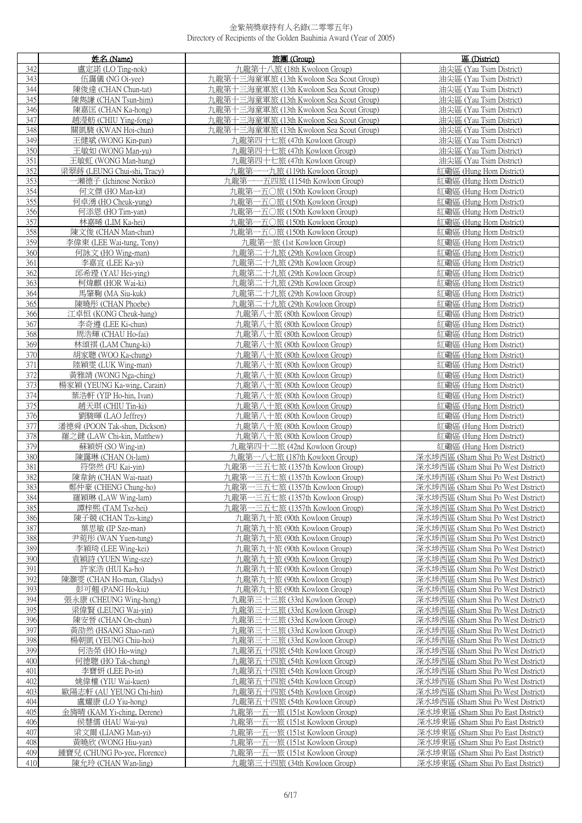|            | 姓名 (Name)                                             | 旅團 (Group)                                                       | 區 (District)                                                             |
|------------|-------------------------------------------------------|------------------------------------------------------------------|--------------------------------------------------------------------------|
| 342        | 盧定諾 (LO Ting-nok)                                     | 九龍第十八旅 (18th Kwoloon Group)                                      | 油尖區 (Yau Tsim District)                                                  |
| 343        | 伍靄儀 (NG Oi-vee)                                       | 九龍第十三海童軍旅 (13th Kwoloon Sea Scout Group)                         | 油尖區 (Yau Tsim District)                                                  |
| 344        | 陳俊達 (CHAN Chun-tat)                                   | 九龍第十三海童軍旅 (13th Kwoloon Sea Scout Group)                         | 油尖區 (Yau Tsim District)                                                  |
| 345        | 陳雋謙 (CHAN Tsun-him)                                   | 九龍第十三海童軍旅 (13th Kwoloon Sea Scout Group)                         | 油尖區 (Yau Tsim District)                                                  |
| 346        | 陳嘉匡 (CHAN Ka-hong)                                    | 九龍第十三海童軍旅 (13th Kwoloon Sea Scout Group)                         | 油尖區 (Yau Tsim District)                                                  |
| 347        | 趙瀅舫 (CHIU Ying-fong)                                  | 九龍第十三海童軍旅 (13th Kwoloon Sea Scout Group)                         | 油尖區 (Yau Tsim District)                                                  |
| 348        | 關凱駿 (KWAN Hoi-chun)                                   | 九龍第十三海童軍旅 (13th Kwoloon Sea Scout Group)                         | 油尖區 (Yau Tsim District)                                                  |
| 349        | 王健斌 (WONG Kin-pan)                                    | 九龍第四十七旅 (47th Kowloon Group)                                     | 油尖區 (Yau Tsim District)                                                  |
| 350        | 王敏如 (WONG Man-yu)                                     | 九龍第四十七旅 (47th Kowloon Group)                                     | 油尖區 (Yau Tsim District)                                                  |
| 351        | 王敏虹 (WONG Man-hung)                                   | 九龍第四十七旅 (47th Kowloon Group)                                     | 油尖區 (Yau Tsim District)                                                  |
| 352<br>353 | 梁翠蒔 (LEUNG Chui-shi, Tracy)<br>一瀨德子 (Ichinose Noriko) | 九龍第一一九旅 (119th Kowloon Group)                                    | 紅磡區 (Hung Hom District)<br>紅磡區 (Hung Hom District)                       |
| 354        | 何文傑 (HO Man-kit)                                      | 九龍第一一五四旅 (1154th Kowloon Group)<br>九龍第一五〇旅 (150th Kowloon Group) | 紅磡區 (Hung Hom District)                                                  |
| 355        | 何卓湧 (HO Cheuk-yung)                                   | 九龍第一五〇旅 (150th Kowloon Group)                                    | 紅磡區 (Hung Hom District)                                                  |
| 356        | 何添恩 (HO Tim-yan)                                      | 九龍第一五〇旅 (150th Kowloon Group)                                    | 紅磡區 (Hung Hom District)                                                  |
| 357        | 林嘉晞 (LIM Ka-hei)                                      | 九龍第一五〇旅 (150th Kowloon Group)                                    | 紅磡區 (Hung Hom District)                                                  |
| 358        | 陳文俊 (CHAN Man-chun)                                   | 九龍第一五〇旅 (150th Kowloon Group)                                    | 紅磡區 (Hung Hom District)                                                  |
| 359        | 李偉東 (LEE Wai-tung, Tony)                              | 九龍第一旅 (1st Kowloon Group)                                        | 紅磡區 (Hung Hom District)                                                  |
| 360        | 何詠文 (HO Wing-man)                                     | 九龍第二十九旅 (29th Kowloon Group)                                     | 紅磡區 (Hung Hom District)                                                  |
| 361        | 李嘉宜 (LEE Ka-yi)                                       | 九龍第二十九旅 (29th Kowloon Group)                                     | 紅磡區 (Hung Hom District)                                                  |
| 362        | 邱希璒 (YAU Hei-ving)                                    | 九龍第二十九旅 (29th Kowloon Group)                                     | 紅磡區 (Hung Hom District)                                                  |
| 363        | 柯煒麒 (HOR Wai-ki)                                      | 九龍第二十九旅 (29th Kowloon Group)                                     | 紅磡區 (Hung Hom District)                                                  |
| 364        | 馬肇鞠 (MA Siu-kuk)                                      | 九龍第二十九旅 (29th Kowloon Group)                                     | 紅磡區 (Hung Hom District)                                                  |
| 365        | 陳曉形 (CHAN Phoebe)                                     | 九龍第二十九旅 (29th Kowloon Group)                                     | 紅磡區 (Hung Hom District)                                                  |
| 366        | 江卓恒 (KONG Cheuk-hang)                                 | 九龍第八十旅 (80th Kowloon Group)                                      | 紅磡區 (Hung Hom District)                                                  |
| 367        | 李奇遵 (LEE Ki-chun)                                     | 九龍第八十旅 (80th Kowloon Group)                                      | 紅磡區 (Hung Hom District)                                                  |
| 368        | 周浩輝 (CHAU Ho-fai)                                     | 九龍第八十旅 (80th Kowloon Group)                                      | 紅磡區 (Hung Hom District)                                                  |
| 369        | 林頌祺 (LAM Chung-ki)                                    | 九龍第八十旅 (80th Kowloon Group)                                      | 紅磡區 (Hung Hom District)                                                  |
| 370<br>371 | 胡家聰 (WOO Ka-chung)                                    | 九龍第八十旅 (80th Kowloon Group)                                      | 紅磡區 (Hung Hom District)<br>紅磡區 (Hung Hom District)                       |
| 372        | 陸穎雯 (LUK Wing-man)<br>黃雅靖 (WONG Nga-ching)            | 九龍第八十旅 (80th Kowloon Group)<br>九龍第八十旅 (80th Kowloon Group)       | 红磡區 (Hung Hom District)                                                  |
| 373        | 楊家穎 (YEUNG Ka-wing, Carain)                           | 九龍第八十旅 (80th Kowloon Group)                                      | 紅磡區 (Hung Hom District)                                                  |
| 374        | 葉浩軒 (YIP Ho-hin, Ivan)                                | 九龍第八十旅 (80th Kowloon Group)                                      | 紅磡區 (Hung Hom District)                                                  |
| 375        | 趙天琪 (CHIU Tin-ki)                                     | 九龍第八十旅 (80th Kowloon Group)                                      | 红磡區 (Hung Hom District)                                                  |
| 376        | 劉駿暉 (LAO Jeffrey)                                     | 九龍第八十旅 (80th Kowloon Group)                                      | 紅磡區 (Hung Hom District)                                                  |
| 377        | 潘德舜 (POON Tak-shun, Dickson)                          | 九龍第八十旅 (80th Kowloon Group)                                      | 紅磡區 (Hung Hom District)                                                  |
| 378        | 羅之鍵 (LAW Chi-kin, Matthew)                            | 九龍第八十旅 (80th Kowloon Group)                                      | 紅磡區 (Hung Hom District)                                                  |
| 379        | 蘇穎姸 (SO Wing-in)                                      | 九龍第四十二旅 (42nd Kowloon Group)                                     | 紅磡區 (Hung Hom District)                                                  |
| 380        | 陳靄琳 (CHAN Oi-lam)                                     | 九龍第一八七旅 (187th Kowloon Group)                                    | 深水埗西區 (Sham Shui Po West District)                                       |
| 381        | 符棨然 (FU Kai-yin)                                      | 九龍第一三五七旅 (1357th Kowloon Group)                                  | 深水埗西區 (Sham Shui Po West District)                                       |
| 382        | 陳韋鈉 (CHAN Wai-naat)                                   | 九龍第一三五七旅 (1357th Kowloon Group)                                  | 深水埗西區 (Sham Shui Po West District)                                       |
| 383        | 鄭仲豪 (CHENG Chung-ho)                                  | 九龍第一三五七旅 (1357th Kowloon Group)                                  | 深水埗西區 (Sham Shui Po West District)                                       |
| 384        | 羅穎琳 (LAW Wing-lam)                                    | 九龍第一三五七旅 (1357th Kowloon Group)                                  | 深水埗西區 (Sham Shui Po West District)                                       |
| 385<br>386 | 譚梓熙 (TAM Tsz-hei)<br>陳子競 (CHAN Tzs-king)              | 九龍第一三五七旅 (1357th Kowloon Group)<br>九龍第九十旅 (90th Kowloon Group)   | 深水埗西區 (Sham Shui Po West District)<br>深水埗西區 (Sham Shui Po West District) |
| 387        | 葉思敏 (IP Sze-man)                                      | 九龍第九十旅 (90th Kowloon Group)                                      | 深水埗西區 (Sham Shui Po West District)                                       |
| 388        | 尹菀彤 (WAN Yuen-tung)                                   | 九龍第九十旅 (90th Kowloon Group)                                      | 深水埗西區 (Sham Shui Po West District)                                       |
| 389        | 李穎琦 (LEE Wing-kei)                                    | 九龍第九十旅 (90th Kowloon Group)                                      | 深水埗西區 (Sham Shui Po West District)                                       |
| 390        | 袁穎詩 (YUEN Wing-sze)                                   | 九龍第九十旅 (90th Kowloon Group)                                      | 深水埗西區 (Sham Shui Po West District)                                       |
| 391        | 許家浩 (HUI Ka-ho)                                       | 九龍第九十旅 (90th Kowloon Group)                                      | 深水埗西區 (Sham Shui Po West District)                                       |
| 392        | 陳灝雯 (CHAN Ho-man, Gladys)                             | 九龍第九十旅 (90th Kowloon Group)                                      | 深水埗西區 (Sham Shui Po West District)                                       |
| 393        | 彭可翹 (PANG Ho-kiu)                                     | 九龍第九十旅 (90th Kowloon Group)                                      | 深水埗西區 (Sham Shui Po West District)                                       |
| 394        | 張永康 (CHEUNG Wing-hong)                                | 九龍第三十三旅 (33rd Kowloon Group)                                     | 深水埗西區 (Sham Shui Po West District)                                       |
| 395        | 梁偉賢 (LEUNG Wai-yin)                                   | 九龍第三十三旅 (33rd Kowloon Group)                                     | 深水埗西區 (Sham Shui Po West District)                                       |
| 396        | 陳安晉 (CHAN On-chun)                                    | 九龍第三十三旅 (33rd Kowloon Group)                                     | 深水埗西區 (Sham Shui Po West District)                                       |
| 397        | 黃劭然 (HSANG Shao-ran)                                  | 九龍第三十三旅 (33rd Kowloon Group)                                     | 深水埗西區 (Sham Shui Po West District)                                       |
| 398        | 楊朝凱 (YEUNG Chiu-hoi)                                  | 九龍第三十三旅 (33rd Kowloon Group)                                     | 深水埗西區 (Sham Shui Po West District)                                       |
| 399<br>400 | 何浩榮 (HO Ho-wing)<br>何德聰 (HO Tak-chung)                | 九龍第五十四旅 (54th Kowloon Group)                                     | 深水埗西區 (Sham Shui Po West District)                                       |
| 401        | 李寶妍 (LEE Po-in)                                       | 九龍第五十四旅 (54th Kowloon Group)<br>九龍第五十四旅 (54th Kowloon Group)     | 深水埗西區 (Sham Shui Po West District)<br>深水埗西區 (Sham Shui Po West District) |
| 402        | 姚偉權 (YIU Wai-kuen)                                    | 九龍第五十四旅 (54th Kowloon Group)                                     | 深水埗西區 (Sham Shui Po West District)                                       |
| 403        | 歐陽志軒 (AU YEUNG Chi-hin)                               | 九龍第五十四旅 (54th Kowloon Group)                                     | 深水埗西區 (Sham Shui Po West District)                                       |
| 404        | 盧耀康 (LO Yiu-hong)                                     | 九龍第五十四旅 (54th Kowloon Group)                                     | 深水埗西區 (Sham Shui Po West District)                                       |
| 405        | 金旖晴 (KAM Yi-ching, Derene)                            | 九龍第一五一旅 (151st Kowloon Group)                                    | 深水埗東區 (Sham Shui Po East District)                                       |
| 406        | 侯慧儒 (HAU Wai-yu)                                      | 九龍第一五一旅 (151st Kowloon Group)                                    | 深水埗東區 (Sham Shui Po East District)                                       |
| 407        | 梁文爾 (LIANG Man-yi)                                    | 九龍第一五一旅 (151st Kowloon Group)                                    | 深水埗東區 (Sham Shui Po East District)                                       |
| 408        | 黃曉欣 (WONG Hiu-yan)                                    | 九龍第一五一旅 (151st Kowloon Group)                                    | 深水埗東區 (Sham Shui Po East District)                                       |
| 409        | 鍾寶兒 (CHUNG Po-yee, Florence)                          | 九龍第一五一旅 (151st Kowloon Group)                                    | 深水埗東區 (Sham Shui Po East District)                                       |
| 410        | 陳允玲 (CHAN Wan-ling)                                   | 九龍第三十四旅 (34th Kowloon Group)                                     | 深水埗東區 (Sham Shui Po East District)                                       |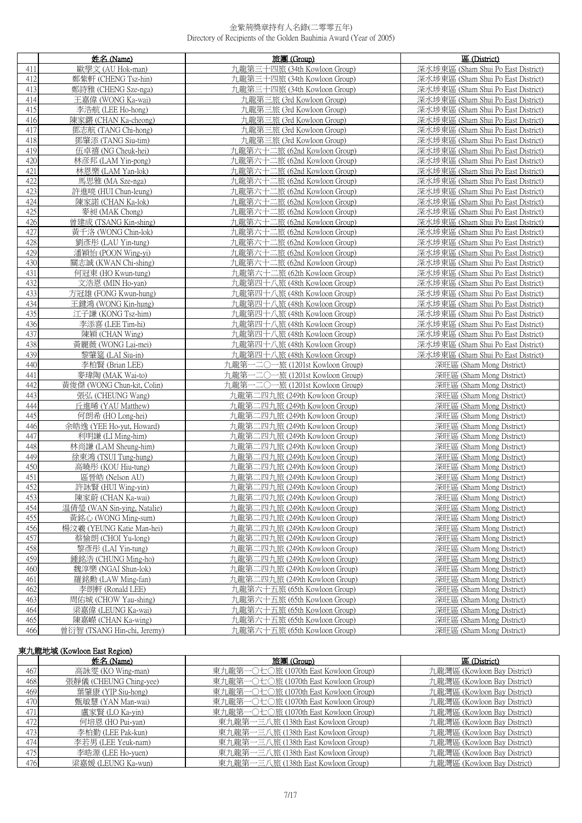|     | 姓名 (Name)                   | 旅團 (Group)                      | 區 (District)                       |
|-----|-----------------------------|---------------------------------|------------------------------------|
| 411 | 歐學文 (AU Hok-man)            | 九龍第三十四旅 (34th Kowloon Group)    | 深水埗東區 (Sham Shui Po East District) |
| 412 | 鄭紫軒 (CHENG Tsz-hin)         | 九龍第三十四旅 (34th Kowloon Group)    | 深水埗東區 (Sham Shui Po East District) |
| 413 | 鄭詩雅 (CHENG Sze-nga)         | 九龍第三十四旅 (34th Kowloon Group)    | 深水埗東區 (Sham Shui Po East District) |
| 414 | 王嘉偉 (WONG Ka-wai)           | 九龍第三旅 (3rd Kowloon Group)       | 深水埗東區 (Sham Shui Po East District) |
| 415 | 李浩航 (LEE Ho-hong)           | 九龍第三旅 (3rd Kowloon Group)       | 深水埗東區 (Sham Shui Po East District) |
| 416 | 陳家鏘 (CHAN Ka-cheong)        | 九龍第三旅 (3rd Kowloon Group)       | 深水埗東區 (Sham Shui Po East District) |
| 417 | 鄧志航 (TANG Chi-hong)         | 九龍第三旅 (3rd Kowloon Group)       | 深水埗東區 (Sham Shui Po East District) |
| 418 | 鄧肇添 (TANG Siu-tim)          | 九龍第三旅 (3rd Kowloon Group)       | 深水埗東區 (Sham Shui Po East District) |
| 419 | 伍卓禧 (NG Cheuk-hei)          | 九龍第六十二旅 (62nd Kowloon Group)    | 深水埗東區 (Sham Shui Po East District) |
| 420 | 林彦邦 (LAM Yin-pong)          | 九龍第六十二旅 (62nd Kowloon Group)    | 深水埗東區 (Sham Shui Po East District) |
| 421 | 林恩樂 (LAM Yan-lok)           | 九龍第六十二旅 (62nd Kowloon Group)    | 深水埗東區 (Sham Shui Po East District) |
| 422 | 馬思雅 (MA Sze-nga)            | 九龍第六十二旅 (62nd Kowloon Group)    | 深水埗東區 (Sham Shui Po East District) |
| 423 | 許進喨 (HUI Chun-leung)        | 九龍第六十二旅 (62nd Kowloon Group)    | 深水埗東區 (Sham Shui Po East District) |
| 424 | 陳家諾 (CHAN Ka-lok)           | 九龍第六十二旅 (62nd Kowloon Group)    | 深水埗東區 (Sham Shui Po East District) |
| 425 | 麥昶 (MAK Chong)              | 九龍第六十二旅 (62nd Kowloon Group)    | 深水埗東區 (Sham Shui Po East District) |
| 426 | 曾建成 (TSANG Kin-shing)       | 九龍第六十二旅 (62nd Kowloon Group)    | 深水埗東區 (Sham Shui Po East District) |
| 427 | 黃千洛 (WONG Chin-lok)         | 九龍第六十二旅 (62nd Kowloon Group)    | 深水埗東區 (Sham Shui Po East District) |
| 428 | 劉彥彤 (LAU Yin-tung)          | 九龍第六十二旅 (62nd Kowloon Group)    | 深水埗東區 (Sham Shui Po East District) |
| 429 | 潘穎怡 (POON Wing-yi)          | 九龍第六十二旅 (62nd Kowloon Group)    | 深水埗東區 (Sham Shui Po East District) |
| 430 | 關志誠 (KWAN Chi-shing)        | 九龍第六十二旅 (62nd Kowloon Group)    | 深水埗東區 (Sham Shui Po East District) |
| 431 | 何冠東 (HO Kwun-tung)          | 九龍第六十二旅 (62th Kowloon Group)    | 深水埗東區 (Sham Shui Po East District) |
| 432 | 文浩恩 (MIN Ho-yan)            | 九龍第四十八旅 (48th Kowloon Group)    | 深水埗東區 (Sham Shui Po East District) |
| 433 | 方冠雄 (FONG Kwun-hung)        | 九龍第四十八旅 (48th Kowloon Group)    | 深水埗東區 (Sham Shui Po East District) |
| 434 | 王鍵鴻 (WONG Kin-hung)         | 九龍第四十八旅 (48th Kowloon Group)    | 深水埗東區 (Sham Shui Po East District) |
| 435 | 江子謙 (KONG Tsz-him)          | 九龍第四十八旅 (48th Kowloon Group)    | 深水埗東區 (Sham Shui Po East District) |
| 436 | 李添喜 (LEE Tim-hi)            | 九龍第四十八旅 (48th Kowloon Group)    | 深水埗東區 (Sham Shui Po East District) |
| 437 | 陳穎 (CHAN Wing)              | 九龍第四十八旅 (48th Kowloon Group)    | 深水埗東區 (Sham Shui Po East District) |
| 438 | 黃麗薇 (WONG Lai-mei)          | 九龍第四十八旅 (48th Kowloon Group)    | 深水埗東區 (Sham Shui Po East District) |
| 439 | 黎肇筵 (LAI Siu-in)            | 九龍第四十八旅 (48th Kowloon Group)    | 深水埗東區 (Sham Shui Po East District) |
| 440 | 李柏賢 (Brian LEE)             | 九龍第一二〇一旅 (1201st Kowloon Group) | 深旺區 (Sham Mong District)           |
| 441 | 麥瑋陶 (MAK Wai-to)            | 九龍第一二〇一旅 (1201st Kowloon Group) | 深旺區 (Sham Mong District)           |
| 442 | 黃俊傑 (WONG Chun-kit, Colin)  | 九龍第一二〇一旅 (1201st Kowloon Group) | 深旺區 (Sham Mong District)           |
| 443 | 張弘 (CHEUNG Wang)            | 九龍第二四九旅 (249th Kowloon Group)   | 深旺區 (Sham Mong District)           |
| 444 | 丘進晞 (YAU Matthew)           | 九龍第二四九旅 (249th Kowloon Group)   | 深旺區 (Sham Mong District)           |
| 445 | 何朗希 (HO Long-hei)           | 九龍第二四九旅 (249th Kowloon Group)   | 深旺區 (Sham Mong District)           |
| 446 | 余皓逸 (YEE Ho-yut, Howard)    | 九龍第二四九旅 (249th Kowloon Group)   | 深旺區 (Sham Mong District)           |
| 447 | 利明謙 (LI Ming-him)           | 九龍第二四九旅 (249th Kowloon Group)   | 深旺區 (Sham Mong District)           |
| 448 | 林尚謙 (LAM Sheung-him)        | 九龍第二四九旅 (249th Kowloon Group)   | 深旺區 (Sham Mong District)           |
| 449 | 徐東鴻 (TSUI Tung-hung)        | 九龍第二四九旅 (249th Kowloon Group)   | 深旺區 (Sham Mong District)           |
| 450 | 高曉彤 (KOU Hiu-tung)          | 九龍第二四九旅 (249th Kowloon Group)   | 深旺區 (Sham Mong District)           |
| 451 | 區晉皓 (Nelson AU)             | 九龍第二四九旅 (249th Kowloon Group)   | 深旺區 (Sham Mong District)           |
| 452 | 許詠賢 (HUI Wing-vin)          | 九龍第二四九旅 (249th Kowloon Group)   | 深旺區 (Sham Mong District)           |
| 453 | 陳家蔚 (CHAN Ka-wai)           | 九龍第二四九旅 (249th Kowloon Group)   | 深旺區 (Sham Mong District)           |
| 454 | 温倩瑩 (WAN Sin-ying, Natalie) | 九龍第二四九旅 (249th Kowloon Group)   | 深旺區 (Sham Mong District)           |
| 455 | 黃銘心 (WONG Ming-sum)         | 九龍第二四九旅 (249th Kowloon Group)   | 深旺區 (Sham Mong District)           |
| 456 | 楊汶羲 (YEUNG Katie Man-hei)   | 九龍第二四九旅 (249th Kowloon Group)   | 深旺區 (Sham Mong District)           |
| 457 | 蔡愉朗 (CHOI Yu-long)          | 九龍第二四九旅 (249th Kowloon Group)   | 深旺區 (Sham Mong District)           |
| 458 | 黎彥彤 (LAI Yin-tung)          | 九龍第二四九旅 (249th Kowloon Group)   | 深旺區 (Sham Mong District)           |
| 459 | 鍾銘浩 (CHUNG Ming-ho)         | 九龍第二四九旅 (249th Kowloon Group)   | 深旺區 (Sham Mong District)           |
| 460 | 魏淳樂 (NGAI Shun-lok)         | 九龍第二四九旅 (249th Kowloon Group)   | 深旺區 (Sham Mong District)           |
| 461 | 羅銘勳 (LAW Ming-fan)          | 九龍第二四九旅 (249th Kowloon Group)   | 深旺區 (Sham Mong District)           |
| 462 | 李朗軒 (Ronald LEE)            | 九龍第六十五旅 (65th Kowloon Group)    | 深旺區 (Sham Mong District)           |
| 463 | 周佑城 (CHOW Yau-shing)        | 九龍第六十五旅 (65th Kowloon Group)    | 深旺區 (Sham Mong District)           |
| 464 | 梁嘉偉 (LEUNG Ka-wai)          | 九龍第六十五旅 (65th Kowloon Group)    | 深旺區 (Sham Mong District)           |
| 465 | 陳嘉嶸 (CHAN Ka-wing)          | 九龍第六十五旅 (65th Kowloon Group)    | 深旺區 (Sham Mong District)           |
| 466 | 曾衍智 (TSANG Hin-chi, Jeremy) | 九龍第六十五旅 (65th Kowloon Group)    | 深旺區 (Sham Mong District)           |

# 東九龍地域 (Kowloon East Region)

|     | 姓名 (Name)              | 旅團 (Group)                            | 區 (District)                |
|-----|------------------------|---------------------------------------|-----------------------------|
| 467 | 高詠雯 (KO Wing-man)      | 東九龍第一〇七〇旅 (1070th East Kowloon Group) | 九龍灣區 (Kowloon Bay District) |
| 468 | 張靜儀 (CHEUNG Ching-yee) | 東九龍第一〇七〇旅 (1070th East Kowloon Group) | 九龍灣區 (Kowloon Bay District) |
| 469 | 葉肇康 (YIP Siu-hong)     | 東九龍第一〇七〇旅 (1070th East Kowloon Group) | 九龍灣區 (Kowloon Bay District) |
| 470 | 甄敏慧 (YAN Man-wai)      | 東九龍第一〇七〇旅 (1070th East Kowloon Group) | 九龍灣區 (Kowloon Bay District) |
| 471 | 盧家賢 (LO Ka-vin)        | 東九龍第一〇七〇旅 (1070th East Kowloon Group) | 九龍灣區 (Kowloon Bay District) |
| 472 | 何培恩 (HO Pui-yan)       | 東九龍第一三八旅 (138th East Kowloon Group)   | 九龍灣區 (Kowloon Bay District) |
| 473 | 李柏勤 (LEE Pak-kun)      | 東九龍第一三八旅 (138th East Kowloon Group)   | 九龍灣區 (Kowloon Bay District) |
| 474 | 李若男 (LEE Yeuk-nam)     | 東九龍第一三八旅 (138th East Kowloon Group)   | 九龍灣區 (Kowloon Bay District) |
| 475 | 李晧源 (LEE Ho-yuen)      | 東九龍第一三八旅 (138th East Kowloon Group)   | 九龍灣區 (Kowloon Bay District) |
| 476 | 梁嘉媛 (LEUNG Ka-wun)     | 東九龍第一三八旅 (138th East Kowloon Group)   | 九龍灣區 (Kowloon Bay District) |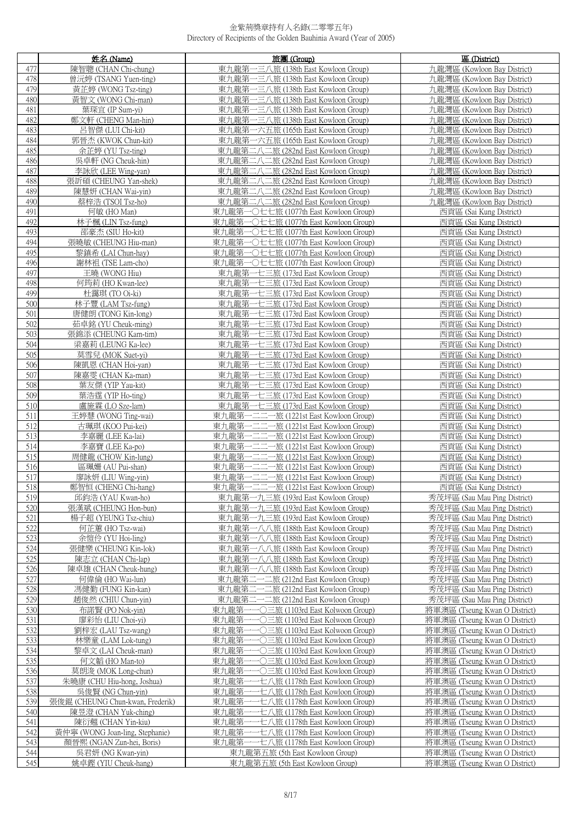|            | 姓名 (Name)                                 | 旅團 (Group)                                                                           | 區 (District)                                                   |
|------------|-------------------------------------------|--------------------------------------------------------------------------------------|----------------------------------------------------------------|
| 477        | 陳智聰 (CHAN Chi-chung)                      | 東九龍第一三八旅 (138th East Kowloon Group)                                                  | 九龍灣區 (Kowloon Bay District)                                    |
| 478        | 曾沅婷 (TSANG Yuen-ting)                     | 東九龍第一三八旅 (138th East Kowloon Group)                                                  | 九龍灣區 (Kowloon Bay District)                                    |
| 479        | 黃芷婷 (WONG Tsz-ting)                       | 東九龍第一三八旅 (138th East Kowloon Group)                                                  | 九龍灣區 (Kowloon Bay District)                                    |
| 480        | 黃智文 (WONG Chi-man)                        | 東九龍第一三八旅 (138th East Kowloon Group)                                                  | 九龍灣區 (Kowloon Bay District)                                    |
| 481        | 葉琛宜 (IP Sum-yi)                           | 東九龍第一三八旅 (138th East Kowloon Group)                                                  | 九龍灣區 (Kowloon Bay District)                                    |
| 482        | 鄭文軒 (CHENG Man-hin)                       | 東九龍第一三八旅 (138th East Kowloon Group)                                                  | 九龍灣區 (Kowloon Bay District)                                    |
| 483        | 呂智傑 (LUI Chi-kit)                         | 東九龍第一六五旅 (165th East Kowloon Group)                                                  | 九龍灣區 (Kowloon Bay District)                                    |
| 484        | 郭晉杰 (KWOK Chun-kit)                       | 東九龍第一六五旅 (165th East Kowloon Group)                                                  | 九龍灣區 (Kowloon Bay District)                                    |
| 485<br>486 | 余芷婷 (YU Tsz-ting)                         | 東九龍第二八二旅 (282nd East Kowloon Group)                                                  | 九龍灣區 (Kowloon Bay District)                                    |
| 487        | 吳卓軒 (NG Cheuk-hin)<br>李詠欣 (LEE Wing-yan)  | 東九龍第二八二旅 (282nd East Kowloon Group)<br>東九龍第二八二旅 (282nd East Kowloon Group)           | 九龍灣區 (Kowloon Bay District)<br>九龍灣區 (Kowloon Bay District)     |
| 488        | 張訢碩 (CHEUNG Yan-shek)                     | 東九龍第二八二旅 (282nd East Kowloon Group)                                                  | 九龍灣區 (Kowloon Bay District)                                    |
| 489        | 陳慧妍 (CHAN Wai-vin)                        | 東九龍第二八二旅 (282nd East Kowloon Group)                                                  | 九龍灣區 (Kowloon Bay District)                                    |
| 490        | 蔡梓浩 (TSOI Tsz-ho)                         | 東九龍第二八二旅 (282nd East Kowloon Group)                                                  | 九龍灣區 (Kowloon Bay District)                                    |
| 491        | 何敏 (HO Man)                               | 東九龍第一〇七七旅 (1077th East Kowloon Group)                                                | 西貢區 (Sai Kung District)                                        |
| 492        | 林子楓 (LIN Tsz-fung)                        | 東九龍第一〇七七旅 (1077th East Kowloon Group)                                                | 西貢區 (Sai Kung District)                                        |
| 493        | 邵豪杰 (SIU Ho-kit)                          | 東九龍第一〇七七旅 (1077th East Kowloon Group)                                                | 西貢區 (Sai Kung District)                                        |
| 494        | 張曉敏 (CHEUNG Hiu-man)                      | 東九龍第一〇七七旅 (1077th East Kowloon Group)                                                | 西貢區 (Sai Kung District)                                        |
| 495        | 黎鎮希 (LAI Chun-hay)                        | 東九龍第一〇七七旅 (1077th East Kowloon Group)                                                | 西貢區 (Sai Kung District)                                        |
| 496        | 謝林祖 (TSE Lam-cho)                         | 東九龍第一〇七七旅 (1077th East Kowloon Group)                                                | 西貢區 (Sai Kung District)                                        |
| 497        | 王曉 (WONG Hiu)                             | 東九龍第一七三旅 (173rd East Kowloon Group)                                                  | 西貢區 (Sai Kung District)                                        |
| 498        | 何筠莉 (HO Kwan-lee)                         | 東九龍第一七三旅 (173rd East Kowloon Group)                                                  | 西貢區 (Sai Kung District)                                        |
| 499        | 杜靄琪 (TO Oi-ki)                            | 東九龍第一七三旅 (173rd East Kowloon Group)                                                  | 西貢區 (Sai Kung District)                                        |
| 500        | 林子豐 (LAM Tsz-fung)                        | 東九龍第一七三旅 (173rd East Kowloon Group)                                                  | 西貢區 (Sai Kung District)                                        |
| 501        | 唐健朗(TONG Kin-long)                        | 東九龍第一七三旅 (173rd East Kowloon Group)                                                  | 西貢區 (Sai Kung District)                                        |
| 502        | 茹卓銘 (YU Cheuk-ming)                       | 東九龍第一七三旅 (173rd East Kowloon Group)                                                  | 西貢區 (Sai Kung District)                                        |
| 503<br>504 | 張錦添 (CHEUNG Kam-tim)                      | 東九龍第一七三旅 (173rd East Kowloon Group)                                                  | 西貢區 (Sai Kung District)                                        |
| 505        | 梁嘉莉 (LEUNG Ka-lee)<br>莫雪兒 (MOK Suet-yi)   | 東九龍第一七三旅 (173rd East Kowloon Group)<br>東九龍第一七三旅 (173rd East Kowloon Group)           | 西貢區 (Sai Kung District)<br>西貢區 (Sai Kung District)             |
| 506        | 陳凱恩 (CHAN Hoi-yan)                        | 東九龍第一七三旅 (173rd East Kowloon Group)                                                  | 西貢區 (Sai Kung District)                                        |
| 507        | 陳嘉雯 (CHAN Ka-man)                         | 東九龍第一七三旅 (173rd East Kowloon Group)                                                  | 西貢區 (Sai Kung District)                                        |
| 508        | 葉友傑 (YIP Yau-kit)                         | 東九龍第一七三旅 (173rd East Kowloon Group)                                                  | 西貢區 (Sai Kung District)                                        |
| 509        | 葉浩霆 (YIP Ho-ting)                         | 東九龍第一七三旅 (173rd East Kowloon Group)                                                  | 西貢區 (Sai Kung District)                                        |
| 510        | 盧施霖 (LO Sze-lam)                          | 東九龍第一七三旅 (173rd East Kowloon Group)                                                  | 西貢區 (Sai Kung District)                                        |
| 511        | 王婷慧 (WONG Ting-wai)                       | 東九龍第一二二一旅 (1221st East Kowloon Group)                                                | 西貢區 (Sai Kung District)                                        |
| 512        | 古珮琪 (KOO Pui-kei)                         | 東九龍第-<br>-二二一旅 (1221st East Kowloon Group)                                           | 西貢區 (Sai Kung District)                                        |
| 513        | 李嘉麗 (LEE Ka-lai)                          | -二二一旅 (1221st East Kowloon Group)<br>東九龍第                                            | 西貢區 (Sai Kung District)                                        |
| 514        | 李嘉寶 (LEE Ka-po)                           | 一二二一旅 (1221st East Kowloon Group)<br>東九龍第-                                           | 西貢區 (Sai Kung District)                                        |
| 515        | 周健龍 (CHOW Kin-lung)                       | 一旅 (1221st East Kowloon Group)<br>東九龍第                                               | 西貢區 (Sai Kung District)                                        |
| 516        | 區珮姍 (AU Pui-shan)                         | 東九龍第<br>-二二一旅 (1221st East Kowloon Group)                                            | 西貢區 (Sai Kung District)                                        |
| 517        | 廖詠妍 (LIU Wing-yin)                        | 東九龍第一二二一旅 (1221st East Kowloon Group)                                                | 西貢區 (Sai Kung District)                                        |
| 518<br>519 | 鄭智恒 (CHENG Chi-hang)<br>邱鈞浩 (YAU Kwan-ho) | 東九龍第一二二一旅 (1221st East Kowloon Group)<br>東九龍第一九三旅 (193rd East Kowloon Group)         | 西貢區 (Sai Kung District)<br>秀茂坪區 (Sau Mau Ping District)        |
| 520        | 張漢斌 (CHEUNG Hon-bun)                      | 東九龍第一九三旅 (193rd East Kowloon Group)                                                  | 秀茂坪區 (Sau Mau Ping District)                                   |
| 521        | 楊子超 (YEUNG Tsz-chiu)                      | 東九龍第一九三旅 (193rd East Kowloon Group)                                                  | 秀茂坪區 (Sau Mau Ping District)                                   |
| 522        | 何芷蕙 (HO Tsz-wai)                          | 東九龍第一八八旅 (188th East Kowloon Group)                                                  | 秀茂坪區 (Sau Mau Ping District)                                   |
| 523        | 余愷伶 (YU Hoi-ling)                         | 東九龍第一八八旅 (188th East Kowloon Group)                                                  | 秀茂坪區 (Sau Mau Ping District)                                   |
| 524        | 張健樂 (CHEUNG Kin-lok)                      | 東九龍第一八八旅 (188th East Kowloon Group)                                                  | 秀茂坪區 (Sau Mau Ping District)                                   |
| 525        | 陳志立 (CHAN Chi-lap)                        | 東九龍第一八八旅 (188th East Kowloon Group)                                                  | 秀茂坪區 (Sau Mau Ping District)                                   |
| 526        | 陳卓雄 (CHAN Cheuk-hung)                     | 一八八旅 (188th East Kowloon Group)<br>東九龍第                                              | 秀茂坪區 (Sau Mau Ping District)                                   |
| 527        | 何偉倫 (HO Wai-lun)                          | 二一二旅 (212nd East Kowloon Group)<br>東九龍第.                                             | 秀茂坪區 (Sau Mau Ping District)                                   |
| 528        | 馮健勤 (FUNG Kin-kan)                        | 二一二旅 (212nd East Kowloon Group)<br>東九龍第                                              | 秀茂坪區 (Sau Mau Ping District)                                   |
| 529        | 趙俊然 (CHIU Chun-yin)                       | 東九龍第二一二旅 (212nd East Kowloon Group)                                                  | 秀茂坪區 (Sau Mau Ping District)                                   |
| 530        | 布諾賢 (PO Nok-yin)                          | ·○三旅 (1103rd East Kolwoon Group)<br>東九龍第                                             | 將軍澳區 (Tseung Kwan O District)                                  |
| 531<br>532 | 廖彩怡 (LIU Choi-yi)<br>劉梓宏 (LAU Tsz-wang)   | 東九龍第<br>•○三旅 (1103rd East Kolwoon Group)<br>東九龍第<br>·○三旅 (1103rd East Kolwoon Group) | 將軍澳區 (Tseung Kwan O District)<br>將軍澳區 (Tseung Kwan O District) |
| 533        | 林樂童 (LAM Lok-tung)                        | ○三旅 (1103rd East Kowloon Group)<br>東九龍第                                              | 將軍澳區 (Tseung Kwan O District)                                  |
| 534        | 黎卓文 (LAI Cheuk-man)                       | 東九龍第<br>•○三旅 (1103rd East Kowloon Group)                                             | 將軍澳區 (Tseung Kwan O District)                                  |
| 535        | 何文韜 (HO Man-to)                           | 東九龍第<br>-〇三旅 (1103rd East Kowloon Group)                                             | 將軍澳區 (Tseung Kwan O District)                                  |
| 536        | 莫朗浚 (MOK Long-chun)                       | 東九龍第<br>•○三旅 (1103rd East Kowloon Group)                                             | 將軍澳區 (Tseung Kwan O District)                                  |
| 537        | 朱曉康 (CHU Hiu-hong, Joshua)                | 東九龍第<br>·七八旅 (1178th East Kowloon Group)                                             | 將軍澳區 (Tseung Kwan O District)                                  |
| 538        | 吳俊賢 (NG Chun-yin)                         | 東九龍第<br>七八旅 (1178th East Kowloon Group)                                              | 將軍澳區 (Tseung Kwan O District)                                  |
| 539        | 張俊錕 (CHEUNG Chun-kwan, Frederik)          | 東九龍第<br>-七八旅 (1178th East Kowloon Group)                                             | 將軍澳區 (Tseung Kwan O District)                                  |
| 540        | 陳昱澄 (CHAN Yuk-ching)                      | 東九龍第<br>·七八旅 (1178th East Kowloon Group)                                             | 將軍澳區 (Tseung Kwan O District)                                  |
| 541        | 陳衍翹 (CHAN Yin-kiu)                        | 東九龍第一一七八旅 (1178th East Kowloon Group)                                                | 將軍澳區 (Tseung Kwan O District)                                  |
| 542        | 黃仲寧 (WONG Joan-ling, Stephanie)           | 東九龍第<br>七八旅 (1178th East Kowloon Group)                                              | 將軍澳區 (Tseung Kwan O District)                                  |
| 543        | 顏晉熙 (NGAN Zun-hei, Boris)                 | 東九龍第<br>一七八旅 (1178th East Kowloon Group)                                             | 將軍澳區 (Tseung Kwan O District)                                  |
| 544        | 吳君妍 (NG Kwan-yin)                         | 東九龍第五旅 (5th East Kowloon Group)                                                      | 將軍澳區 (Tseung Kwan O District)                                  |
| 545        | 姚卓鏗 (YIU Cheuk-hang)                      | 東九龍第五旅 (5th East Kowloon Group)                                                      | 將軍澳區 (Tseung Kwan O District)                                  |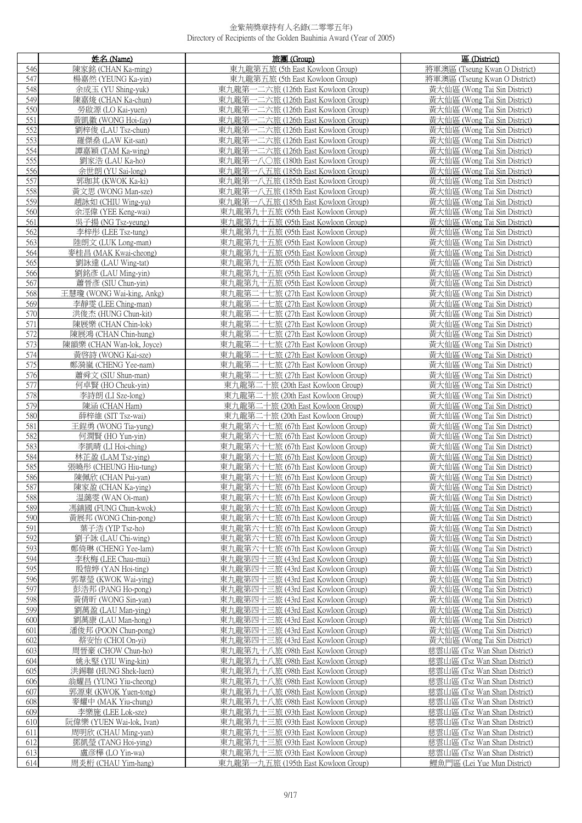|            | 姓名 (Name)                                   | 旅團 (Group)                                                               | 區 (District)                                                 |
|------------|---------------------------------------------|--------------------------------------------------------------------------|--------------------------------------------------------------|
| 546        | 陳家銘 (CHAN Ka-ming)                          | 東九龍第五旅 (5th East Kowloon Group)                                          | 將軍澳區 (Tseung Kwan O District)                                |
| 547        | 楊嘉然 (YEUNG Ka-yin)                          | 東九龍第五旅 (5th East Kowloon Group)                                          | 將軍澳區 (Tseung Kwan O District)                                |
| 548        | 余成玉 (YU Shing-yuk)                          | 東九龍第一二六旅 (126th East Kowloon Group)                                      | 黃大仙區 (Wong Tai Sin District)                                 |
| 549        | 陳嘉焌 (CHAN Ka-chun)                          | 東九龍第一二六旅 (126th East Kowloon Group)                                      | 黃大仙區 (Wong Tai Sin District)                                 |
| 550        | 勞啟源 (LO Kai-yuen)                           | 東九龍第一二六旅 (126th East Kowloon Group)                                      | 黃大仙區 (Wong Tai Sin District)                                 |
| 551        | 黃凱徽 (WONG Hoi-fay)                          | 東九龍第一二六旅 (126th East Kowloon Group)                                      | 黃大仙區 (Wong Tai Sin District)                                 |
| 552        | 劉梓俊 (LAU Tsz-chun)                          | 東九龍第一二六旅 (126th East Kowloon Group)                                      | 黃大仙區 (Wong Tai Sin District)                                 |
| 553        | 羅傑桑 (LAW Kit-san)                           | 東九龍第一二六旅 (126th East Kowloon Group)                                      | 黃大仙區 (Wong Tai Sin District)                                 |
| 554        | 譚嘉穎 (TAM Ka-wing)                           | 東九龍第一二六旅 (126th East Kowloon Group)                                      | 黃大仙區 (Wong Tai Sin District)                                 |
| 555        | 劉家浩 (LAU Ka-ho)                             | 東九龍第一八〇旅 (180th East Kowloon Group)                                      | 黃大仙區 (Wong Tai Sin District)                                 |
| 556        | 余世朗 (YU Sai-long)                           | 東九龍第一八五旅 (185th East Kowloon Group)                                      | 黃大仙區 (Wong Tai Sin District)                                 |
| 557        | 郭珈其 (KWOK Ka-ki)                            | 東九龍第一八五旅 (185th East Kowloon Group)                                      | 黃大仙區 (Wong Tai Sin District)                                 |
| 558        | 黃文思 (WONG Man-sze)                          | 東九龍第一八五旅 (185th East Kowloon Group)                                      | 黃大仙區 (Wong Tai Sin District)                                 |
| 559        | 趙詠如 (CHIU Wing-yu)                          | 東九龍第一八五旅 (185th East Kowloon Group)                                      | 黃大仙區 (Wong Tai Sin District)                                 |
| 560        | 余涇偉 (YEE Keng-wai)                          | 東九龍第九十五旅 (95th East Kowloon Group)                                       | 黃大仙區 (Wong Tai Sin District)                                 |
| 561        | 吳子揚 (NG Tsz-yeung)                          | 東九龍第九十五旅 (95th East Kowloon Group)                                       | 黃大仙區 (Wong Tai Sin District)                                 |
| 562        | 李梓彤 (LEE Tsz-tung)                          | 東九龍第九十五旅 (95th East Kowloon Group)                                       | 黃大仙區 (Wong Tai Sin District)                                 |
| 563        | 陸朗文 (LUK Long-man)                          | 東九龍第九十五旅 (95th East Kowloon Group)                                       | 黃大仙區 (Wong Tai Sin District)                                 |
| 564<br>565 | 麥桂昌 (MAK Kwai-cheong)                       | 東九龍第九十五旅 (95th East Kowloon Group)                                       | 黃大仙區 (Wong Tai Sin District)                                 |
|            | 劉詠達 (LAU Wing-tat)                          | 東九龍第九十五旅 (95th East Kowloon Group)                                       | 黃大仙區 (Wong Tai Sin District)                                 |
| 566<br>567 | 劉銘彥 (LAU Ming-yin)<br>蕭晉彥 (SIU Chun-vin)    | 東九龍第九十五旅 (95th East Kowloon Group)<br>東九龍第九十五旅 (95th East Kowloon Group) | 黃大仙區 (Wong Tai Sin District)<br>黃大仙區 (Wong Tai Sin District) |
| 568        | 王慧瓊 (WONG Wai-king, Ankg)                   | 東九龍第二十七旅 (27th East Kowloon Group)                                       | 黃大仙區 (Wong Tai Sin District)                                 |
| 569        | 李靜雯 (LEE Ching-man)                         | 東九龍第二十七旅 (27th East Kowloon Group)                                       | 黃大仙區 (Wong Tai Sin District)                                 |
| 570        | 洪俊杰 (HUNG Chun-kit)                         | 東九龍第二十七旅 (27th East Kowloon Group)                                       | 黃大仙區 (Wong Tai Sin District)                                 |
| 571        | 陳展樂 (CHAN Chin-lok)                         | 東九龍第二十七旅 (27th East Kowloon Group)                                       | 黃大仙區 (Wong Tai Sin District)                                 |
| 572        | 陳展鴻 (CHAN Chin-hung)                        | 東九龍第二十七旅 (27th East Kowloon Group)                                       | 黃大仙區 (Wong Tai Sin District)                                 |
| 573        | 陳韻樂 (CHAN Wan-lok, Joyce)                   | 東九龍第二十七旅 (27th East Kowloon Group)                                       | 黃大仙區 (Wong Tai Sin District)                                 |
| 574        | 黃啓詩 (WONG Kai-sze)                          | 東九龍第二十七旅 (27th East Kowloon Group)                                       | 黃大仙區 (Wong Tai Sin District)                                 |
| 575        | 鄭漪嵐 (CHENG Yee-nam)                         | 東九龍第二十七旅 (27th East Kowloon Group)                                       | 黃大仙區 (Wong Tai Sin District)                                 |
| 576        | 蕭舜文 (SIU Shun-man)                          | 東九龍第二十七旅 (27th East Kowloon Group)                                       | 黃大仙區 (Wong Tai Sin District)                                 |
| 577        | 何卓賢 (HO Cheuk-yin)                          | 東九龍第二十旅 (20th East Kowloon Group)                                        | 黃大仙區 (Wong Tai Sin District)                                 |
| 578        | 李詩朗 (LI Sze-long)                           | 東九龍第二十旅 (20th East Kowloon Group)                                        | 黃大仙區 (Wong Tai Sin District)                                 |
| 579        | 陳涵 (CHAN Ham)                               | 東九龍第二十旅 (20th East Kowloon Group)                                        | 黃大仙區 (Wong Tai Sin District)                                 |
| 580        | 薛梓維 (SIT Tsz-wai)                           | 東九龍第二十旅 (20th East Kowloon Group)                                        | 黃大仙區 (Wong Tai Sin District)                                 |
| 581        | 王鋥勇 (WONG Tia-yung)                         | 東九龍第六十七旅 (67th East Kowloon Group)                                       | 黃大仙區 (Wong Tai Sin District)                                 |
| 582        | 何潤賢 (HO Yun-yin)                            | 東九龍第六十七旅 (67th East Kowloon Group)                                       | 黃大仙區 (Wong Tai Sin District)                                 |
| 583<br>584 | 李凱晴 (LI Hoi-ching)                          | 東九龍第六十七旅 (67th East Kowloon Group)<br>東九龍第六十七旅 (67th East Kowloon Group) | 黃大仙區 (Wong Tai Sin District)                                 |
| 585        | 林芷盈 (LAM Tsz-ying)<br>張曉彤 (CHEUNG Hiu-tung) | 東九龍第六十七旅 (67th East Kowloon Group)                                       | 黃大仙區 (Wong Tai Sin District)<br>黃大仙區 (Wong Tai Sin District) |
| 586        | 陳佩欣 (CHAN Pui-yan)                          | 東九龍第六十七旅 (67th East Kowloon Group)                                       | 黃大仙區 (Wong Tai Sin District)                                 |
| 587        | 陳家盈 (CHAN Ka-ving)                          | 東九龍第六十七旅 (67th East Kowloon Group)                                       | 黃大仙區 (Wong Tai Sin District)                                 |
| 588        | 温藹雯 (WAN Oi-man)                            | 東九龍第六十七旅 (67th East Kowloon Group)                                       | 黃大仙區 (Wong Tai Sin District)                                 |
| 589        | 馮鎮國 (FUNG Chun-kwok)                        | 東九龍第六十七旅 (67th East Kowloon Group)                                       | 黃大仙區 (Wong Tai Sin District)                                 |
| 590        | 黃展邦 (WONG Chin-pong)                        | 東九龍第六十七旅 (67th East Kowloon Group)                                       | 黃大仙區 (Wong Tai Sin District)                                 |
| 591        | 葉子浩 (YIP Tsz-ho)                            | 東九龍第六十七旅 (67th East Kowloon Group)                                       | 黃大仙區 (Wong Tai Sin District)                                 |
| 592        | 劉子詠 (LAU Chi-wing)                          | 東九龍第六十七旅 (67th East Kowloon Group)                                       | 黃大仙區 (Wong Tai Sin District)                                 |
| 593        | 鄭倚琳 (CHENG Yee-lam)                         | 東九龍第六十七旅 (67th East Kowloon Group)                                       | 黃大仙區 (Wong Tai Sin District)                                 |
| 594        | 李秋梅 (LEE Chau-mui)                          | 東九龍第四十三旅 (43rd East Kowloon Group)                                       | 黃大仙區 (Wong Tai Sin District)                                 |
| 595        | 殷愷婷 (YAN Hoi-ting)                          | 東九龍第四十三旅 (43rd East Kowloon Group)                                       | 黃大仙區 (Wong Tai Sin District)                                 |
| 596        | 郭葦瑩 (KWOK Wai-ying)                         | 東九龍第四十三旅 (43rd East Kowloon Group)                                       | 黃大仙區 (Wong Tai Sin District)                                 |
| 597<br>598 | 彭浩邦 (PANG Ho-pong)<br>黃倩昕 (WONG Sin-yan)    | 東九龍第四十三旅 (43rd East Kowloon Group)<br>東九龍第四十三旅 (43rd East Kowloon Group) | 黃大仙區 (Wong Tai Sin District)<br>黃大仙區 (Wong Tai Sin District) |
| 599        | 劉萬盈 (LAU Man-ying)                          | 東九龍第四十三旅 (43rd East Kowloon Group)                                       | 黃大仙區 (Wong Tai Sin District)                                 |
| 600        | 劉萬康 (LAU Man-hong)                          | 東九龍第四十三旅 (43rd East Kowloon Group)                                       | 黃大仙區 (Wong Tai Sin District)                                 |
| 601        | 潘俊邦 (POON Chun-pong)                        | 東九龍第四十三旅 (43rd East Kowloon Group)                                       | 黃大仙區 (Wong Tai Sin District)                                 |
| 602        | 蔡安怡 (CHOI On-vi)                            | 東九龍第四十三旅 (43rd East Kowloon Group)                                       | 黃大仙區 (Wong Tai Sin District)                                 |
| 603        | 周晉豪 (CHOW Chun-ho)                          | 東九龍第九十八旅 (98th East Kowloon Group)                                       | 慈雲山區 (Tsz Wan Shan District)                                 |
| 604        | 姚永堅 (YIU Wing-kin)                          | 東九龍第九十八旅 (98th East Kowloon Group)                                       | 慈雲山區 (Tsz Wan Shan District)                                 |
| 605        | 洪錫聯 (HUNG Shek-luen)                        | 東九龍第九十八旅 (98th East Kowloon Group)                                       | 慈雲山區 (Tsz Wan Shan District)                                 |
| 606        | 翁耀昌 (YUNG Yiu-cheong)                       | 東九龍第九十八旅 (98th East Kowloon Group)                                       | 慈雲山區 (Tsz Wan Shan District)                                 |
| 607        | 郭源東 (KWOK Yuen-tong)                        | 東九龍第九十八旅 (98th East Kowloon Group)                                       | 慈雲山區 (Tsz Wan Shan District)                                 |
| 608        | 麥耀中 (MAK Yiu-chung)                         | 東九龍第九十八旅 (98th East Kowloon Group)                                       | 慈雲山區 (Tsz Wan Shan District)                                 |
| 609        | 李樂施 (LEE Lok-sze)                           | 東九龍第九十三旅 (93th East Kowloon Group)                                       | 慈雲山區 (Tsz Wan Shan District)                                 |
| 610        | 阮偉樂 (YUEN Wai-lok, Ivan)                    | 東九龍第九十三旅 (93th East Kowloon Group)                                       | 慈雲山區 (Tsz Wan Shan District)                                 |
| 611<br>612 | 周明欣 (CHAU Ming-yan)<br>鄧凱瑩 (TANG Hoi-ying)  | 東九龍第九十三旅 (93th East Kowloon Group)<br>東九龍第九十三旅 (93th East Kowloon Group) | 慈雲山區 (Tsz Wan Shan District)<br>慈雲山區 (Tsz Wan Shan District) |
| 613        | 盧彦樺 (LO Yin-wa)                             | 東九龍第九十三旅 (93th East Kowloon Group)                                       | 慈雲山區 (Tsz Wan Shan District)                                 |
| 614        | 周炎桁 (CHAU Yim-hang)                         | 東九龍第一九五旅 (195th East Kowloon Group)                                      | 鯉魚門區 (Lei Yue Mun District)                                  |
|            |                                             |                                                                          |                                                              |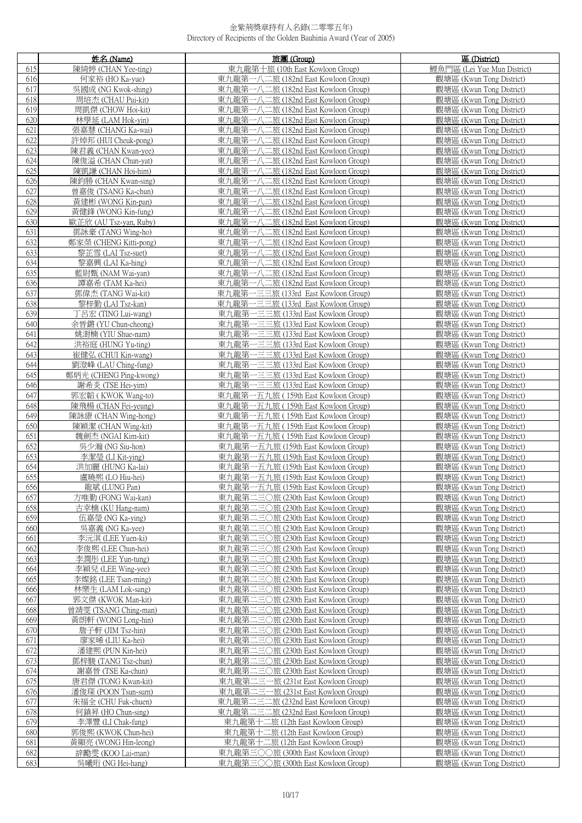|            | 姓名 (Name)                                | 旅團 (Group)                                                                 | 區 (District)                                         |
|------------|------------------------------------------|----------------------------------------------------------------------------|------------------------------------------------------|
| 615        | 陳綺婷 (CHAN Yee-ting)                      | 東九龍第十旅 (10th East Kowloon Group)                                           | 鯉魚門區 (Lei Yue Mun District)                          |
| 616        | 何家裕 (HO Ka-yue)                          | 東九龍第一八二旅 (182nd East Kowloon Group)                                        | 觀塘區 (Kwun Tong District)                             |
| 617        | 吳國成 (NG Kwok-shing)                      | 東九龍第一八二旅 (182nd East Kowloon Group)                                        | 觀塘區 (Kwun Tong District)                             |
| 618        | 周培杰 (CHAU Pui-kit)                       | 東九龍第一八二旅 (182nd East Kowloon Group)                                        | 觀塘區 (Kwun Tong District)                             |
| 619        | 周凱傑 (CHOW Hoi-kit)                       | 東九龍第一八二旅 (182nd East Kowloon Group)                                        | 觀塘區 (Kwun Tong District)                             |
| 620        | 林學延 (LAM Hok-yin)                        | 東九龍第一八二旅 (182nd East Kowloon Group)                                        | 觀塘區 (Kwun Tong District)                             |
| 621        | 張嘉慧 (CHANG Ka-wai)                       | 東九龍第一八二旅 (182nd East Kowloon Group)                                        | 觀塘區 (Kwun Tong District)                             |
| 622        | 許焯邦 (HUI Cheuk-pong)                     | 東九龍第一八二旅 (182nd East Kowloon Group)                                        | 觀塘區 (Kwun Tong District)                             |
| 623        | 陳君義 (CHAN Kwan-yee)                      | 東九龍第一八二旅 (182nd East Kowloon Group)                                        | 觀塘區 (Kwun Tong District)                             |
| 624        | 陳俊溢 (CHAN Chun-vat)                      | 東九龍第一八二旅 (182nd East Kowloon Group)                                        | 觀塘區 (Kwun Tong District)                             |
| 625        | 陳凱謙 (CHAN Hoi-him)                       | 東九龍第一八二旅 (182nd East Kowloon Group)                                        | 觀塘區 (Kwun Tong District)                             |
| 626        | 陳鈞勝 (CHAN Kwan-sing)                     | 東九龍第一八二旅 (182nd East Kowloon Group)                                        | 觀塘區 (Kwun Tong District)                             |
| 627        | 曾嘉俊 (TSANG Ka-chun)                      | 東九龍第一八二旅 (182nd East Kowloon Group)                                        | 觀塘區 (Kwun Tong District)                             |
| 628        | 黃建彬 (WONG Kin-pan)                       | 東九龍第一八二旅 (182nd East Kowloon Group)                                        | 觀塘區 (Kwun Tong District)                             |
| 629        | 黃健鋒 (WONG Kin-fung)                      | 東九龍第一八二旅 (182nd East Kowloon Group)                                        | 觀塘區 (Kwun Tong District)                             |
| 630        | 歐芷欣 (AU Tsz-yan, Ruby)                   | 東九龍第一八二旅 (182nd East Kowloon Group)                                        | 觀塘區 (Kwun Tong District)                             |
| 631        | 鄧詠豪 (TANG Wing-ho)                       | 東九龍第一八二旅 (182nd East Kowloon Group)                                        | 觀塘區 (Kwun Tong District)                             |
| 632        | 鄭家榮 (CHENG Kitti-pong)                   | 東九龍第一八二旅 (182nd East Kowloon Group)                                        | 觀塘區 (Kwun Tong District)                             |
| 633        | 黎芷雪 (LAI Tsz-suet)                       | 東九龍第一八二旅 (182nd East Kowloon Group)                                        | 觀塘區 (Kwun Tong District)                             |
| 634        | 黎嘉興 (LAI Ka-hing)                        | 東九龍第一八二旅 (182nd East Kowloon Group)                                        | 觀塘區 (Kwun Tong District)                             |
| 635        | 藍尉甄 (NAM Wai-yan)                        | 東九龍第一八二旅 (182nd East Kowloon Group)                                        | 觀塘區 (Kwun Tong District)                             |
| 636        | 譚嘉希 (TAM Ka-hei)                         | 東九龍第一八二旅 (182nd East Kowloon Group)                                        | 觀塘區 (Kwun Tong District)                             |
| 637        | 鄧偉杰 (TANG Wai-kit)                       | 東九龍第一三三旅 (133rd East Kowloon Group)                                        | 觀塘區 (Kwun Tong District)                             |
| 638        | 黎梓勤 (LAI Tsz-kan)                        | 東九龍第一三三旅 (133rd East Kowloon Group)                                        | 觀塘區 (Kwun Tong District)                             |
| 639        | 丁呂宏 (TING Lui-wang)                      | 東九龍第一三三旅 (133rd East Kowloon Group)                                        | 觀塘區 (Kwun Tong District)                             |
| 640        | 余晉鏘 (YU Chun-cheong)                     | 東九龍第一三三旅 (133rd East Kowloon Group)                                        | 觀塘區 (Kwun Tong District)                             |
| 641        | 姚澍楠 (YIU Shue-nam)                       | 東九龍第一三三旅 (133rd East Kowloon Group)                                        | 觀塘區 (Kwun Tong District)                             |
| 642        | 洪裕庭 (HUNG Yu-ting)                       | 東九龍第一三三旅 (133rd East Kowloon Group)                                        | 觀塘區 (Kwun Tong District)                             |
| 643        | 崔健弘 (CHUI Kin-wang)                      | 東九龍第一三三旅 (133rd East Kowloon Group)                                        | 觀塘區 (Kwun Tong District)                             |
| 644        | 劉澄峰 (LAU Ching-fung)                     | 東九龍第一三三旅 (133rd East Kowloon Group)                                        | 觀塘區 (Kwun Tong District)                             |
| 645        | 鄭炳光 (CHENG Ping-kwong)                   | 東九龍第一三三旅 (133rd East Kowloon Group)                                        | 觀塘區 (Kwun Tong District)                             |
| 646        | 謝希炎 (TSE Hei-yim)                        | 東九龍第一三三旅 (133rd East Kowloon Group)                                        | 觀塘區 (Kwun Tong District)                             |
| 647        | 郭宏韜 (KWOK Wang-to)                       | 東九龍第一五九旅 (159th East Kowloon Group)                                        | 觀塘區 (Kwun Tong District)                             |
| 648        | 陳飛楊 (CHAN Fei-yeung)                     | 東九龍第一五九旅 (159th East Kowloon Group)                                        | 觀塘區 (Kwun Tong District)                             |
| 649        | 陳詠康 (CHAN Wing-hong)                     | 東九龍第一五九旅 (159th East Kowloon Group)                                        | 觀塘區 (Kwun Tong District)                             |
| 650        | 陳穎潔 (CHAN Wing-kit)                      | 東九龍第一五九旅 (159th East Kowloon Group)                                        | 觀塘區 (Kwun Tong District)                             |
| 651        | 魏劍杰 (NGAI Kim-kit)                       | 東九龍第一五九旅 (159th East Kowloon Group)                                        | 觀塘區 (Kwun Tong District)                             |
| 652        | 吳少瀚 (NG Siu-hon)                         | 東九龍第一五九旅 (159th East Kowloon Group)                                        | 觀塘區 (Kwun Tong District)                             |
| 653        | 李潔瑩 (LI Kit-ying)                        | 東九龍第一五九旅 (159th East Kowloon Group)                                        | 觀塘區 (Kwun Tong District)                             |
| 654        | 洪加麗 (HUNG Ka-lai)                        | 東九龍第一五九旅 (159th East Kowloon Group)                                        | 觀塘區 (Kwun Tong District)                             |
| 655        | 盧曉熙 (LO Hiu-hei)                         | 東九龍第一五九旅 (159th East Kowloon Group)                                        | 觀塘區 (Kwun Tong District)                             |
| 656        | 龍斌 (LUNG Pan)                            | 東九龍第一五九旅 (159th East Kowloon Group)                                        | 觀塘區 (Kwun Tong District)                             |
| 657        | 方唯勤 (FONG Wai-kan)                       | 東九龍第二三〇旅 (230th East Kowloon Group)                                        | 觀塘區 (Kwun Tong District)                             |
| 658        | 古幸楠 (KU Hang-nam)                        | 東九龍第二三〇旅 (230th East Kowloon Group)                                        | 觀塘區 (Kwun Tong District)                             |
| 659        | 伍嘉瑩 (NG Ka-ying)                         | 東九龍第二三〇旅 (230th East Kowloon Group)                                        | 觀塘區 (Kwun Tong District)                             |
| 660        | 吳嘉義 (NG Ka-yee)                          | 東九龍第二三〇旅 (230th East Kowloon Group)                                        | 觀塘區 (Kwun Tong District)                             |
| 661        | 李沅淇 (LEE Yuen-ki)                        | 東九龍第二三〇旅 (230th East Kowloon Group)                                        | 觀塘區 (Kwun Tong District)                             |
| 662        | 李俊熙 (LEE Chun-hei)                       | 東九龍第二三〇旅 (230th East Kowloon Group)                                        | 觀塘區 (Kwun Tong District)                             |
| 663        | 李潤彤 (LEE Yun-tung)                       | 東九龍第二三〇旅 (230th East Kowloon Group)                                        | 觀塘區 (Kwun Tong District)                             |
| 664        | 李穎兒 (LEE Wing-yee)                       | 東九龍第二三〇旅 (230th East Kowloon Group)                                        | 觀塘區 (Kwun Tong District)                             |
| 665        | 李燦銘 (LEE Tsan-ming)                      | 東九龍第二三〇旅 (230th East Kowloon Group)                                        | 觀塘區 (Kwun Tong District)                             |
| 666        | 林樂生 (LAM Lok-sang)                       | 東九龍第二三〇旅 (230th East Kowloon Group)                                        | 觀塘區 (Kwun Tong District)                             |
| 667        | 郭文傑 (KWOK Man-kit)                       | 東九龍第二三〇旅 (230th East Kowloon Group)                                        | 觀塘區 (Kwun Tong District)                             |
| 668        | 曾靖雯 (TSANG Ching-man)                    | 東九龍第二三〇旅 (230th East Kowloon Group)                                        | 觀塘區 (Kwun Tong District)                             |
| 669        | 黃朗軒 (WONG Long-hin)                      | 東九龍第二三〇旅 (230th East Kowloon Group)                                        | 觀塘區 (Kwun Tong District)                             |
| 670        | 詹子軒 (JIM Tsz-hin)                        | 東九龍第二三〇旅 (230th East Kowloon Group)                                        | 觀塘區 (Kwun Tong District)                             |
| 671        | 廖家晞 (LIU Ka-hei)                         | 東九龍第二三〇旅 (230th East Kowloon Group)                                        | 觀塘區 (Kwun Tong District)                             |
| 672        | 潘建熙 (PUN Kin-hei)<br>鄧梓駿 (TANG Tsz-chun) | 東九龍第二三〇旅 (230th East Kowloon Group)                                        | 觀塘區 (Kwun Tong District)<br>觀塘區 (Kwun Tong District) |
| 673<br>674 | 謝嘉晉 (TSE Ka-chun)                        | 東九龍第二三〇旅 (230th East Kowloon Group)<br>東九龍第二三〇旅 (230th East Kowloon Group) | 觀塘區 (Kwun Tong District)                             |
| 675        | 唐君傑 (TONG Kwan-kit)                      | 東九龍第二三一旅 (231st East Kowloon Group)                                        | 觀塘區 (Kwun Tong District)                             |
| 676        | 潘俊琛 (POON Tsun-sum)                      | 東九龍第二三一旅 (231st East Kowloon Group)                                        | 觀塘區 (Kwun Tong District)                             |
| 677        | 朱福全 (CHU Fuk-chuen)                      | 東九龍第二三二旅 (232nd East Kowloon Group)                                        | 觀塘區 (Kwun Tong District)                             |
| 678        | 何鎮昇 (HO Chun-sing)                       | 東九龍第二三二旅 (232nd East Kowloon Group)                                        | 觀塘區 (Kwun Tong District)                             |
| 679        | 李澤豐 (LI Chak-fung)                       | 東九龍第十二旅 (12th East Kowloon Group)                                          | 觀塘區 (Kwun Tong District)                             |
| 680        | 郭俊熙 (KWOK Chun-hei)                      | 東九龍第十二旅 (12th East Kowloon Group)                                          | 觀塘區 (Kwun Tong District)                             |
| 681        | 黃顯亮 (WONG Hin-leong)                     | 東九龍第十二旅 (12th East Kowloon Group)                                          | 觀塘區 (Kwun Tong District)                             |
| 682        | 辞勵雯 (KOO Lai-man)                        | 東九龍第三〇〇旅 (300th East Kowloon Group)                                        | 觀塘區 (Kwun Tong District)                             |
| 683        | 吳曦珩 (NG Hei-hang)                        | 東九龍第三〇〇旅 (300th East Kowloon Group)                                        | 觀塘區 (Kwun Tong District)                             |
|            |                                          |                                                                            |                                                      |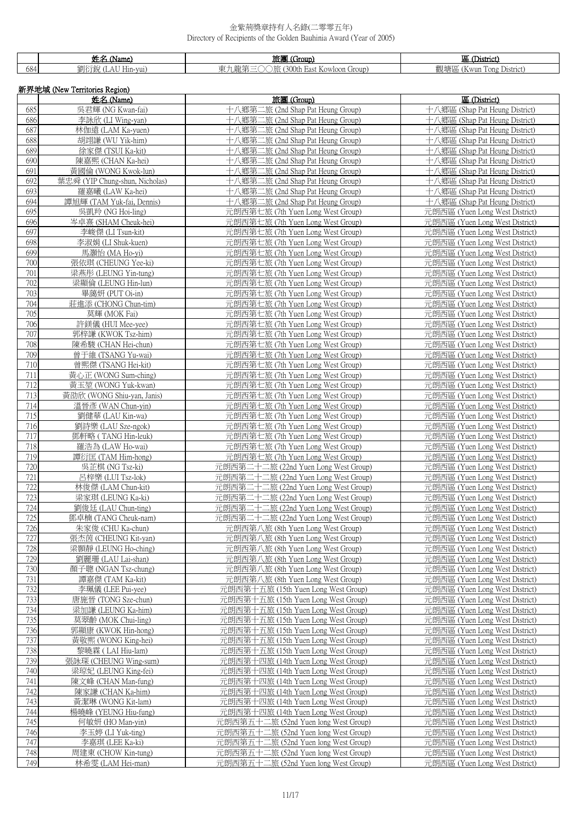|     |              | Tie d<br>roun.<br>---       |                                       |
|-----|--------------|-----------------------------|---------------------------------------|
| 684 | -пш-<br>vui, | .<br>$\sim$ v v l<br>uroup. | $-$<br>-<br>√wun<br>i Ong<br>District |

| 新界地域 (New Territories Region) |                                            |                                                                            |                                                                  |
|-------------------------------|--------------------------------------------|----------------------------------------------------------------------------|------------------------------------------------------------------|
|                               | 姓名 (Name)                                  | 旅團 (Group)                                                                 | 區 (District)                                                     |
| 685                           | 吳君輝 (NG Kwan-fai)                          | 十八鄉第二旅 (2nd Shap Pat Heung Group)                                          | 十八鄉區 (Shap Pat Heung District)                                   |
| 686<br>687                    | 李詠欣 (LI Wing-yan)<br>林伽遠 (LAM Ka-yuen)     | 十八鄉第二旅 (2nd Shap Pat Heung Group)<br>十八鄉第二旅 (2nd Shap Pat Heung Group)     | 十八鄉區 (Shap Pat Heung District)<br>十八鄉區 (Shap Pat Heung District) |
| 688                           | 胡翊謙 (WU Yik-him)                           | 十八鄉第二旅 (2nd Shap Pat Heung Group)                                          | 十八鄉區 (Shap Pat Heung District)                                   |
| 689                           | 徐家傑 (TSUI Ka-kit)                          | 十八鄉第二旅 (2nd Shap Pat Heung Group)                                          | 十八鄉區 (Shap Pat Heung District)                                   |
| 690                           | 陳嘉熙 (CHAN Ka-hei)                          | 十八鄉第二旅 (2nd Shap Pat Heung Group)                                          | 十八鄉區 (Shap Pat Heung District)                                   |
| 691                           | 黃國倫 (WONG Kwok-lun)                        | 十八鄉第二旅 (2nd Shap Pat Heung Group)                                          | 十八鄉區 (Shap Pat Heung District)                                   |
| 692                           | 葉忠舜 (YIP Chung-shun, Nicholas)             | 十八鄉第二旅 (2nd Shap Pat Heung Group)                                          | 十八鄉區 (Shap Pat Heung District)                                   |
| 693                           | 羅嘉曦 (LAW Ka-hei)                           | 十八鄉第二旅 (2nd Shap Pat Heung Group)                                          | 十八鄉區 (Shap Pat Heung District)                                   |
| 694                           | 譚旭輝 (TAM Yuk-fai, Dennis)                  | 十八鄉第二旅 (2nd Shap Pat Heung Group)                                          | 十八鄉區 (Shap Pat Heung District)                                   |
| 695                           | 吳凱羚 (NG Hoi-ling)                          | 元朗西第七旅 (7th Yuen Long West Group)                                          | 元朗西區 (Yuen Long West District)                                   |
| 696                           | 岑卓熹 (SHAM Cheuk-hei)                       | 元朗西第七旅 (7th Yuen Long West Group)                                          | 元朗西區 (Yuen Long West District)                                   |
| 697                           | 李峻傑 (LI Tsun-kit)                          | 元朗西第七旅 (7th Yuen Long West Group)                                          | 元朗西區 (Yuen Long West District)                                   |
| 698                           | 李淑娟 (LI Shuk-kuen)                         | 元朗西第七旅 (7th Yuen Long West Group)                                          | 元朗西區 (Yuen Long West District)                                   |
| 699                           | 馬灝怡 (MA Ho-yi)                             | 元朗西第七旅 (7th Yuen Long West Group)                                          | 元朗西區 (Yuen Long West District)                                   |
| 700                           | 張依琪 (CHEUNG Yee-ki)                        | 元朗西第七旅 (7th Yuen Long West Group)                                          | 元朗西區 (Yuen Long West District)                                   |
| 701                           | 梁燕彤 (LEUNG Yin-tung)                       | 元朗西第七旅 (7th Yuen Long West Group)                                          | 元朗西區 (Yuen Long West District)                                   |
| 702<br>703                    | 梁顯倫 (LEUNG Hin-lun)<br>畢藹妍 (PUT Oi-in)     | 元朗西第七旅 (7th Yuen Long West Group)                                          | 元朗西區 (Yuen Long West District)                                   |
| 704                           | 莊進添 (CHONG Chun-tim)                       | 元朗西第七旅 (7th Yuen Long West Group)<br>元朗西第七旅 (7th Yuen Long West Group)     | 元朗西區 (Yuen Long West District)<br>元朗西區 (Yuen Long West District) |
| 705                           | 莫輝 (MOK Fai)                               | 元朗西第七旅 (7th Yuen Long West Group)                                          | 元朗西區 (Yuen Long West District)                                   |
| 706                           | 許鎂儀 (HUI Mee-yee)                          | 元朗西第七旅 (7th Yuen Long West Group)                                          | 元朗西區 (Yuen Long West District)                                   |
| 707                           | 郭梓謙 (KWOK Tsz-him)                         | 元朗西第七旅 (7th Yuen Long West Group)                                          | 元朗西區 (Yuen Long West District)                                   |
| 708                           | 陳希駿 (CHAN Hei-chun)                        | 元朗西第七旅 (7th Yuen Long West Group)                                          | 元朗西區 (Yuen Long West District)                                   |
| 709                           | 曾于維 (TSANG Yu-wai)                         | 元朗西第七旅 (7th Yuen Long West Group)                                          | 元朗西區 (Yuen Long West District)                                   |
| 710                           | 曾熙傑 (TSANG Hei-kit)                        | 元朗西第七旅 (7th Yuen Long West Group)                                          | 元朗西區 (Yuen Long West District)                                   |
| 711                           | 黃心正 (WONG Sum-ching)                       | 元朗西第七旅 (7th Yuen Long West Group)                                          | 元朗西區 (Yuen Long West District)                                   |
| 712                           | 黃玉堃 (WONG Yuk-kwan)                        | 元朗西第七旅 (7th Yuen Long West Group)                                          | 元朗西區 (Yuen Long West District)                                   |
| 713                           | 黃劭欣 (WONG Shiu-yan, Janis)                 | 元朗西第七旅 (7th Yuen Long West Group)                                          | 元朗西區 (Yuen Long West District)                                   |
| 714                           | 溫晉彥 (WAN Chun-yin)                         | 元朗西第七旅 (7th Yuen Long West Group)                                          | 元朗西區 (Yuen Long West District)                                   |
| 715                           | 劉健華 (LAU Kin-wa)                           | 元朗西第七旅 (7th Yuen Long West Group)                                          | 元朗西區 (Yuen Long West District)                                   |
| 716                           | 劉詩樂 (LAU Sze-ngok)                         | 元朗西第七旅 (7th Yuen Long West Group)                                          | 元朗西區 (Yuen Long West District)                                   |
| 717                           | 鄧軒略 (TANG Hin-leuk)                        | 元朗西第七旅 (7th Yuen Long West Group)                                          | 元朗西區 (Yuen Long West District)                                   |
| 718<br>719                    | 羅浩為 (LAW Ho-wai)                           | 元朗西第七旅 (7th Yuen Long West Group)                                          | 元朗西區 (Yuen Long West District)                                   |
| 720                           | 譚衍匡 (TAM Him-hong)<br>吳芷棋 (NG Tsz-ki)      | 元朗西第七旅 (7th Yuen Long West Group)<br>元朗西第二十二旅 (22nd Yuen Long West Group)  | 元朗西區 (Yuen Long West District)<br>元朗西區 (Yuen Long West District) |
| 721                           | 呂梓樂 (LUI Tsz-lok)                          | 元朗西第二十二旅 (22nd Yuen Long West Group)                                       | 元朗西區 (Yuen Long West District)                                   |
| 722                           | 林俊傑 (LAM Chun-kit)                         | 元朗西第二十二旅 (22nd Yuen Long West Group)                                       | 元朗西區 (Yuen Long West District)                                   |
| 723                           | 梁家琪 (LEUNG Ka-ki)                          | 元朗西第二十二旅 (22nd Yuen Long West Group)                                       | 元朗西區 (Yuen Long West District)                                   |
| 724                           | 劉俊廷 (LAU Chun-ting)                        | 元朗西第二十二旅 (22nd Yuen Long West Group)                                       | 元朗西區 (Yuen Long West District)                                   |
| 725                           | 鄧卓楠 (TANG Cheuk-nam)                       | 元朗西第二十二旅 (22nd Yuen Long West Group)                                       | 元朗西區 (Yuen Long West District)                                   |
| 726                           | 朱家俊 (CHU Ka-chun)                          | 元朗西第八旅 (8th Yuen Long West Group)                                          | 元朗西區 (Yuen Long West District)                                   |
| 727                           | 張杰茵 (CHEUNG Kit-yan)                       | 元朗西第八旅 (8th Yuen Long West Group)                                          | 元朗西區 (Yuen Long West District)                                   |
| 728                           | 梁顥靜 (LEUNG Ho-ching)                       | 元朗西第八旅 (8th Yuen Long West Group)                                          | 元朗西區 (Yuen Long West District)                                   |
| 729                           | 劉麗珊 (LAU Lai-shan)                         | 元朗西第八旅 (8th Yuen Long West Group)                                          | 元朗西區 (Yuen Long West District)                                   |
| 730                           | 顏子聰 (NGAN Tsz-chung)                       | 元朗西第八旅 (8th Yuen Long West Group)                                          | 元朗西區 (Yuen Long West District)                                   |
| 731                           | 譚嘉傑 (TAM Ka-kit)                           | 元朗西第八旅 (8th Yuen Long West Group)                                          | 元朗西區 (Yuen Long West District)                                   |
| 732                           | 李珮儀 (LEE Pui-yee)                          | 元朗西第十五旅 (15th Yuen Long West Group)                                        | 元朗西區 (Yuen Long West District)                                   |
| 733                           | 唐施晉 (TONG Sze-chun)                        | 元朗西第十五旅 (15th Yuen Long West Group)                                        | 元朗西區 (Yuen Long West District)                                   |
| 734                           | 梁加謙 (LEUNG Ka-him)                         | 元朗西第十五旅 (15th Yuen Long West Group)                                        | 元朗西區 (Yuen Long West District)                                   |
| 735                           | 莫翠齡 (MOK Chui-ling)                        | 元朗西第十五旅 (15th Yuen Long West Group)                                        | 元朗西區 (Yuen Long West District)                                   |
| 736<br>737                    | 郭顯康 (KWOK Hin-hong)<br>黃敬熙 (WONG King-hei) | 元朗西第十五旅 (15th Yuen Long West Group)<br>元朗西第十五旅 (15th Yuen Long West Group) | 元朗西區 (Yuen Long West District)<br>元朗西區 (Yuen Long West District) |
| 738                           | 黎曉霖 (LAI Hiu-lam)                          | 元朗西第十五旅 (15th Yuen Long West Group)                                        | 元朗西區 (Yuen Long West District)                                   |
| 739                           | 張詠琛 (CHEUNG Wing-sum)                      | 元朗西第十四旅 (14th Yuen Long West Group)                                        | 元朗西區 (Yuen Long West District)                                   |
| 740                           | 梁琼妃 (LEUNG King-fei)                       | 元朗西第十四旅 (14th Yuen Long West Group)                                        | 元朗西區 (Yuen Long West District)                                   |
| 741                           | 陳文峰 (CHAN Man-fung)                        | 元朗西第十四旅 (14th Yuen Long West Group)                                        | 元朗西區 (Yuen Long West District)                                   |
| 742                           | 陳家謙 (CHAN Ka-him)                          | 元朗西第十四旅 (14th Yuen Long West Group)                                        | 元朗西區 (Yuen Long West District)                                   |
| 743                           | 黃潔琳 (WONG Kit-lam)                         | 元朗西第十四旅 (14th Yuen Long West Group)                                        | 元朗西區 (Yuen Long West District)                                   |
| 744                           | 楊曉峰 (YEUNG Hiu-fung)                       | 元朗西第十四旅 (14th Yuen Long West Group)                                        | 元朗西區 (Yuen Long West District)                                   |
| 745                           | 何敏妍 (HO Man-yin)                           | 元朗西第五十二旅 (52nd Yuen long West Group)                                       | 元朗西區 (Yuen Long West District)                                   |
| 746                           | 李玉婷 (LI Yuk-ting)                          | 元朗西第五十二旅 (52nd Yuen long West Group)                                       | 元朗西區 (Yuen Long West District)                                   |
| 747                           | 李嘉琪 (LEE Ka-ki)                            | 元朗西第五十二旅 (52nd Yuen long West Group)                                       | 元朗西區 (Yuen Long West District)                                   |
| 748                           | 周建東 (CHOW Kin-tung)                        | 元朗西第五十二旅 (52nd Yuen long West Group)                                       | 元朗西區 (Yuen Long West District)                                   |
| 749                           | 林希雯 (LAM Hei-man)                          | 元朗西第五十二旅 (52nd Yuen long West Group)                                       | 元朗西區 (Yuen Long West District)                                   |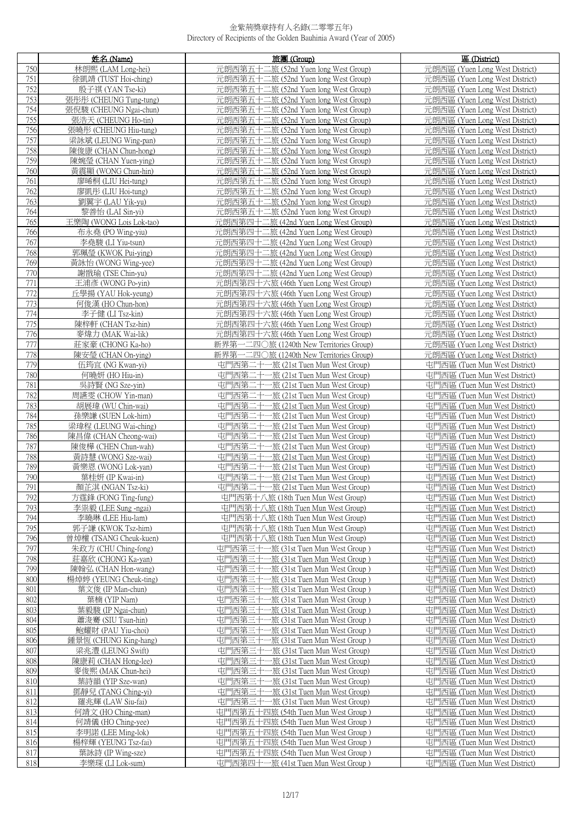|            | 姓名 (Name)                                 | 旅團 (Group)                                                                         | 區 (District)                                                    |
|------------|-------------------------------------------|------------------------------------------------------------------------------------|-----------------------------------------------------------------|
| 750        | 林朗熙 (LAM Long-hei)                        | 元朗西第五十二旅 (52nd Yuen long West Group)                                               | 元朗西區 (Yuen Long West District)                                  |
| 751        | 徐凱靖 (TUST Hoi-ching)                      | 元朗西第五十二旅 (52nd Yuen long West Group)                                               | 元朗西區 (Yuen Long West District)                                  |
| 752        | 殷子祺 (YAN Tse-ki)                          | 元朗西第五十二旅 (52nd Yuen long West Group)                                               | 元朗西區 (Yuen Long West District)                                  |
| 753        | 張彤彤 (CHEUNG Tung-tung)                    | 元朗西第五十二旅 (52nd Yuen long West Group)                                               | 元朗西區 (Yuen Long West District)                                  |
| 754        | 張倪駿 (CHEUNG Ngai-chun)                    | 元朗西第五十二旅 (52nd Yuen long West Group)                                               | 元朗西區 (Yuen Long West District)                                  |
| 755        | 張浩天 (CHEUNG Ho-tin)                       | 元朗西第五十二旅 (52nd Yuen long West Group)                                               | 元朗西區 (Yuen Long West District)                                  |
| 756        | 張曉彤 (CHEUNG Hiu-tung)                     | 元朗西第五十二旅 (52nd Yuen long West Group)                                               | 元朗西區 (Yuen Long West District)                                  |
| 757        | 梁詠斌 (LEUNG Wing-pan)                      | 元朗西第五十二旅 (52nd Yuen long West Group)                                               | 元朗西區 (Yuen Long West District)                                  |
| 758        | 陳俊康 (CHAN Chun-hong)                      | 元朗西第五十二旅 (52nd Yuen long West Group)                                               | 元朗西區 (Yuen Long West District)                                  |
| 759        | 陳婉瑩 (CHAN Yuen-ying)                      | 元朗西第五十二旅 (52nd Yuen long West Group)                                               | 元朗西區 (Yuen Long West District)                                  |
| 760        | 黃震顯 (WONG Chun-hin)                       | 元朗西第五十二旅 (52nd Yuen long West Group)                                               | 元朗西區 (Yuen Long West District)                                  |
| 761        | 廖晞桐 (LIU Hei-tung)                        | 元朗西第五十二旅 (52nd Yuen long West Group)                                               | 元朗西區 (Yuen Long West District)                                  |
| 762        | 廖凱彤 (LIU Hoi-tung)                        | 元朗西第五十二旅 (52nd Yuen long West Group)                                               | 元朗西區 (Yuen Long West District)                                  |
| 763        | 劉翼宇 (LAU Yik-yu)                          | 元朗西第五十二旅 (52nd Yuen long West Group)                                               | 元朗西區 (Yuen Long West District)                                  |
| 764        | 黎善怡 (LAI Sin-yi)                          | 元朗西第五十二旅 (52nd Yuen long West Group)                                               | 元朗西區 (Yuen Long West District)                                  |
| 765        | 王樂陶 (WONG Lois Lok-tao)                   | 元朗西第四十二旅 (42nd Yuen Long West Group)                                               | 元朗西區 (Yuen Long West District)                                  |
| 766        | 布永堯 (PO Wing-yiu)                         | 元朗西第四十二旅 (42nd Yuen Long West Group)                                               | 元朗西區 (Yuen Long West District)                                  |
| 767        | 李堯駿 (LI Yiu-tsun)                         | 元朗西第四十二旅 (42nd Yuen Long West Group)                                               | 元朗西區 (Yuen Long West District)                                  |
| 768        | 郭珮瑩 (KWOK Pui-ying)                       | 元朗西第四十二旅 (42nd Yuen Long West Group)                                               | 元朗西區 (Yuen Long West District)                                  |
| 769        | 黃詠怡 (WONG Wing-yee)                       | 元朗西第四十二旅 (42nd Yuen Long West Group)                                               | 元朗西區 (Yuen Long West District)                                  |
| 770        | 謝戩瑜 (TSE Chin-yu)                         | 元朗西第四十二旅 (42nd Yuen Long West Group)                                               | 元朗西區 (Yuen Long West District)                                  |
| 771        | 王浦彥 (WONG Po-yin)                         | 元朗西第四十六旅 (46th Yuen Long West Group)                                               | 元朗西區 (Yuen Long West District)                                  |
| 772        | 丘學揚 (YAU Hok-yeung)                       | 元朗西第四十六旅 (46th Yuen Long West Group)                                               | 元朗西區 (Yuen Long West District)                                  |
| 773        | 何俊漢 (HO Chun-hon)                         | 元朗西第四十六旅 (46th Yuen Long West Group)                                               | 元朗西區 (Yuen Long West District)                                  |
| 774        | 李子健 (LI Tsz-kin)                          | 元朗西第四十六旅 (46th Yuen Long West Group)                                               | 元朗西區 (Yuen Long West District)                                  |
| 775        | 陳梓軒 (CHAN Tsz-hin)                        | 元朗西第四十六旅 (46th Yuen Long West Group)                                               | 元朗西區 (Yuen Long West District)                                  |
| 776        | 麥煒力 (MAK Wai-lik)                         | 元朗西第四十六旅 (46th Yuen Long West Group)                                               | 元朗西區 (Yuen Long West District)                                  |
| 777        | 莊家豪 (CHONG Ka-ho)                         | 新界第一二四〇旅 (1240th New Territories Group)                                            | 元朗西區 (Yuen Long West District)                                  |
| 778<br>779 | 陳安瑩 (CHAN On-ying)<br>伍筠宜 (NG Kwan-yi)    | 新界第一二四〇旅 (1240th New Territories Group)<br>屯門西第二十一旅 (21st Tuen Mun West Group)     | 元朗西區 (Yuen Long West District)<br>屯門西區 (Tuen Mun West District) |
| 780        | 何曉妍 (HO Hiu-in)                           | 屯門西第二十<br>一旅 (21st Tuen Mun West Group)                                            | 屯門西區 (Tuen Mun West District)                                   |
| 781        | 吳詩賢 (NG Sze-yin)                          | 屯門西第二十一旅 (21st Tuen Mun West Group)                                                | 屯門西區 (Tuen Mun West District)                                   |
| 782        | 周讌雯 (CHOW Yin-man)                        | 屯門西第二十一旅 (21st Tuen Mun West Group)                                                | 屯門西區 (Tuen Mun West District)                                   |
| 783        | 胡展瑋 (WU Chin-wai)                         | 屯門西第二十一旅 (21st Tuen Mun West Group)                                                | 屯門西區 (Tuen Mun West District)                                   |
| 784        | 孫樂謙 (SUEN Lok-him)                        | 屯門西第二十一旅 (21st Tuen Mun West Group)                                                | 屯門西區 (Tuen Mun West District)                                   |
| 785        | 梁瑋程 (LEUNG Wai-ching)                     | 屯門西第二十一旅 (21st Tuen Mun West Group)                                                | 屯門西區 (Tuen Mun West District)                                   |
| 786        | 陳昌偉 (CHAN Cheong-wai)                     | 屯門西第二十一旅 (21st Tuen Mun West Group)                                                | 屯門西區 (Tuen Mun West District)                                   |
| 787        | 陳俊樺 (CHEN Chun-wah)                       | 屯門西第二十一旅 (21st Tuen Mun West Group)                                                | 屯門西區 (Tuen Mun West District)                                   |
| 788        | 黃詩慧 (WONG Sze-wai)                        | 屯門西第二十一旅 (21st Tuen Mun West Group)                                                | 屯門西區 (Tuen Mun West District)                                   |
| 789        | 黃樂恩 (WONG Lok-yan)                        | 屯門西第二十一旅 (21st Tuen Mun West Group)                                                | 屯門西區 (Tuen Mun West District)                                   |
| 790<br>791 | 葉桂妍 (IP Kwai-in)                          | 屯門西第二十一旅 (21st Tuen Mun West Group)                                                | 屯門西區 (Tuen Mun West District)                                   |
| 792        | 顏芷淇 (NGAN Tsz-ki)<br>方霆鋒 (FONG Ting-fung) | 屯門西第二十一旅 (21st Tuen Mun West Group)<br>屯門西第十八旅 (18th Tuen Mun West Group)          | 屯門西區 (Tuen Mun West District)<br>屯門西區 (Tuen Mun West District)  |
| 793        | 李祟毅 (LEE Sung -ngai)                      | 屯門西第十八旅 (18th Tuen Mun West Group)                                                 | 屯門西區 (Tuen Mun West District)                                   |
| 794        | 李曉琳 (LEE Hiu-lam)                         | 屯門西第十八旅 (18th Tuen Mun West Group)                                                 | 屯門西區 (Tuen Mun West District)                                   |
| 795        | 郭子謙 (KWOK Tsz-him)                        | 屯門西第十八旅 (18th Tuen Mun West Group)                                                 | 屯門西區 (Tuen Mun West District)                                   |
| 796        | 曾焯權 (TSANG Cheuk-kuen)                    | 屯門西第十八旅 (18th Tuen Mun West Group)                                                 | 屯門西區 (Tuen Mun West District)                                   |
| 797        | 朱政方 (CHU Ching-fong)                      | 屯門西第三十一旅 (31st Tuen Mun West Group)                                                | 屯門西區 (Tuen Mun West District)                                   |
| 798        | 莊嘉欣 (CHONG Ka-yan)                        | 屯門西第三十一旅 (31st Tuen Mun West Group)                                                | 屯門西區 (Tuen Mun West District)                                   |
| 799        | 陳翰弘 (CHAN Hon-wang)                       | 屯門西第三十一旅 (31st Tuen Mun West Group)                                                | 屯門西區 (Tuen Mun West District)                                   |
| 800        | 楊焯婷 (YEUNG Cheuk-ting)                    | 屯門西第三十一旅 (31st Tuen Mun West Group)                                                | 屯門西區 (Tuen Mun West District)                                   |
| 801        | 葉文俊 (IP Man-chun)                         | 屯門西第三十一旅 (31st Tuen Mun West Group)                                                | 屯門西區 (Tuen Mun West District)                                   |
| 802        | 葉楠 (YIP Nam)                              | 屯門西第三十-<br>一旅 (31st Tuen Mun West Group )                                          | 屯門西區 (Tuen Mun West District)                                   |
| 803        | 葉毅駿 (IP Ngai-chun)                        | 屯門西第三十-<br>一旅 (31st Tuen Mun West Group)                                           | 屯門西區 (Tuen Mun West District)                                   |
| 804        | 蕭浚騫 (SIU Tsun-hin)                        | 屯門西第三十一旅 (31st Tuen Mun West Group)                                                | 屯門西區 (Tuen Mun West District)                                   |
| 805        | 鮑耀財 (PAU Yiu-choi)                        | 屯門西第三十-<br>一旅 (31st Tuen Mun West Group )                                          | 屯門西區 (Tuen Mun West District)                                   |
| 806        | 鍾景恆 (CHUNG King-hang)                     | 屯門西第三十-<br>-旅 (31st Tuen Mun West Group )                                          | 屯門西區 (Tuen Mun West District)                                   |
| 807<br>808 | 梁兆澧 (LEUNG Swift)                         | 屯門西第三十<br>-旅 (31st Tuen Mun West Group)<br>电門西第三十<br>一旅 (31st Tuen Mun West Group) | 屯門西區 (Tuen Mun West District)<br>屯門西區 (Tuen Mun West District)  |
| 809        | 陳康莉 (CHAN Hong-lee)<br>麥俊熙 (MAK Chun-hei) | 电門西第三十<br>-旅 (31st Tuen Mun West Group)                                            | 屯門西區 (Tuen Mun West District)                                   |
| 810        | 葉詩韻 (YIP Sze-wan)                         | 屯門西第三十一旅 (31st Tuen Mun West Group)                                                | 屯門西區 (Tuen Mun West District)                                   |
| 811        | 鄧靜兒 (TANG Ching-yi)                       | 屯門西第三十<br>-旅 (31st Tuen Mun West Group)                                            | 屯門西區 (Tuen Mun West District)                                   |
| 812        | 羅兆輝 (LAW Siu-fai)                         | 屯門西第三十一旅 (31st Tuen Mun West Group)                                                | 屯門西區 (Tuen Mun West District)                                   |
| 813        | 何靖文 (HO Ching-man)                        | 屯門西第五十四旅 (54th Tuen Mun West Group)                                                | 屯門西區 (Tuen Mun West District)                                   |
| 814        | 何靖儀 (HO Ching-yee)                        | 屯門西第五十四旅 (54th Tuen Mun West Group)                                                | 屯門西區 (Tuen Mun West District)                                   |
| 815        | 李明諾 (LEE Ming-lok)                        | 屯門西第五十四旅 (54th Tuen Mun West Group)                                                | 屯門西區 (Tuen Mun West District)                                   |
| 816        | 楊梓輝 (YEUNG Tsz-fai)                       | 屯門西第五十四旅 (54th Tuen Mun West Group)                                                | 屯門西區 (Tuen Mun West District)                                   |
| 817        | 葉詠詩 (IP Wing-sze)                         | 屯門西第五十四旅 (54th Tuen Mun West Group)                                                | 屯門西區 (Tuen Mun West District)                                   |
| 818        | 李樂琛 (LI Lok-sum)                          | 屯門西第四十一旅 (41st Tuen Mun West Group)                                                | 屯門西區 (Tuen Mun West District)                                   |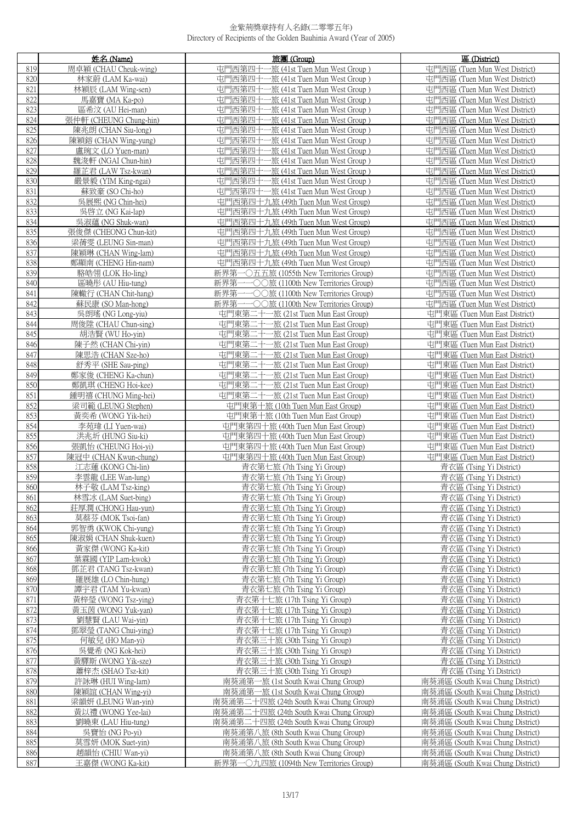|     | 姓名 (Name)              | 旅團 (Group)                                  | 區 (District)                     |
|-----|------------------------|---------------------------------------------|----------------------------------|
| 819 | 周卓穎 (CHAU Cheuk-wing)  | 屯門西第四十一旅 (41st Tuen Mun West Group)         | 屯門西區 (Tuen Mun West District)    |
| 820 | 林家蔚 (LAM Ka-wai)       | 屯門西第四十一旅 (41st Tuen Mun West Group)         | 屯門西區 (Tuen Mun West District)    |
| 821 | 林穎辰 (LAM Wing-sen)     | 屯門西第四十一旅 (41st Tuen Mun West Group)         | 屯門西區 (Tuen Mun West District)    |
| 822 | 馬嘉寶 (MA Ka-po)         | 屯門西第四十一旅 (41st Tuen Mun West Group)         | 屯門西區 (Tuen Mun West District)    |
| 823 | 區希汶 (AU Hei-man)       | 屯門西第四十一旅 (41st Tuen Mun West Group)         | 屯門西區 (Tuen Mun West District)    |
| 824 | 張仲軒 (CHEUNG Chung-hin) | 屯門西第四十一旅 (41st Tuen Mun West Group)         | 屯門西區 (Tuen Mun West District)    |
| 825 | 陳兆朗 (CHAN Siu-long)    | 屯門西第四十一旅 (41st Tuen Mun West Group)         | 屯門西區 (Tuen Mun West District)    |
| 826 | 陳穎鎔 (CHAN Wing-yung)   | 屯門西第四十一旅 (41st Tuen Mun West Group)         | 屯門西區 (Tuen Mun West District)    |
| 827 | 盧琬文 (LO Yuen-man)      | 屯門西第四十一旅 (41st Tuen Mun West Group)         | 屯門西區 (Tuen Mun West District)    |
| 828 | 魏浚軒 (NGAI Chun-hin)    | 屯門西第四十一旅 (41st Tuen Mun West Group)         | 屯門西區 (Tuen Mun West District)    |
| 829 | 羅芷君 (LAW Tsz-kwan)     | 屯門西第四十一旅 (41st Tuen Mun West Group)         | 屯門西區 (Tuen Mun West District)    |
| 830 | 嚴景毅 (YIM King-ngai)    | 屯門西第四十一旅 (41st Tuen Mun West Group)         | 屯門西區 (Tuen Mun West District)    |
| 831 | 蘇致豪 (SO Chi-ho)        | 屯門西第四十一旅 (41st Tuen Mun West Group)         | 屯門西區 (Tuen Mun West District)    |
| 832 | 吳展熙 (NG Chin-hei)      | 屯門西第四十九旅 (49th Tuen Mun West Group)         | 屯門西區 (Tuen Mun West District)    |
| 833 | 吳啓立 (NG Kai-lap)       | 屯門西第四十九旅 (49th Tuen Mun West Group)         | 屯門西區 (Tuen Mun West District)    |
| 834 | 吳淑蘊 (NG Shuk-wan)      | 屯門西第四十九旅 (49th Tuen Mun West Group)         | 屯門西區 (Tuen Mun West District)    |
| 835 | 張俊傑 (CHEONG Chun-kit)  | 屯門西第四十九旅 (49th Tuen Mun West Group)         | 屯門西區 (Tuen Mun West District)    |
| 836 | 梁蒨雯 (LEUNG Sin-man)    | 屯門西第四十九旅 (49th Tuen Mun West Group)         | 屯門西區 (Tuen Mun West District)    |
| 837 | 陳穎琳 (CHAN Wing-lam)    | 屯門西第四十九旅 (49th Tuen Mun West Group)         | 屯門西區 (Tuen Mun West District)    |
| 838 | 鄭顯南 (CHENG Hin-nam)    | 屯門西第四十九旅 (49th Tuen Mun West Group)         | 屯門西區 (Tuen Mun West District)    |
| 839 | 駱皓翎 (LOK Ho-ling)      | 新界第一〇五五旅 (1055th New Territories Group)     | 屯門西區 (Tuen Mun West District)    |
| 840 | 區曉彤 (AU Hiu-tung)      | 新界第一一〇〇旅 (1100th New Territories Group)     | 屯門西區 (Tuen Mun West District)    |
| 841 | 陳轍行 (CHAN Chit-hang)   | →○○旅 (1100th New Territories Group)<br>新界第一 | 屯門西區 (Tuen Mun West District)    |
| 842 | 蘇民康 (SO Man-hong)      | 新界第一一〇〇旅 (1100th New Territories Group)     | 屯門西區 (Tuen Mun West District)    |
| 843 | 吳朗瑤 (NG Long-yiu)      | 屯門東第二十一旅 (21st Tuen Mun East Group)         | 屯門東區 (Tuen Mun East District)    |
| 844 | 周俊陞 (CHAU Chun-sing)   | 屯門東第二十一旅 (21st Tuen Mun East Group)         | 屯門東區 (Tuen Mun East District)    |
| 845 | 胡浩賢 (WU Ho-yin)        | 屯門東第二十一旅 (21st Tuen Mun East Group)         | 屯門東區 (Tuen Mun East District)    |
| 846 | 陳子然 (CHAN Chi-yin)     | 屯門東第二十一旅 (21st Tuen Mun East Group)         | 屯門東區 (Tuen Mun East District)    |
| 847 | 陳思浩 (CHAN Sze-ho)      | 屯門東第二十一旅 (21st Tuen Mun East Group)         | 屯門東區 (Tuen Mun East District)    |
| 848 | 舒秀平 (SHE Sau-ping)     | 屯門東第二十一旅 (21st Tuen Mun East Group)         | 屯門東區 (Tuen Mun East District)    |
| 849 | 鄭家俊 (CHENG Ka-chun)    | 屯門東第二十一旅 (21st Tuen Mun East Group)         | 屯門東區 (Tuen Mun East District)    |
| 850 | 鄭凱琪 (CHENG Hoi-kee)    | 屯門東第二十一旅 (21st Tuen Mun East Group)         | 屯門東區 (Tuen Mun East District)    |
| 851 | 鍾明禧 (CHUNG Ming-hei)   | 屯門東第二十一旅 (21st Tuen Mun East Group)         | 屯門東區 (Tuen Mun East District)    |
| 852 | 梁司範 (LEUNG Stephen)    | 屯門東第十旅 (10th Tuen Mun East Group)           | 屯門東區 (Tuen Mun East District)    |
| 853 | 黃奕希 (WONG Yik-hei)     | 屯門東第十旅 (10th Tuen Mun East Group)           | 屯門東區 (Tuen Mun East District)    |
| 854 | 李苑瑋 (LI Yuen-wai)      | 屯門東第四十旅 (40th Tuen Mun East Group)          | 屯門東區 (Tuen Mun East District)    |
| 855 | 洪兆圻 (HUNG Siu-ki)      | 屯門東第四十旅 (40th Tuen Mun East Group)          | 屯門東區 (Tuen Mun East District)    |
| 856 | 張凱怡 (CHEUNG Hoi-vi)    | 屯門東第四十旅 (40th Tuen Mun East Group)          | 屯門東區 (Tuen Mun East District)    |
| 857 | 陳冠中 (CHAN Kwun-chung)  | 屯門東第四十旅 (40th Tuen Mun East Group)          | 屯門東區 (Tuen Mun East District)    |
| 858 | 江志蓮 (KONG Chi-lin)     | 青衣第七旅 (7th Tsing Yi Group)                  | 青衣區 (Tsing Yi District)          |
| 859 | 李雲龍 (LEE Wan-lung)     | 青衣第七旅 (7th Tsing Yi Group)                  | 青衣區 (Tsing Yi District)          |
| 860 | 林子敬 (LAM Tsz-king)     | 青衣第七旅 (7th Tsing Yi Group)                  | 青衣區 (Tsing Yi District)          |
| 861 | 林雪冰 (LAM Suet-bing)    | 青衣第七旅 (7th Tsing Yi Group)                  | 青衣區 (Tsing Yi District)          |
| 862 | 莊厚潤 (CHONG Hau-yun)    | 青衣第七旅 (7th Tsing Yi Group)                  | 青衣區 (Tsing Yi District)          |
| 863 | 莫蔡芬 (MOK Tsoi-fan)     | 青衣第七旅 (7th Tsing Yi Group)                  | 青衣區 (Tsing Yi District)          |
| 864 | 郭智勇 (KWOK Chi-yung)    | 青衣第七旅 (7th Tsing Yi Group)                  | 青衣區 (Tsing Yi District)          |
| 865 | 陳淑娟 (CHAN Shuk-kuen)   | 青衣第七旅 (7th Tsing Yi Group)                  | 青衣區 (Tsing Yi District)          |
| 866 | 黃家傑 (WONG Ka-kit)      | 青衣第七旅 (7th Tsing Yi Group)                  | 青衣區 (Tsing Yi District)          |
| 867 | 葉霖國 (YIP Lam-kwok)     | 青衣第七旅 (7th Tsing Yi Group)                  | 青衣區 (Tsing Yi District)          |
| 868 | 鄧芷君 (TANG Tsz-kwan)    | 青衣第七旅 (7th Tsing Yi Group)                  | 青衣區 (Tsing Yi District)          |
| 869 | 羅展雄 (LO Chin-hung)     | 青衣第七旅 (7th Tsing Yi Group)                  | 青衣區 (Tsing Yi District)          |
| 870 | 譚宇君 (TAM Yu-kwan)      | 青衣第七旅 (7th Tsing Yi Group)                  | 青衣區 (Tsing Yi District)          |
| 871 | 黃梓瑩 (WONG Tsz-ying)    | 青衣第十七旅 (17th Tsing Yi Group)                | 青衣區 (Tsing Yi District)          |
| 872 | 黃玉茵 (WONG Yuk-yan)     | 青衣第十七旅 (17th Tsing Yi Group)                | 青衣區 (Tsing Yi District)          |
| 873 | 劉慧賢 (LAU Wai-yin)      | 青衣第十七旅 (17th Tsing Yi Group)                | 青衣區 (Tsing Yi District)          |
| 874 | 鄧翠瑩 (TANG Chui-ying)   | 青衣第十七旅 (17th Tsing Yi Group)                | 青衣區 (Tsing Yi District)          |
| 875 | 何敏兒 (HO Man-yi)        | 青衣第三十旅 (30th Tsing Yi Group)                | 青衣區 (Tsing Yi District)          |
| 876 | 吳覺希 (NG Kok-hei)       | <u>青衣第三十旅 (30th Tsing Yi Group)</u>         | 青衣區 (Tsing Yi District)          |
| 877 | 黃驛斯 (WONG Yik-sze)     | 青衣第三十旅 (30th Tsing Yi Group)                | 青衣區 (Tsing Yi District)          |
| 878 | 蕭梓杰 (SHAO Tsz-kit)     | 青衣第三十旅 (30th Tsing Yi Group)                | 青衣區 (Tsing Yi District)          |
| 879 | 許詠琳 (HUI Wing-lam)     | 南葵涌第一旅 (1st South Kwai Chung Group)         | 南葵涌區 (South Kwai Chung District) |
| 880 | 陳穎誼 (CHAN Wing-yi)     | 南葵涌第一旅 (1st South Kwai Chung Group)         | 南葵涌區 (South Kwai Chung District) |
| 881 | 梁韻妍 (LEUNG Wan-yin)    | 南葵涌第二十四旅 (24th South Kwai Chung Group)      | 南葵涌區 (South Kwai Chung District) |
| 882 | 黃以禮 (WONG Yee-lai)     | 南葵涌第二十四旅 (24th South Kwai Chung Group)      | 南葵涌區 (South Kwai Chung District) |
| 883 | 劉曉東 (LAU Hiu-tung)     | 南葵涌第二十四旅 (24th South Kwai Chung Group)      | 南葵涌區 (South Kwai Chung District) |
| 884 | 吳寶怡 (NG Po-vi)         | 南葵涌第八旅 (8th South Kwai Chung Group)         | 南葵涌區 (South Kwai Chung District) |
| 885 | 莫雪妍 (MOK Suet-yin)     | 南葵涌第八旅 (8th South Kwai Chung Group)         | 南葵涌區 (South Kwai Chung District) |
| 886 | 趙韻怡 (CHIU Wan-yi)      | 南葵涌第八旅 (8th South Kwai Chung Group)         | 南葵涌區 (South Kwai Chung District) |
| 887 | 王嘉傑 (WONG Ka-kit)      | 新界第一〇九四旅 (1094th New Territories Group)     | 南葵涌區 (South Kwai Chung District) |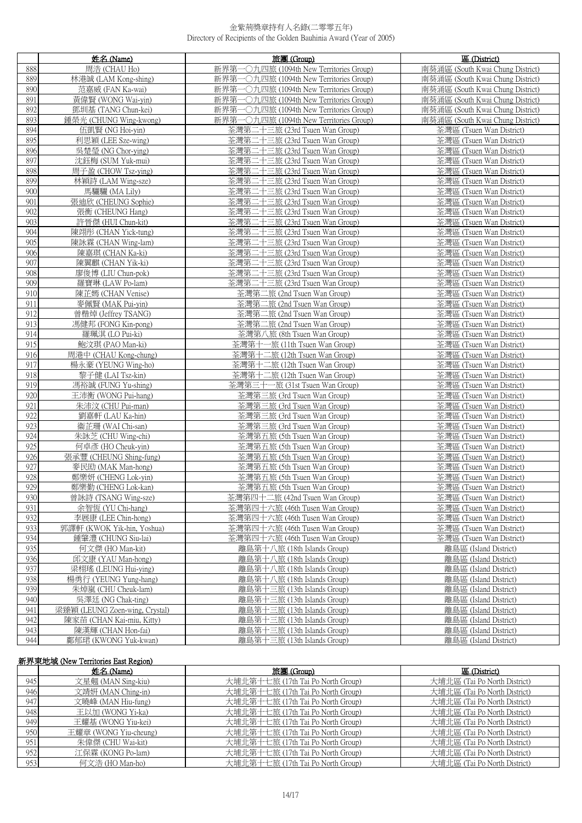|            | 姓名 (Name)                              | 旅團 (Group)                                                   | 區 (District)                                         |
|------------|----------------------------------------|--------------------------------------------------------------|------------------------------------------------------|
| 888        | 周浩 (CHAU Ho)                           | 新界第一〇九四旅 (1094th New Territories Group)                      | 南葵涌區 (South Kwai Chung District)                     |
| 889        | 林港誠 (LAM Kong-shing)                   | 新界第一〇九四旅 (1094th New Territories Group)                      | 南葵涌區 (South Kwai Chung District)                     |
| 890        | 范嘉威 (FAN Ka-wai)                       | 新界第一〇九四旅 (1094th New Territories Group)                      | 南葵涌區 (South Kwai Chung District)                     |
| 891        | 黃偉賢 (WONG Wai-yin)                     | 新界第一〇九四旅 (1094th New Territories Group)                      | 南葵涌區 (South Kwai Chung District)                     |
| 892        | 鄧圳基 (TANG Chun-kei)                    | 新界第一〇九四旅 (1094th New Territories Group)                      | 南葵涌區 (South Kwai Chung District)                     |
| 893        | 鍾榮光 (CHUNG Wing-kwong)                 | 新界第一〇九四旅 (1094th New Territories Group)                      | 南葵涌區 (South Kwai Chung District)                     |
| 894        | 伍凱賢 (NG Hoi-yin)                       | 荃灣第二十三旅 (23rd Tsuen Wan Group)                               | 荃灣區 (Tsuen Wan District)                             |
| 895        | 利思穎 (LEE Sze-wing)                     | 荃灣第二十三旅 (23rd Tsuen Wan Group)                               | 荃灣區 (Tsuen Wan District)                             |
| 896        | 吳楚瑩 (NG Chor-ying)                     | 荃灣第二十三旅 (23rd Tsuen Wan Group)                               | 荃灣區 (Tsuen Wan District)                             |
| 897        | 沈鈺梅 (SUM Yuk-mui)                      | 荃灣第二十三旅 (23rd Tsuen Wan Group)                               | 荃灣區 (Tsuen Wan District)                             |
| 898        | 周子盈 (CHOW Tsz-ying)                    | 荃灣第二十三旅 (23rd Tsuen Wan Group)                               | 荃灣區 (Tsuen Wan District)                             |
| 899        | 林穎詩 (LAM Wing-sze)                     | 荃灣第二十三旅 (23rd Tsuen Wan Group)                               | 荃灣區 (Tsuen Wan District)                             |
| 900        | 馬驪驪 (MA Lily)                          | 荃灣第二十三旅 (23rd Tsuen Wan Group)                               | 荃灣區 (Tsuen Wan District)                             |
| 901        | 張迪欣 (CHEUNG Sophie)                    | 荃灣第二十三旅 (23rd Tsuen Wan Group)                               | 荃灣區 (Tsuen Wan District)                             |
| 902        | 張衡 (CHEUNG Hang)                       | 荃灣第二十三旅 (23rd Tsuen Wan Group)                               | 荃灣區 (Tsuen Wan District)                             |
| 903        | 許晉傑 (HUI Chun-kit)                     | 荃灣第二十三旅 (23rd Tsuen Wan Group)                               | 荃灣區 (Tsuen Wan District)                             |
| 904        | 陳翊彤 (CHAN Yick-tung)                   | 荃灣第二十三旅 (23rd Tsuen Wan Group)                               | 荃灣區 (Tsuen Wan District)                             |
| 905        | 陳詠霖 (CHAN Wing-lam)                    | 荃灣第二十三旅 (23rd Tsuen Wan Group)                               | 荃灣區 (Tsuen Wan District)                             |
| 906        | 陳嘉琪 (CHAN Ka-ki)                       | 荃灣第二十三旅 (23rd Tsuen Wan Group)                               | 荃灣區 (Tsuen Wan District)                             |
| 907        | 陳翼麒 (CHAN Yik-ki)                      | 荃灣第二十三旅 (23rd Tsuen Wan Group)                               | 荃灣區 (Tsuen Wan District)                             |
| 908        | 廖俊博 (LIU Chun-pok)                     | 荃灣第二十三旅 (23rd Tsuen Wan Group)                               | 荃灣區 (Tsuen Wan District)                             |
| 909        | 羅寶琳 (LAW Po-lam)                       | 荃灣第二十三旅 (23rd Tsuen Wan Group)                               | 荃灣區 (Tsuen Wan District)                             |
| 910        | 陳芷嫣 (CHAN Venise)                      | 荃灣第二旅 (2nd Tsuen Wan Group)                                  | 荃灣區 (Tsuen Wan District)                             |
| 911        | 麥佩賢 (MAK Pui-vin)                      | 荃灣第二旅 (2nd Tsuen Wan Group)                                  | 荃灣區 (Tsuen Wan District)                             |
| 912        | 曾楷焯 (Jeffrey TSANG)                    | 荃灣第二旅 (2nd Tsuen Wan Group)                                  | 荃灣區 (Tsuen Wan District)                             |
| 913        | 馮健邦 (FONG Kin-pong)                    | 荃灣第二旅 (2nd Tsuen Wan Group)                                  | 荃灣區 (Tsuen Wan District)                             |
| 914<br>915 | 羅珮淇 (LO Pui-ki)<br>鮑汶琪 (PAO Man-ki)    | 荃灣第八旅 (8th Tsuen Wan Group)<br>荃灣第十一旅 (11th Tsuen Wan Group) | 荃灣區 (Tsuen Wan District)<br>荃灣區 (Tsuen Wan District) |
| 916        | 周港中 (CHAU Kong-chung)                  | 荃灣第十二旅 (12th Tsuen Wan Group)                                | 荃灣區 (Tsuen Wan District)                             |
| 917        | 楊永豪 (YEUNG Wing-ho)                    | 荃灣第十二旅 (12th Tsuen Wan Group)                                | 荃灣區 (Tsuen Wan District)                             |
| 918        | 黎子健 (LAI Tsz-kin)                      | 荃灣第十二旅 (12th Tsuen Wan Group)                                | 荃灣區 (Tsuen Wan District)                             |
| 919        | 馮裕誠 (FUNG Yu-shing)                    | 荃灣第三十一旅 (31st Tsuen Wan Group)                               | 荃灣區 (Tsuen Wan District)                             |
| 920        | 王沛衡 (WONG Pui-hang)                    | 荃灣第三旅 (3rd Tsuen Wan Group)                                  | 荃灣區 (Tsuen Wan District)                             |
| 921        | 朱沛汶 (CHU Pui-man)                      | 荃灣第三旅 (3rd Tsuen Wan Group)                                  | 荃灣區 (Tsuen Wan District)                             |
| 922        | 劉嘉軒 (LAU Ka-hin)                       | 荃灣第三旅 (3rd Tsuen Wan Group)                                  | 荃灣區 (Tsuen Wan District)                             |
| 923        | 衞芷珊 (WAI Chi-san)                      | 荃灣第三旅 (3rd Tsuen Wan Group)                                  | 荃灣區 (Tsuen Wan District)                             |
| 924        | 朱詠芝 (CHU Wing-chi)                     | 荃灣第五旅 (5th Tsuen Wan Group)                                  | 荃灣區 (Tsuen Wan District)                             |
| 925        | 何卓彥 (HO Cheuk-vin)                     | 荃灣第五旅 (5th Tsuen Wan Group)                                  | 荃灣區 (Tsuen Wan District)                             |
| 926        | 張承豐 (CHEUNG Shing-fung)                | 荃灣第五旅 (5th Tsuen Wan Group)                                  | 荃灣區 (Tsuen Wan District)                             |
| 927        | 麥民劻 (MAK Man-hong)                     | 荃灣第五旅 (5th Tsuen Wan Group)                                  | 荃灣區 (Tsuen Wan District)                             |
| 928        | 鄭樂妍 (CHENG Lok-yin)                    | 荃灣第五旅 (5th Tsuen Wan Group)                                  | 荃灣區 (Tsuen Wan District)                             |
| 929        | 鄭樂勤 (CHENG Lok-kan)                    | 荃灣第五旅 (5th Tsuen Wan Group)                                  | 荃灣區 (Tsuen Wan District)                             |
| 930        | 曾詠詩 (TSANG Wing-sze)                   | 荃灣第四十二旅 (42nd Tsuen Wan Group)                               | 荃灣區 (Tsuen Wan District)                             |
| 931        | 余智恆 (YU Chi-hang)                      | 荃灣第四十六旅 (46th Tusen Wan Group)                               | 荃灣區 (Tsuen Wan District)                             |
| 932        | 李展康 (LEE Chin-hong)                    | 荃灣第四十六旅 (46th Tusen Wan Group)                               | 荃灣區 (Tsuen Wan District)                             |
| 933        | 郭譯軒 (KWOK Yik-hin, Yoshua)             | 荃灣第四十六旅 (46th Tusen Wan Group)                               | 荃灣區 (Tsuen Wan District)                             |
| 934        | 鍾肇澧 (CHUNG Siu-lai)                    | 荃灣第四十六旅 (46th Tusen Wan Group)                               | 荃灣區 (Tsuen Wan District)                             |
| 935<br>936 | 何文傑 (HO Man-kit)<br>邱文康 (YAU Man-hong) | 離島第十八旅 (18th Islands Group)                                  | 離島區 (Island District)<br>離島區 (Island District)       |
| 937        | 梁栩瑤 (LEUNG Hui-ving)                   | 離島第十八旅 (18th Islands Group)<br>離島第十八旅 (18th Islands Group)   | 離島區 (Island District)                                |
| 938        | 楊勇行 (YEUNG Yung-hang)                  | 離島第十八旅 (18th Islands Group)                                  | 離島區 (Island District)                                |
| 939        | 朱焯嵐 (CHU Cheuk-lam)                    | 離島第十三旅 (13th Islands Group)                                  | 離島區 (Island District)                                |
| 940        | 吳澤廷 (NG Chak-ting)                     | 離島第十三旅 (13th Islands Group)                                  | 離島區 (Island District)                                |
| 941        | 梁臻穎 (LEUNG Zoen-wing, Crystal)         | 離島第十三旅 (13th Islands Group)                                  | 離島區 (Island District)                                |
| 942        | 陳家苗 (CHAN Kai-miu, Kitty)              | 離島第十三旅 (13th Islands Group)                                  | 離島區 (Island District)                                |
| 943        | 陳漢輝 (CHAN Hon-fai)                     | 離島第十三旅 (13th Islands Group)                                  | 離島區 (Island District)                                |
| 944        | 鄺郁珺 (KWONG Yuk-kwan)                   | 離島第十三旅 (13th Islands Group)                                  | 離島區 (Island District)                                |

## **新界東地域 (New Territories East Region)**

|     | 姓名 (Name)             | 旅團 (Group)                        | 區 (District)                 |
|-----|-----------------------|-----------------------------------|------------------------------|
| 945 | 文星翹 (MAN Sing-kiu)    | 大埔北第十七旅 (17th Tai Po North Group) | 大埔北區 (Tai Po North District) |
| 946 | 文靖妍 (MAN Ching-in)    | 大埔北第十七旅 (17th Tai Po North Group) | 大埔北區 (Tai Po North District) |
| 947 | 文曉峰 (MAN Hiu-fung)    | 大埔北第十七旅 (17th Tai Po North Group) | 大埔北區 (Tai Po North District) |
| 948 | 王以加 (WONG Yi-ka)      | 大埔北第十七旅 (17th Tai Po North Group) | 大埔北區 (Tai Po North District) |
| 949 | 王耀基 (WONG Yiu-kei)    | 大埔北第十七旅 (17th Tai Po North Group) | 大埔北區 (Tai Po North District) |
| 950 | 王耀章 (WONG Yiu-cheung) | 大埔北第十七旅 (17th Tai Po North Group) | 大埔北區 (Tai Po North District) |
| 951 | 朱偉傑 (CHU Wai-kit)     | 大埔北第十七旅 (17th Tai Po North Group) | 大埔北區 (Tai Po North District) |
| 952 | 江保霖 (KONG Po-lam)     | 大埔北第十七旅 (17th Tai Po North Group) | 大埔北區 (Tai Po North District) |
| 953 | 何文浩 (HO Man-ho)       | 大埔北第十七旅 (17th Tai Po North Group) | 大埔北區 (Tai Po North District) |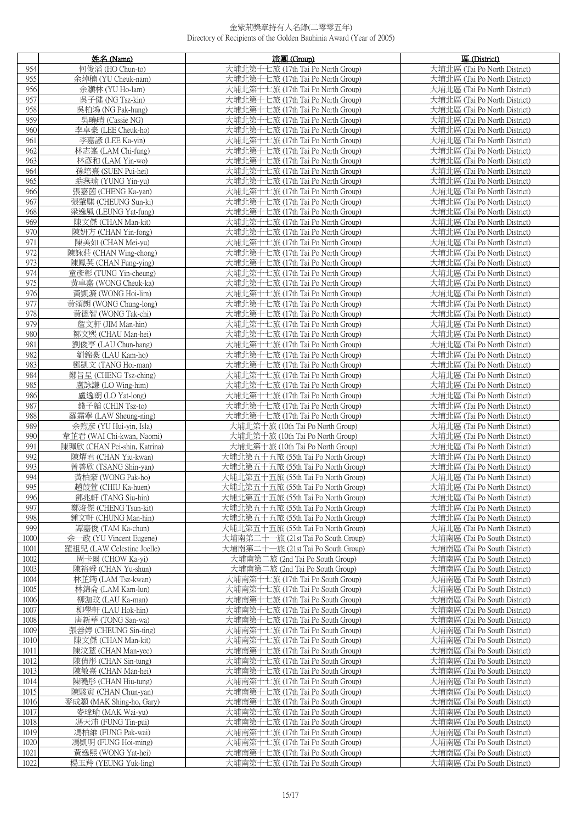|              | 姓名 (Name)                                           | 旅團 (Group)                                                             | 區 (District)                                                 |
|--------------|-----------------------------------------------------|------------------------------------------------------------------------|--------------------------------------------------------------|
| 954          | 何俊滔 (HO Chun-to)                                    | 大埔北第十七旅 (17th Tai Po North Group)                                      | 大埔北區 (Tai Po North District)                                 |
| 955          | 余焯楠 (YU Cheuk-nam)                                  | 大埔北第十七旅 (17th Tai Po North Group)                                      | 大埔北區 (Tai Po North District)                                 |
| 956          | 余灝林 (YU Ho-lam)                                     | 大埔北第十七旅 (17th Tai Po North Group)                                      | 大埔北區 (Tai Po North District)                                 |
| 957          | 吳子健 (NG Tsz-kin)                                    | 大埔北第十七旅 (17th Tai Po North Group)                                      | 大埔北區 (Tai Po North District)                                 |
| 958          | 吳柏鴻 (NG Pak-hung)                                   | 大埔北第十七旅 (17th Tai Po North Group)                                      | 大埔北區 (Tai Po North District)                                 |
| 959          | 吳曉晴 (Cassie NG)                                     | 大埔北第十七旅 (17th Tai Po North Group)                                      | 大埔北區 (Tai Po North District)                                 |
| 960          | 李卓豪 (LEE Cheuk-ho)                                  | 大埔北第十七旅 (17th Tai Po North Group)                                      | 大埔北區 (Tai Po North District)                                 |
| 961          | 李嘉諺 (LEE Ka-yin)                                    | 大埔北第十七旅 (17th Tai Po North Group)                                      | 大埔北區 (Tai Po North District)                                 |
| 962          | 林志峯 (LAM Chi-fung)                                  | 大埔北第十七旅 (17th Tai Po North Group)                                      | 大埔北區 (Tai Po North District)                                 |
| 963          | 林彥和 (LAM Yin-wo)                                    | 大埔北第十七旅 (17th Tai Po North Group)                                      | 大埔北區 (Tai Po North District)                                 |
| 964          | 孫培喜 (SUEN Pui-hei)                                  | 大埔北第十七旅 (17th Tai Po North Group)                                      | 大埔北區 (Tai Po North District)                                 |
| 965          | 翁燕瑜 (YUNG Yin-yu)                                   | 大埔北第十七旅 (17th Tai Po North Group)                                      | 大埔北區 (Tai Po North District)                                 |
| 966          | 張嘉茵 (CHENG Ka-yan)                                  | 大埔北第十七旅 (17th Tai Po North Group)                                      | 大埔北區 (Tai Po North District)                                 |
| 967          | 張肇騏 (CHEUNG Sun-ki)                                 | 大埔北第十七旅 (17th Tai Po North Group)                                      | 大埔北區 (Tai Po North District)                                 |
| 968          | 梁逸風 (LEUNG Yat-fung)                                | 大埔北第十七旅 (17th Tai Po North Group)                                      | 大埔北區 (Tai Po North District)                                 |
| 969          | 陳文傑 (CHAN Man-kit)                                  | 大埔北第十七旅 (17th Tai Po North Group)                                      | 大埔北區 (Tai Po North District)                                 |
| 970          | 陳妍方 (CHAN Yin-fong)                                 | 大埔北第十七旅 (17th Tai Po North Group)                                      | 大埔北區 (Tai Po North District)                                 |
| 971          | 陳美如 (CHAN Mei-yu)                                   | 大埔北第十七旅 (17th Tai Po North Group)                                      | 大埔北區 (Tai Po North District)                                 |
| 972<br>973   | 陳詠莊 (CHAN Wing-chong)                               | 大埔北第十七旅 (17th Tai Po North Group)                                      | 大埔北區 (Tai Po North District)<br>大埔北區 (Tai Po North District) |
| 974          | 陳鳳英 (CHAN Fung-ying)<br>童彥彰 (TUNG Yin-cheung)       | 大埔北第十七旅 (17th Tai Po North Group)<br>大埔北第十七旅 (17th Tai Po North Group) | 大埔北區 (Tai Po North District)                                 |
| 975          | 黃卓嘉 (WONG Cheuk-ka)                                 | 大埔北第十七旅 (17th Tai Po North Group)                                      | 大埔北區 (Tai Po North District)                                 |
| 976          | 黃凱濂 (WONG Hoi-lim)                                  | 大埔北第十七旅 (17th Tai Po North Group)                                      | 大埔北區 (Tai Po North District)                                 |
| 977          | 黃頌朗 (WONG Chung-long)                               | 大埔北第十七旅 (17th Tai Po North Group)                                      | 大埔北區 (Tai Po North District)                                 |
| 978          | 黃德智 (WONG Tak-chi)                                  | 大埔北第十七旅 (17th Tai Po North Group)                                      | 大埔北區 (Tai Po North District)                                 |
| 979          | 詹文軒 (JIM Man-hin)                                   | 大埔北第十七旅 (17th Tai Po North Group)                                      | 大埔北區 (Tai Po North District)                                 |
| 980          | 鄒文熙 (CHAU Man-hei)                                  | 大埔北第十七旅 (17th Tai Po North Group)                                      | 大埔北區 (Tai Po North District)                                 |
| 981          | 劉俊亨 (LAU Chun-hang)                                 | 大埔北第十七旅 (17th Tai Po North Group)                                      | 大埔北區 (Tai Po North District)                                 |
| 982          | 劉錦豪 (LAU Kam-ho)                                    | 大埔北第十七旅 (17th Tai Po North Group)                                      | 大埔北區 (Tai Po North District)                                 |
| 983          | 鄧凱文 (TANG Hoi-man)                                  | 大埔北第十七旅 (17th Tai Po North Group)                                      | 大埔北區 (Tai Po North District)                                 |
| 984          | 鄭旨呈 (CHENG Tsz-ching)                               | 大埔北第十七旅 (17th Tai Po North Group)                                      | 大埔北區 (Tai Po North District)                                 |
| 985          | 盧詠謙 (LO Wing-him)                                   | 大埔北第十七旅 (17th Tai Po North Group)                                      | 大埔北區 (Tai Po North District)                                 |
| 986          | 盧逸朗 (LO Yat-long)                                   | 大埔北第十七旅 (17th Tai Po North Group)                                      | 大埔北區 (Tai Po North District)                                 |
| 987          | 錢子韜 (CHIN Tsz-to)                                   | 大埔北第十七旅 (17th Tai Po North Group)                                      | 大埔北區 (Tai Po North District)                                 |
| 988          | 羅霜寧 (LAW Sheung-ning)                               | 大埔北第十七旅 (17th Tai Po North Group)                                      | 大埔北區 (Tai Po North District)                                 |
| 989<br>990   | 余煦彦 (YU Hui-yin, Isla)<br>韋芷君 (WAI Chi-kwan, Naomi) | 大埔北第十旅 (10th Tai Po North Group)<br>大埔北第十旅 (10th Tai Po North Group)   | 大埔北區 (Tai Po North District)<br>大埔北區 (Tai Po North District) |
| 991          | 陳珮欣 (CHAN Pei-shin, Katrina)                        | 大埔北第十旅 (10th Tai Po North Group)                                       | 大埔北區 (Tai Po North District)                                 |
| 992          | 陳燿君 (CHAN Yiu-kwan)                                 | 大埔北第五十五旅 (55th Tai Po North Group)                                     | 大埔北區 (Tai Po North District)                                 |
| 993          | 曾善欣 (TSANG Shin-yan)                                | 大埔北第五十五旅 (55th Tai Po North Group)                                     | 大埔北區 (Tai Po North District)                                 |
| 994          | 黃柏豪 (WONG Pak-ho)                                   | 大埔北第五十五旅 (55th Tai Po North Group)                                     | 大埔北區 (Tai Po North District)                                 |
| 995          | 趙葭萱 (CHIU Ka-huen)                                  | 大埔北第五十五旅 (55th Tai Po North Group)                                     | 大埔北區 (Tai Po North District)                                 |
| 996          | 鄧兆軒 (TANG Siu-hin)                                  | 大埔北第五十五旅 (55th Tai Po North Group)                                     | 大埔北區 (Tai Po North District)                                 |
| 997          | 鄭浚傑 (CHENG Tsun-kit)                                | 大埔北第五十五旅 (55th Tai Po North Group)                                     | 大埔北區 (Tai Po North District)                                 |
| 998          | 鍾文軒 (CHUNG Man-hin)                                 | 大埔北第五十五旅 (55th Tai Po North Group)                                     | 大埔北區 (Tai Po North District)                                 |
| 999          | 譚嘉俊 (TAM Ka-chun)                                   | 大埔北第五十五旅 (55th Tai Po North Group)                                     | 大埔北區 (Tai Po North District)                                 |
| 1000         | 余一政 (YU Vincent Eugene)                             | 大埔南第二十一旅 (21st Tai Po South Group)                                     | 大埔南區 (Tai Po South District)                                 |
| 1001         | 羅祖兒 (LAW Celestine Joelle)                          | 大埔南第二十一旅 (21st Tai Po South Group)                                     | 大埔南區 (Tai Po South District)                                 |
| 1002         | 周卡爾 (CHOW Ka-yi)                                    | 大埔南第二旅 (2nd Tai Po South Group)                                        | 大埔南區 (Tai Po South District)                                 |
| 1003<br>1004 | 陳裕舜 (CHAN Yu-shun)<br>林芷筠 (LAM Tsz-kwan)            | 大埔南第二旅 (2nd Tai Po South Group)<br>大埔南第十七旅 (17th Tai Po South Group)   | 大埔南區 (Tai Po South District)<br>大埔南區 (Tai Po South District) |
| 1005         | 林錦侖 (LAM Kam-lun)                                   | 大埔南第十七旅 (17th Tai Po South Group)                                      | 大埔南區 (Tai Po South District)                                 |
| 1006         | 柳泇玟 (LAU Ka-man)                                    | 大埔南第十七旅 (17th Tai Po South Group)                                      | 大埔南區 (Tai Po South District)                                 |
| 1007         | 柳學軒 (LAU Hok-hin)                                   | 大埔南第十七旅 (17th Tai Po South Group)                                      | 大埔南區 (Tai Po South District)                                 |
| 1008         | 唐新華 (TONG San-wa)                                   | 大埔南第十七旅 (17th Tai Po South Group)                                      | 大埔南區 (Tai Po South District)                                 |
| 1009         | 張善婷 (CHEUNG Sin-ting)                               | 大埔南第十七旅 (17th Tai Po South Group)                                      | 大埔南區 (Tai Po South District)                                 |
| 1010         | 陳文傑 (CHAN Man-kit)                                  | 大埔南第十七旅 (17th Tai Po South Group)                                      | 大埔南區 (Tai Po South District)                                 |
| 1011         | 陳汶薏 (CHAN Man-yee)                                  | 大埔南第十七旅 (17th Tai Po South Group)                                      | 大埔南區 (Tai Po South District)                                 |
| 1012         | 陳倩彤 (CHAN Sin-tung)                                 | 大埔南第十七旅 (17th Tai Po South Group)                                      | 大埔南區 (Tai Po South District)                                 |
| 1013         | 陳敏熹 (CHAN Man-hei)                                  | 大埔南第十七旅 (17th Tai Po South Group)                                      | 大埔南區 (Tai Po South District)                                 |
| 1014         | 陳曉彤 (CHAN Hiu-tung)                                 | 大埔南第十七旅 (17th Tai Po South Group)                                      | 大埔南區 (Tai Po South District)                                 |
| 1015         | 陳駿寅 (CHAN Chun-yan)                                 | 大埔南第十七旅 (17th Tai Po South Group)                                      | 大埔南區 (Tai Po South District)                                 |
| 1016         | 麥成灝 (MAK Shing-ho, Gary)                            | 大埔南第十七旅 (17th Tai Po South Group)                                      | 大埔南區 (Tai Po South District)                                 |
| 1017         | 麥瑋瑜 (MAK Wai-yu)                                    | 大埔南第十七旅 (17th Tai Po South Group)                                      | 大埔南區 (Tai Po South District)                                 |
| 1018<br>1019 | 馮天沛 (FUNG Tin-pui)<br>馮柏維 (FUNG Pak-wai)            | 大埔南第十七旅 (17th Tai Po South Group)<br>大埔南第十七旅 (17th Tai Po South Group) | 大埔南區 (Tai Po South District)<br>大埔南區 (Tai Po South District) |
| 1020         | 馮凱明 (FUNG Hoi-ming)                                 | 大埔南第十七旅 (17th Tai Po South Group)                                      | 大埔南區 (Tai Po South District)                                 |
| 1021         | 黃逸熙 (WONG Yat-hei)                                  | 大埔南第十七旅 (17th Tai Po South Group)                                      | 大埔南區 (Tai Po South District)                                 |
| 1022         | 楊玉羚 (YEUNG Yuk-ling)                                | 大埔南第十七旅 (17th Tai Po South Group)                                      | 大埔南區 (Tai Po South District)                                 |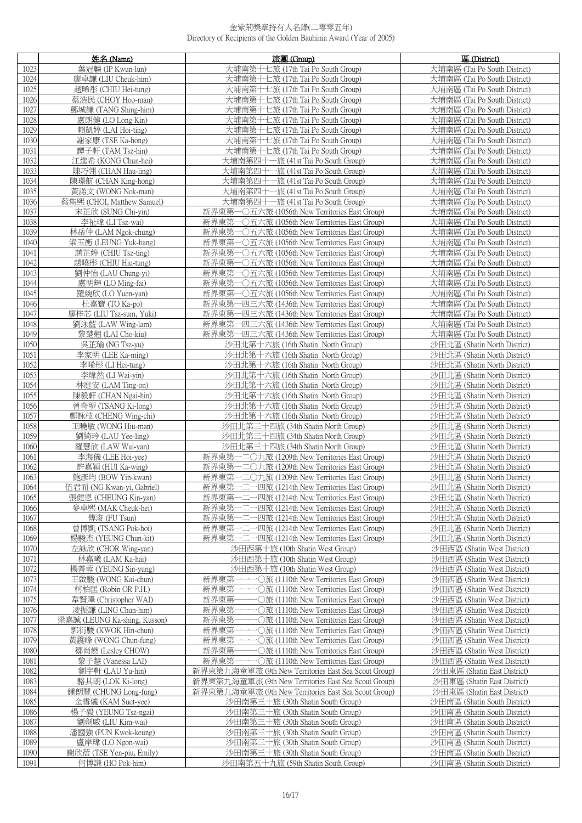|              | 姓名 (Name)                                   | 旅團 (Group)                                                                                            | 區 (District)                                                 |
|--------------|---------------------------------------------|-------------------------------------------------------------------------------------------------------|--------------------------------------------------------------|
| 1023         | 葉冠麟 (IP Kwun-lun)                           | 大埔南第十七旅 (17th Tai Po South Group)                                                                     | 大埔南區 (Tai Po South District)                                 |
| 1024         | 廖卓謙 (LIU Cheuk-him)                         | 大埔南第十七旅 (17th Tai Po South Group)                                                                     | 大埔南區 (Tai Po South District)                                 |
| 1025         | 趙晞彤 (CHIU Hei-tung)                         | 大埔南第十七旅 (17th Tai Po South Group)                                                                     | 大埔南區 (Tai Po South District)                                 |
| 1026         | 蔡浩民 (CHOY Hoo-man)                          | 大埔南第十七旅 (17th Tai Po South Group)                                                                     | 大埔南區 (Tai Po South District)                                 |
| 1027         | 鄧城謙 (TANG Shing-him)                        | 大埔南第十七旅 (17th Tai Po South Group)                                                                     | 大埔南區 (Tai Po South District)                                 |
| 1028         | 盧朗健 (LO Long Kin)                           | 大埔南第十七旅 (17th Tai Po South Group)                                                                     | 大埔南區 (Tai Po South District)                                 |
| 1029         | 賴凱婷 (LAI Hoi-ting)                          | 大埔南第十七旅 (17th Tai Po South Group)                                                                     | 大埔南區 (Tai Po South District)                                 |
| 1030<br>1031 | 謝家康 (TSE Ka-hong)<br>譚子軒 (TAM Tsz-hin)      | 大埔南第十七旅 (17th Tai Po South Group)<br>大埔南第十七旅 (17th Tai Po South Group)                                | 大埔南區 (Tai Po South District)<br>大埔南區 (Tai Po South District) |
| 1032         | 江進希 (KONG Chun-hei)                         | 大埔南第四十一旅 (41st Tai Po South Group)                                                                    | 大埔南區 (Tai Po South District)                                 |
| 1033         | 陳巧翎 (CHAN Hau-ling)                         | 大埔南第四十一旅 (41st Tai Po South Group)                                                                    | 大埔南區 (Tai Po South District)                                 |
| 1034         | 陳璟航 (CHAN King-hong)                        | 大埔南第四十一旅 (41st Tai Po South Group)                                                                    | 大埔南區 (Tai Po South District)                                 |
| 1035         | 黃諾文 (WONG Nok-man)                          | 大埔南第四十一旅 (41st Tai Po South Group)                                                                    | 大埔南區 (Tai Po South District)                                 |
| 1036         | 蔡雋熙 (CHOI, Matthew Samuel)                  | 大埔南第四十一旅 (41st Tai Po South Group)                                                                    | 大埔南區 (Tai Po South District)                                 |
| 1037         | 宋芷欣 (SUNG Chi-yin)                          | 新界東第一〇五六旅 (1056th New Territories East Group)                                                         | 大埔南區 (Tai Po South District)                                 |
| 1038         | 李祉瑋 (LI Tsz-wai)                            | 新界東第一〇五六旅 (1056th New Territories East Group)                                                         | 大埔南區 (Tai Po South District)                                 |
| 1039         | 林岳仲 (LAM Ngok-chung)                        | 新界東第一〇五六旅 (1056th New Territories East Group)                                                         | 大埔南區 (Tai Po South District)                                 |
| 1040<br>1041 | 梁玉衡 (LEUNG Yuk-hang)<br>趙芷婷 (CHIU Tsz-ting) | 新界東第一〇五六旅 (1056th New Territories East Group)<br>新界東第一〇五六旅 (1056th New Territories East Group)        | 大埔南區 (Tai Po South District)<br>大埔南區 (Tai Po South District) |
| 1042         | 趙曉彤 (CHIU Hiu-tung)                         | 新界東第一〇五六旅 (1056th New Territories East Group)                                                         | 大埔南區 (Tai Po South District)                                 |
| 1043         | 劉仲怡 (LAU Chung-yi)                          | 新界東第一〇五六旅 (1056th New Territories East Group)                                                         | 大埔南區 (Tai Po South District)                                 |
| 1044         | 盧明輝 (LO Ming-fai)                           | 新界東第一〇五六旅 (1056th New Territories East Group)                                                         | 大埔南區 (Tai Po South District)                                 |
| 1045         | 羅婉欣 (LO Yuen-yan)                           | 新界東第一〇五六旅 (1056th New Territories East Group)                                                         | 大埔南區 (Tai Po South District)                                 |
| 1046         | 杜嘉寶 (TO Ka-po)                              | 新界東第一四三六旅 (1436th New Territories East Group)                                                         | 大埔南區 (Tai Po South District)                                 |
| 1047         | 廖梓芯 (LIU Tsz-sum, Yuki)                     | 新界東第一四三六旅 (1436th New Territories East Group)                                                         | 大埔南區 (Tai Po South District)                                 |
| 1048         | 劉泳藍 (LAW Wing-lam)                          | 新界東第一四三六旅 (1436th New Territories East Group)                                                         | 大埔南區 (Tai Po South District)                                 |
| 1049         | 黎楚翹 (LAI Cho-kiu)                           | 新界東第一四三六旅 (1436th New Territories East Group)                                                         | 大埔南區 (Tai Po South District)                                 |
| 1050         | 吳芷瑜 (NG Tsz-yu)                             | 沙田北第十六旅 (16th Shatin North Group)                                                                     | 沙田北區 (Shatin North District)                                 |
| 1051<br>1052 | 李家明 (LEE Ka-ming)<br>李晞彤 (LI Hei-tung)      | 沙田北第十六旅 (16th Shatin North Group)<br>沙田北第十六旅 (16th Shatin North Group)                                | 沙田北區 (Shatin North District)<br>沙田北區 (Shatin North District) |
| 1053         | 李煒然 (LI Wai-vin)                            | 沙田北第十六旅 (16th Shatin North Group)                                                                     | 沙田北區 (Shatin North District)                                 |
| 1054         | 林庭安 (LAM Ting-on)                           | 沙田北第十六旅 (16th Shatin North Group)                                                                     | 沙田北區 (Shatin North District)                                 |
| 1055         | 陳毅軒 (CHAN Ngai-hin)                         | 沙田北第十六旅 (16th Shatin North Group)                                                                     | 沙田北區 (Shatin North District)                                 |
| 1056         | 曾奇塱 (TSANG Ki-long)                         | 沙田北第十六旅 (16th Shatin North Group)                                                                     | 沙田北區 (Shatin North District)                                 |
| 1057         | 鄭詠枝 (CHENG Wing-chi)                        | 沙田北第十六旅 (16th Shatin North Group)                                                                     | 沙田北區 (Shatin North District)                                 |
| 1058         | 王曉敏 (WONG Hiu-man)                          | 沙田北第三十四旅 (34th Shatin North Group)                                                                    | 沙田北區 (Shatin North District)                                 |
| 1059         | 劉綺玲 (LAU Yee-ling)                          | 沙田北第三十四旅 (34th Shatin North Group)                                                                    | 沙田北區 (Shatin North District)                                 |
| 1060<br>1061 | 羅慧欣 (LAW Wai-yan)                           | 沙田北第三十四旅 (34th Shatin North Group)<br>新界東第一二〇九旅 (1209th New Territories East Group)                   | 沙田北區 (Shatin North District)                                 |
| 1062         | 李海儀 (LEE Hoi-yee)<br>許嘉穎 (HUI Ka-wing)      | 新界東第一二〇九旅 (1209th New Territories East Group)                                                         | 沙田北區 (Shatin North District)<br>沙田北區 (Shatin North District) |
| 1063         | 鮑彥均 (BOW Yin-kwan)                          | 新界東第一二〇九旅 (1209th New Territories East Group)                                                         | 沙田北區 (Shatin North District)                                 |
| 1064         | 伍君而 (NG Kwan-vi, Gabriel)                   | 新界東第一二一四旅 (1214th New Territories East Group)                                                         | 沙田北區 (Shatin North District)                                 |
| 1065         | 張健恩 (CHEUNG Kin-yan)                        | 新界東第一二一四旅 (1214th New Territories East Group)                                                         | 沙田北區 (Shatin North District)                                 |
| 1066         | 麥卓熙 (MAK Cheuk-hei)                         | 新界東第<br>二一四旅 (1214th New Territories East Group)                                                      | 沙田北區 (Shatin North District)                                 |
| 1067         | 傅浚 (FU Tsun)                                | -二一四旅 (1214th New Territories East Group)<br>新界東第                                                     | 沙田北區 (Shatin North District)                                 |
| 1068         | 曾博凱 (TSANG Pok-hoi)                         | -二一四旅 (1214th New Territories East Group)<br>新界東第·                                                    | 沙田北區 (Shatin North District)                                 |
| 1069         | 楊駿杰 (YEUNG Chun-kit)                        | 新界東第<br>-二一四旅 (1214th New Territories East Group)                                                     | 沙田北區 (Shatin North District)                                 |
| 1070         | 左詠欣 (CHOR Wing-yan)<br>林嘉曦 (LAM Ka-hai)     | 沙田西第十旅 (10th Shatin West Group)<br>沙田西第十旅 (10th Shatin West Group)                                    | 沙田西區 (Shatin West District)<br>沙田西區 (Shatin West District)   |
| 1071<br>1072 | 楊善蓉 (YEUNG Sin-yung)                        | 沙田西第十旅 (10th Shatin West Group)                                                                       | 沙田西區 (Shatin West District)                                  |
| 1073         | 王啟駿 (WONG Kai-chun)                         | 新界東第<br>$-\bigcirc$ 旅 (1110th New Territories East Group)                                             | 沙田西區 (Shatin West District)                                  |
| 1074         | 柯柏匡 (Robin OR P.H.)                         | 新界東第<br>−○旅 (1110th New Territories East Group)                                                       | 沙田西區 (Shatin West District)                                  |
| 1075         | 韋賢澤 (Christopher WAI)                       | 新界東第·<br>•○旅 (1110th New Territories East Group)                                                      | 沙田西區 (Shatin West District)                                  |
| 1076         | 凌振謙 (LING Chun-him)                         | 新界東第<br>•○旅 (1110th New Territories East Group)                                                       | 沙田西區 (Shatin West District)                                  |
| 1077         | 梁嘉誠 (LEUNG Ka-shing, Kusson)                | 新界東第<br>•○旅 (1110th New Territories East Group)                                                       | 沙田西區 (Shatin West District)                                  |
| 1078         | 郭衍駿 (KWOK Hin-chun)                         | 新界東第·<br>• O旅 (1110th New Territories East Group)                                                     | 沙田西區 (Shatin West District)                                  |
| 1079         | 黃震峰 (WONG Chun-fung)                        | 新界東第-<br>• O旅 (1110th New Territories East Group)                                                     | 沙田西區 (Shatin West District)                                  |
| 1080<br>1081 | 鄒尚燃 (Lesley CHOW)<br>黎子慧 (Vanessa LAI)      | 新界東第-<br>• O旅 (1110th New Territories East Group)<br>新界東第·<br>−○旅 (1110th New Territories East Group) | 沙田西區 (Shatin West District)<br>沙田西區 (Shatin West District)   |
| 1082         | 劉宇軒 (LAU Yu-hin)                            | 新界東第九海童軍旅 (9th New Territories East Sea Scout Group)                                                  | 沙田東區 (Shatin East District)                                  |
| 1083         | 駱其朗 (LOK Ki-long)                           | 新界東第九海童軍旅 (9th New Territories East Sea Scout Group)                                                  | 沙田東區 (Shatin East District)                                  |
| 1084         | 鍾朗豐 (CHUNG Long-fung)                       | 新界東第九海童軍旅 (9th New Territories East Sea Scout Group)                                                  | 沙田東區 (Shatin East District)                                  |
| 1085         | 金雪儀 (KAM Suet-yee)                          | 沙田南第三十旅 (30th Shatin South Group)                                                                     | 沙田南區 (Shatin South District)                                 |
| 1086         | 楊子毅 (YEUNG Tsz-ngai)                        | 沙田南第三十旅 (30th Shatin South Group)                                                                     | 沙田南區 (Shatin South District)                                 |
| 1087         | 劉劍威 (LIU Kim-wai)                           | 沙田南第三十旅 (30th Shatin South Group)                                                                     | 沙田南區 (Shatin South District)                                 |
| 1088         | 潘國強 (PUN Kwok-keung)                        | 沙田南第三十旅 (30th Shatin South Group)                                                                     | 沙田南區 (Shatin South District)                                 |
| 1089         | 盧岸瑋 (LO Ngon-wai)                           | 沙田南第三十旅 (30th Shatin South Group)                                                                     | 沙田南區 (Shatin South District)                                 |
| 1090         | 謝欣蓓 (TSE Yen-piu, Emily)                    | 沙田南第三十旅 (30th Shatin South Group)                                                                     | 沙田南區 (Shatin South District)                                 |
| 1091         | 何博謙 (HO Pok-him)                            | 沙田南第五十九旅 (59th Shatin South Group)                                                                    | 沙田南區 (Shatin South District)                                 |